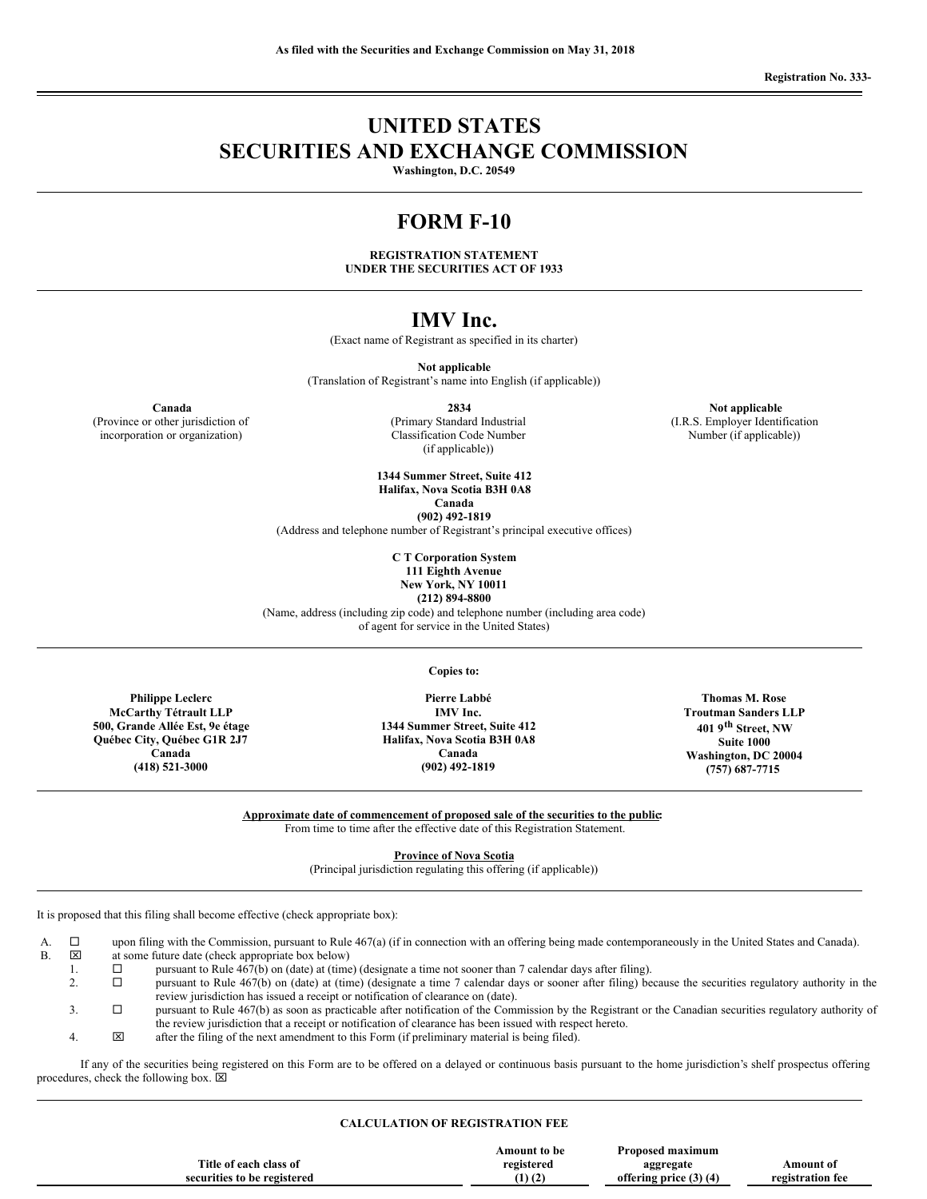# **UNITED STATES SECURITIES AND EXCHANGE COMMISSION**

**Washington, D.C. 20549**

# **FORM F-10**

**REGISTRATION STATEMENT UNDER THE SECURITIES ACT OF 1933**

# **IMV Inc.**

(Exact name of Registrant as specified in its charter)

**Not applicable**

(Translation of Registrant's name into English (if applicable))

**Canada 2834 Not applicable Not applicable** 

(Province or other jurisdiction of incorporation or organization)

(Primary Standard Industrial Classification Code Number (if applicable))

**1344 Summer Street, Suite 412 Halifax, Nova Scotia B3H 0A8 Canada**

**(902) 492-1819**

(Address and telephone number of Registrant's principal executive offices)

**C T Corporation System 111 Eighth Avenue**

**New York, NY 10011**

**(212) 894-8800**

(Name, address (including zip code) and telephone number (including area code) of agent for service in the United States)

**Copies to:**

**Philippe Leclerc McCarthy Tétrault LLP 500, Grande Allée Est, 9e étage Québec City, Québec G1R 2J7 Canada (418) 521-3000**

**Pierre Labbé IMV Inc. 1344 Summer Street, Suite 412 Halifax, Nova Scotia B3H 0A8 Canada**

**Troutman Sanders LLP 401 9 th Street, NW Suite 1000 Washington, DC 20004 (757) 687-7715**

**Approximate date of commencement of proposed sale of the securities to the public:**

**(902) 492-1819**

From time to time after the effective date of this Registration Statement.

**Province of Nova Scotia**

(Principal jurisdiction regulating this offering (if applicable))

It is proposed that this filing shall become effective (check appropriate box):

A.  $\square$  upon filing with the Commission, pursuant to Rule 467(a) (if in connection with an offering being made contemporaneously in the United States and Canada).<br>B.  $\square$  at some future date (check appropriate box below)

at some future date (check appropriate box below)

- 1.  $\square$  pursuant to Rule 467(b) on (date) at (time) (designate a time not sooner than 7 calendar days after filing).<br>2.  $\square$  pursuant to Rule 467(b) on (date) at (time) (designate a time 7 calendar days or sooner after fi
	- pursuant to Rule 467(b) on (date) at (time) (designate a time 7 calendar days or sooner after filing) because the securities regulatory authority in the review jurisdiction has issued a receipt or notification of clearance on (date).

3.  $\square$  pursuant to Rule 467(b) as soon as practicable after notification of the Commission by the Registrant or the Canadian securities regulatory authority of the review jurisdiction that a receipt or notification of clearance has been issued with respect hereto.

4. x after the filing of the next amendment to this Form (if preliminary material is being filed).

If any of the securities being registered on this Form are to be offered on a delayed or continuous basis pursuant to the home jurisdiction's shelf prospectus offering procedures, check the following box.  $\boxtimes$ 

## **CALCULATION OF REGISTRATION FEE**

|                             | Amount to be      | Proposed maximum           |                  |
|-----------------------------|-------------------|----------------------------|------------------|
| Title of each class of      | registered        | aggregate                  | Amount of        |
| securities to be registered | $(1)$ $(2)$<br>14 | offering price $(3)$ $(4)$ | registration fee |
|                             |                   |                            |                  |

**Thomas M. Rose**

(I.R.S. Employer Identification Number (if applicable))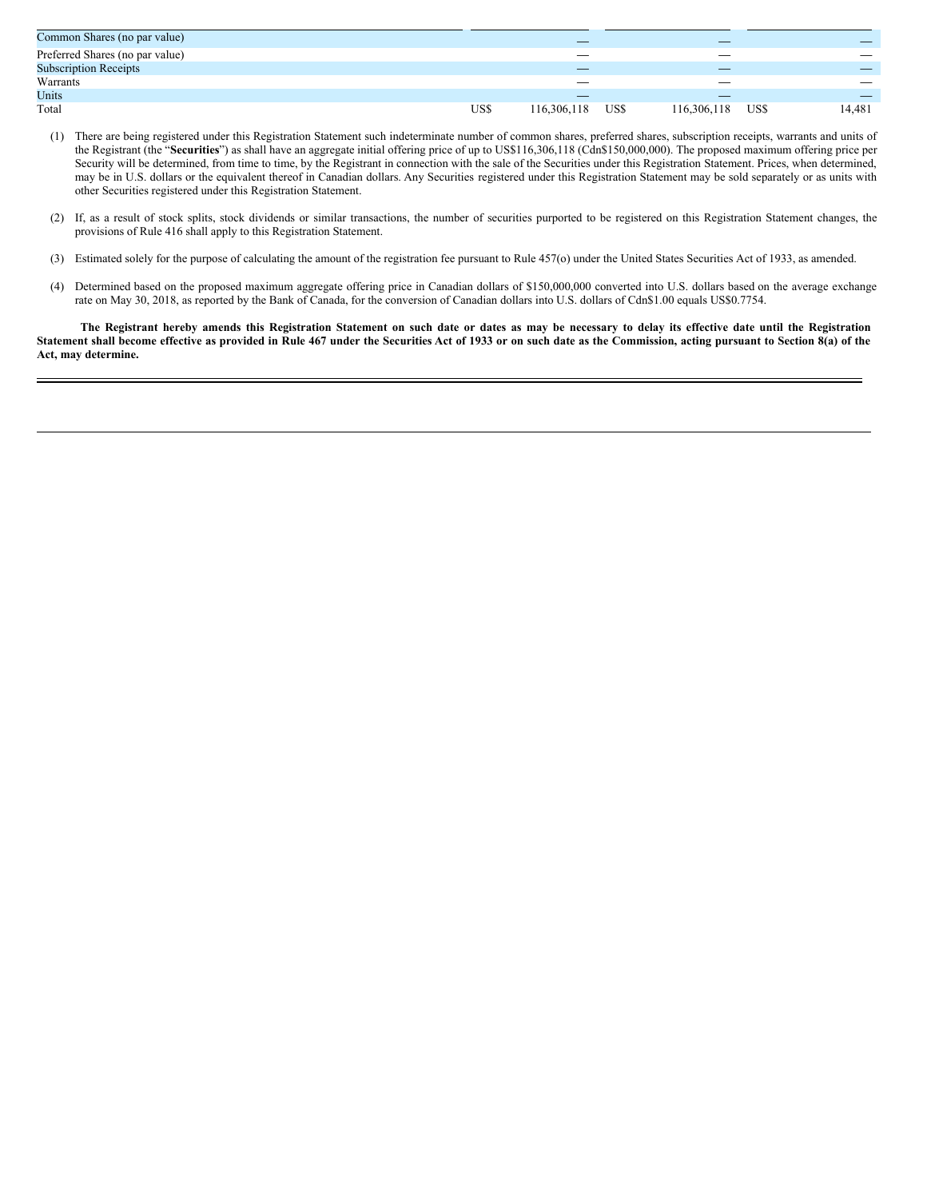| Common Shares (no par value)    |      |             |      |             |      |                                 |
|---------------------------------|------|-------------|------|-------------|------|---------------------------------|
| Preferred Shares (no par value) |      |             |      | __          |      |                                 |
| <b>Subscription Receipts</b>    |      |             |      |             |      |                                 |
| Warrants                        |      |             |      |             |      | $\hspace{0.1mm}-\hspace{0.1mm}$ |
| Units                           |      | _           |      |             |      |                                 |
| Total                           | US\$ | 116,306,118 | US\$ | 116,306,118 | US\$ | 14,481                          |

- (1) There are being registered under this Registration Statement such indeterminate number of common shares, preferred shares, subscription receipts, warrants and units of the Registrant (the "**Securities**") as shall have an aggregate initial offering price of up to US\$116,306,118 (Cdn\$150,000,000). The proposed maximum offering price per Security will be determined, from time to time, by the Registrant in connection with the sale of the Securities under this Registration Statement. Prices, when determined, may be in U.S. dollars or the equivalent thereof in Canadian dollars. Any Securities registered under this Registration Statement may be sold separately or as units with other Securities registered under this Registration Statement.
- (2) If, as a result of stock splits, stock dividends or similar transactions, the number of securities purported to be registered on this Registration Statement changes, the provisions of Rule 416 shall apply to this Registration Statement.
- (3) Estimated solely for the purpose of calculating the amount of the registration fee pursuant to Rule 457(o) under the United States Securities Act of 1933, as amended.
- (4) Determined based on the proposed maximum aggregate offering price in Canadian dollars of \$150,000,000 converted into U.S. dollars based on the average exchange rate on May 30, 2018, as reported by the Bank of Canada, for the conversion of Canadian dollars into U.S. dollars of Cdn\$1.00 equals US\$0.7754.

The Registrant hereby amends this Registration Statement on such date or dates as may be necessary to delay its effective date until the Registration Statement shall become effective as provided in Rule 467 under the Securities Act of 1933 or on such date as the Commission, acting pursuant to Section 8(a) of the **Act, may determine.**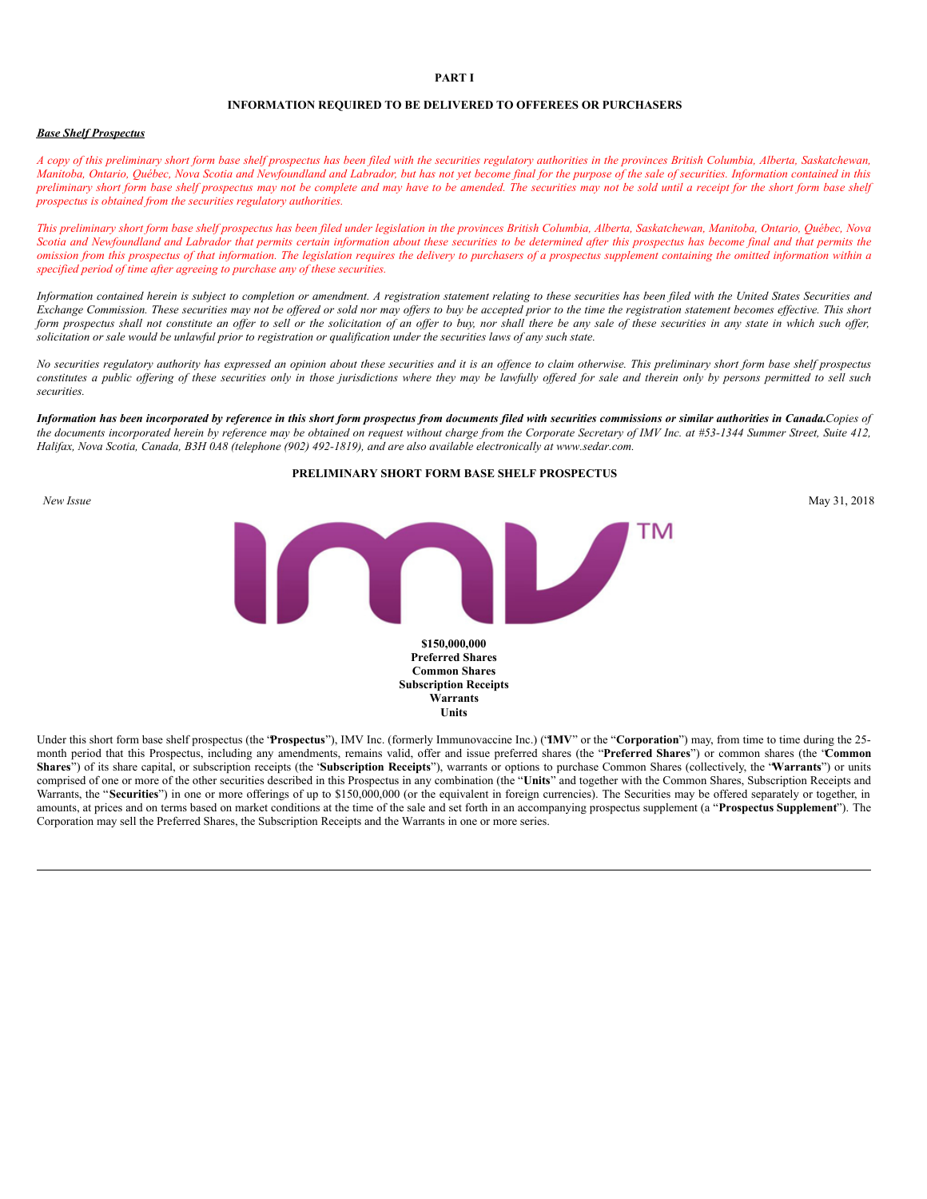#### **PART I**

#### **INFORMATION REQUIRED TO BE DELIVERED TO OFFEREES OR PURCHASERS**

#### *Base Shelf Prospectus*

A copy of this preliminary short form base shelf prospectus has been filed with the securities regulatory authorities in the provinces British Columbia, Alberta, Saskatchewan, Manitoba, Ontario, Ouébec, Nova Scotia and Newfoundland and Labrador, but has not vet become final for the purpose of the sale of securities. Information contained in this preliminary short form base shelf prospectus may not be complete and may have to be amended. The securities may not be sold until a receipt for the short form base shelf *prospectus is obtained from the securities regulatory authorities.*

This preliminary short form base shelf prospectus has been filed under legislation in the provinces British Columbia, Alberta, Saskatchewan, Manitoba, Ontario, Ouébec, Nova Scotia and Newfoundland and Labrador that permits certain information about these securities to be determined after this prospectus has become final and that permits the omission from this prospectus of that information. The legislation requires the delivery to purchasers of a prospectus supplement containing the omitted information within a *specified period of time after agreeing to purchase any of these securities.*

Information contained herein is subject to completion or amendment. A registration statement relating to these securities has been filed with the United States Securities and Exchange Commission. These securities may not be offered or sold nor may offers to buy be accepted prior to the time the registration statement becomes effective. This short form prospectus shall not constitute an offer to sell or the solicitation of an offer to buy, nor shall there be any sale of these securities in any state in which such offer, solicitation or sale would be unlawful prior to registration or qualification under the securities laws of any such state.

No securities regulatory authority has expressed an opinion about these securities and it is an offence to claim otherwise. This preliminary short form base shelf prospectus constitutes a public offering of these securities only in those jurisdictions where they may be lawfully offered for sale and therein only by persons permitted to sell such *securities.*

Information has been incorporated by reference in this short form prospectus from documents filed with securities commissions or similar authorities in Canada.Copies of the documents incorporated herein by reference may be obtained on request without charge from the Corporate Secretary of IMV Inc. at #53-1344 Summer Street, Suite 412, Halifax, Nova Scotia, Canada, B3H 0A8 (telephone (902) 492-1819), and are also available electronically at www.sedar.com.

# **PRELIMINARY SHORT FORM BASE SHELF PROSPECTUS** *New Issue* May 31, 2018  $\overline{\phantom{a}}$ **\$150,000,000 Preferred Shares Common Shares Subscription Receipts Warrants Units**

Under this short form base shelf prospectus (the '**Prospectus**"), IMV Inc. (formerly Immunovaccine Inc.) ('IMV" or the "Corporation") may, from time to time during the 25month period that this Prospectus, including any amendments, remains valid, offer and issue preferred shares (the "**Preferred Shares**") or common shares (the "**Common Shares**") of its share capital, or subscription receipts (the "**Subscription Receipts**"), warrants or options to purchase Common Shares (collectively, the "**Warrants**") or units comprised of one or more of the other securities described in this Prospectus in any combination (the "**Units**" and together with the Common Shares, Subscription Receipts and Warrants, the "Securities") in one or more offerings of up to \$150,000,000 (or the equivalent in foreign currencies). The Securities may be offered separately or together, in amounts, at prices and on terms based on market conditions at the time of the sale and set forth in an accompanying prospectus supplement (a "**Prospectus Supplement**"). The Corporation may sell the Preferred Shares, the Subscription Receipts and the Warrants in one or more series.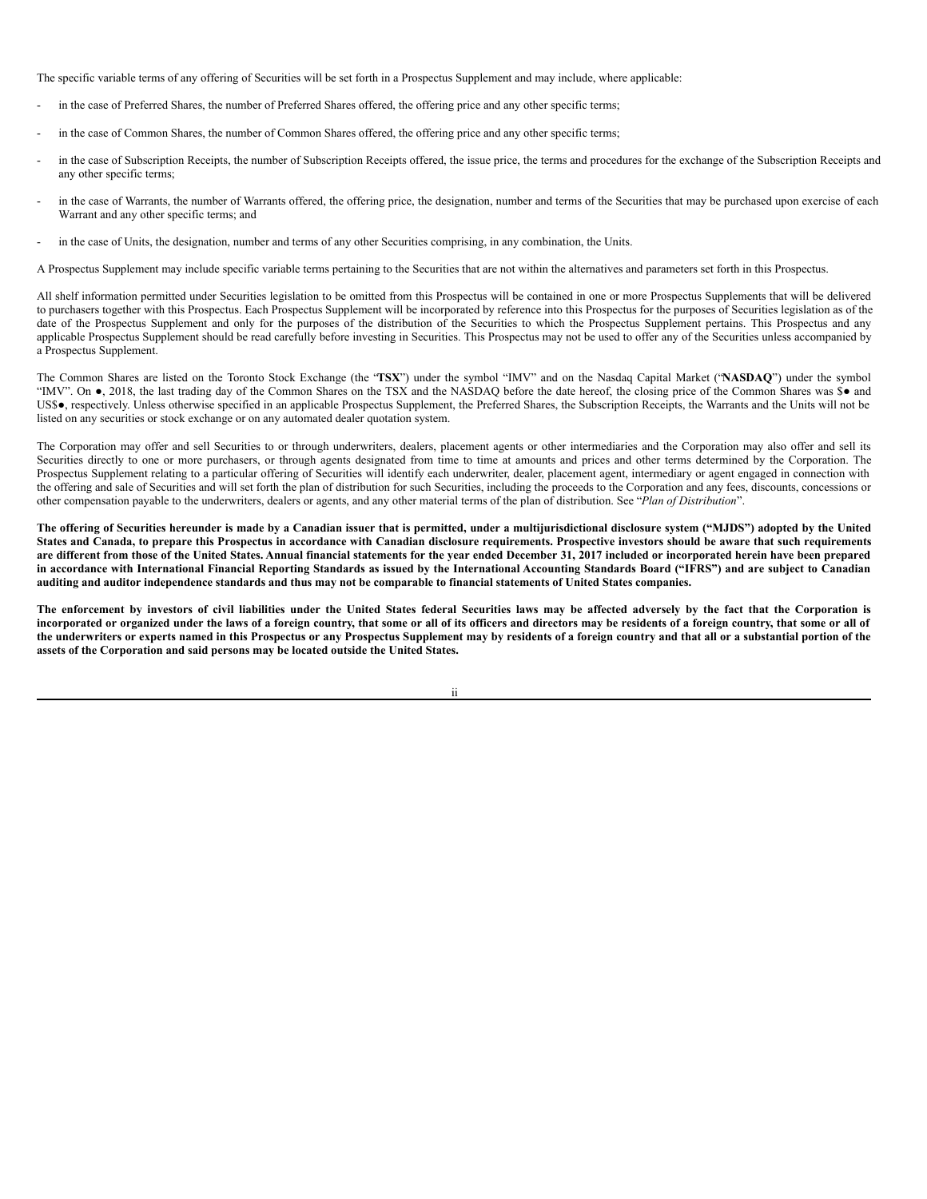The specific variable terms of any offering of Securities will be set forth in a Prospectus Supplement and may include, where applicable:

- in the case of Preferred Shares, the number of Preferred Shares offered, the offering price and any other specific terms;
- in the case of Common Shares, the number of Common Shares offered, the offering price and any other specific terms;
- in the case of Subscription Receipts, the number of Subscription Receipts offered, the issue price, the terms and procedures for the exchange of the Subscription Receipts and any other specific terms;
- in the case of Warrants, the number of Warrants offered, the offering price, the designation, number and terms of the Securities that may be purchased upon exercise of each Warrant and any other specific terms; and
- in the case of Units, the designation, number and terms of any other Securities comprising, in any combination, the Units.

A Prospectus Supplement may include specific variable terms pertaining to the Securities that are not within the alternatives and parameters set forth in this Prospectus.

All shelf information permitted under Securities legislation to be omitted from this Prospectus will be contained in one or more Prospectus Supplements that will be delivered to purchasers together with this Prospectus. Each Prospectus Supplement will be incorporated by reference into this Prospectus for the purposes of Securities legislation as of the date of the Prospectus Supplement and only for the purposes of the distribution of the Securities to which the Prospectus Supplement pertains. This Prospectus and any applicable Prospectus Supplement should be read carefully before investing in Securities. This Prospectus may not be used to offer any of the Securities unless accompanied by a Prospectus Supplement.

The Common Shares are listed on the Toronto Stock Exchange (the "**TSX**") under the symbol "IMV" and on the Nasdaq Capital Market ("**NASDAQ**") under the symbol "IMV". On ●, 2018, the last trading day of the Common Shares on the TSX and the NASDAQ before the date hereof, the closing price of the Common Shares was \$● and US\$●, respectively. Unless otherwise specified in an applicable Prospectus Supplement, the Preferred Shares, the Subscription Receipts, the Warrants and the Units will not be listed on any securities or stock exchange or on any automated dealer quotation system.

The Corporation may offer and sell Securities to or through underwriters, dealers, placement agents or other intermediaries and the Corporation may also offer and sell its Securities directly to one or more purchasers, or through agents designated from time to time at amounts and prices and other terms determined by the Corporation. The Prospectus Supplement relating to a particular offering of Securities will identify each underwriter, dealer, placement agent, intermediary or agent engaged in connection with the offering and sale of Securities and will set forth the plan of distribution for such Securities, including the proceeds to the Corporation and any fees, discounts, concessions or other compensation payable to the underwriters, dealers or agents, and any other material terms of the plan of distribution. See "*Plan of Distribution*".

The offering of Securities hereunder is made by a Canadian issuer that is permitted, under a multijurisdictional disclosure system ("MJDS") adopted by the United States and Canada, to prepare this Prospectus in accordance with Canadian disclosure requirements. Prospective investors should be aware that such requirements are different from those of the United States. Annual financial statements for the year ended December 31, 2017 included or incorporated herein have been prepared in accordance with International Financial Reporting Standards as issued by the International Accounting Standards Board ("IFRS") and are subject to Canadian auditing and auditor independence standards and thus may not be comparable to financial statements of United States companies.

The enforcement by investors of civil liabilities under the United States federal Securities laws may be affected adversely by the fact that the Corporation is incorporated or organized under the laws of a foreign country, that some or all of its officers and directors may be residents of a foreign country, that some or all of the underwriters or experts named in this Prospectus or any Prospectus Supplement may by residents of a foreign country and that all or a substantial portion of the **assets of the Corporation and said persons may be located outside the United States.**

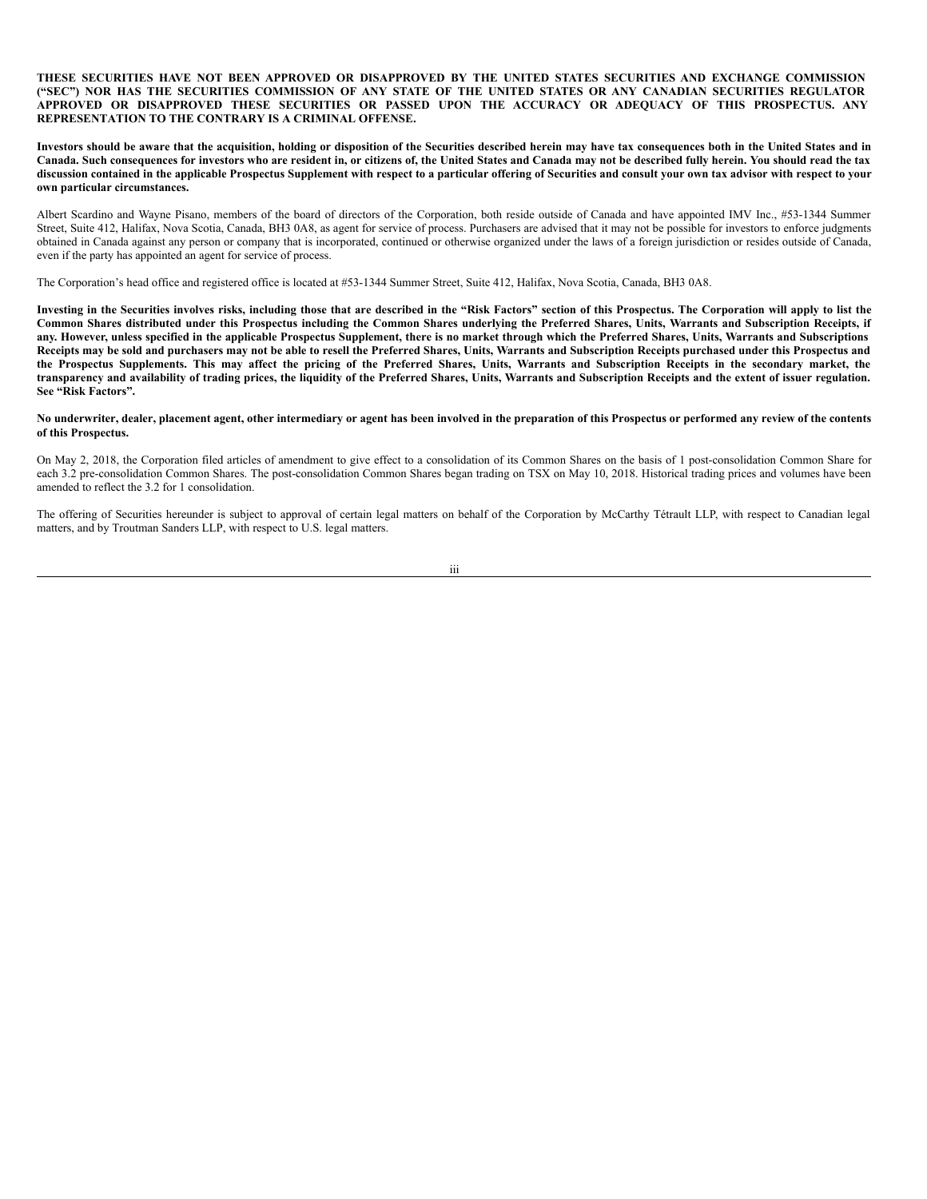**THESE SECURITIES HAVE NOT BEEN APPROVED OR DISAPPROVED BY THE UNITED STATES SECURITIES AND EXCHANGE COMMISSION** ("SEC") NOR HAS THE SECURITIES COMMISSION OF ANY STATE OF THE UNITED STATES OR ANY CANADIAN SECURITIES REGULATOR **APPROVED OR DISAPPROVED THESE SECURITIES OR PASSED UPON THE ACCURACY OR ADEQUACY OF THIS PROSPECTUS. ANY REPRESENTATION TO THE CONTRARY IS A CRIMINAL OFFENSE.**

Investors should be aware that the acquisition, holding or disposition of the Securities described herein may have tax consequences both in the United States and in Canada. Such consequences for investors who are resident in, or citizens of, the United States and Canada may not be described fully herein. You should read the tax discussion contained in the applicable Prospectus Supplement with respect to a particular offering of Securities and consult your own tax advisor with respect to your **own particular circumstances.**

Albert Scardino and Wayne Pisano, members of the board of directors of the Corporation, both reside outside of Canada and have appointed IMV Inc., #53-1344 Summer Street, Suite 412, Halifax, Nova Scotia, Canada, BH3 0A8, as agent for service of process. Purchasers are advised that it may not be possible for investors to enforce judgments obtained in Canada against any person or company that is incorporated, continued or otherwise organized under the laws of a foreign jurisdiction or resides outside of Canada, even if the party has appointed an agent for service of process.

The Corporation's head office and registered office is located at #53-1344 Summer Street, Suite 412, Halifax, Nova Scotia, Canada, BH3 0A8.

Investing in the Securities involves risks, including those that are described in the "Risk Factors" section of this Prospectus. The Corporation will apply to list the Common Shares distributed under this Prospectus including the Common Shares underlying the Preferred Shares, Units, Warrants and Subscription Receipts, if any. However, unless specified in the applicable Prospectus Supplement, there is no market through which the Preferred Shares. Units, Warrants and Subscriptions Receipts may be sold and purchasers may not be able to resell the Preferred Shares, Units, Warrants and Subscription Receipts purchased under this Prospectus and the Prospectus Supplements. This may affect the pricing of the Preferred Shares, Units, Warrants and Subscription Receipts in the secondary market, the transparency and availability of trading prices, the liquidity of the Preferred Shares, Units, Warrants and Subscription Receipts and the extent of issuer regulation. **See "Risk Factors".**

#### No underwriter, dealer, placement agent, other intermediary or agent has been involved in the preparation of this Prospectus or performed any review of the contents **of this Prospectus.**

On May 2, 2018, the Corporation filed articles of amendment to give effect to a consolidation of its Common Shares on the basis of 1 post-consolidation Common Share for each 3.2 pre-consolidation Common Shares. The post-consolidation Common Shares began trading on TSX on May 10, 2018. Historical trading prices and volumes have been amended to reflect the 3.2 for 1 consolidation.

The offering of Securities hereunder is subject to approval of certain legal matters on behalf of the Corporation by McCarthy Tétrault LLP, with respect to Canadian legal matters, and by Troutman Sanders LLP, with respect to U.S. legal matters.

iii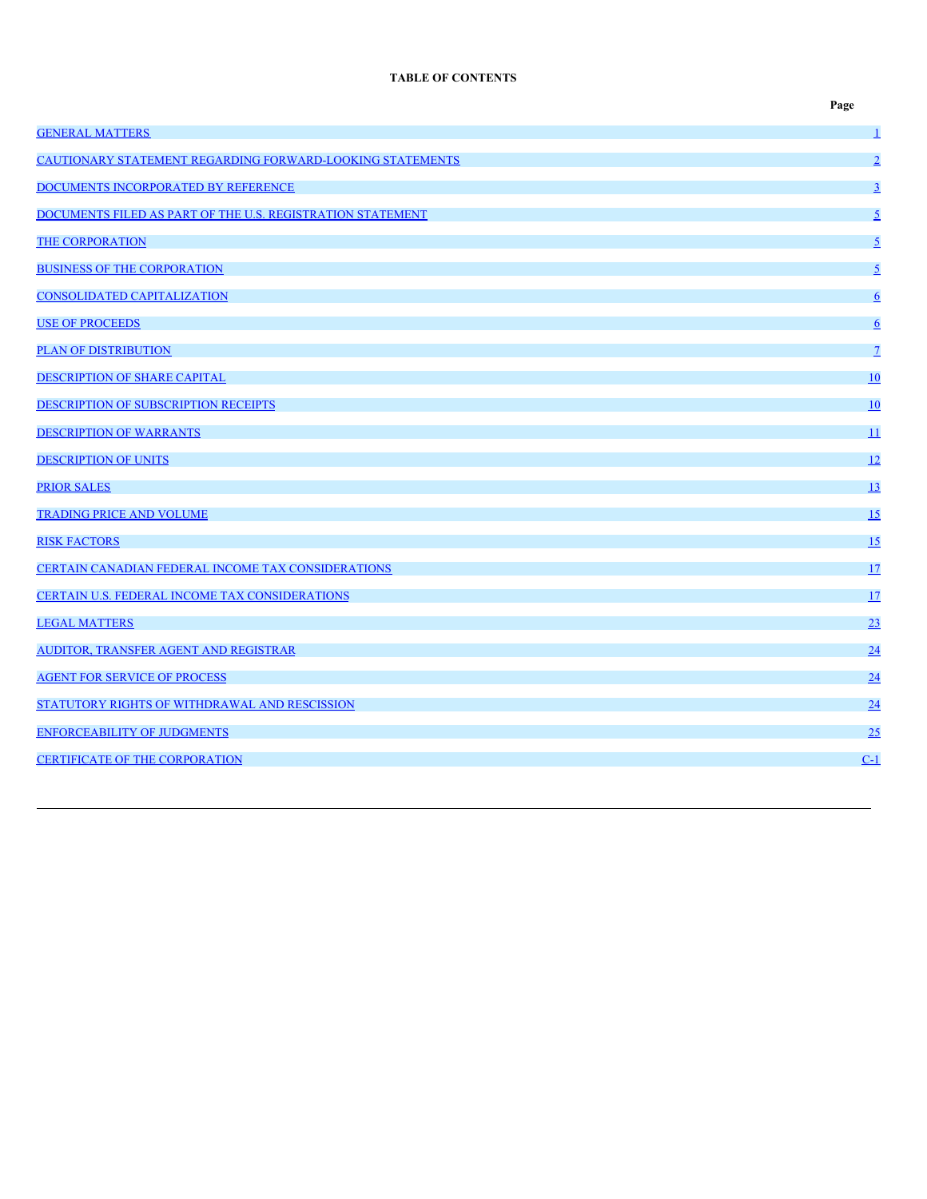# **TABLE OF CONTENTS**

|                                                            | Page                    |
|------------------------------------------------------------|-------------------------|
| <b>GENERAL MATTERS</b>                                     | $\overline{\mathbf{1}}$ |
| CAUTIONARY STATEMENT REGARDING FORWARD-LOOKING STATEMENTS  | $\overline{2}$          |
| DOCUMENTS INCORPORATED BY REFERENCE                        | $\overline{3}$          |
| DOCUMENTS FILED AS PART OF THE U.S. REGISTRATION STATEMENT | $\overline{2}$          |
| <b>THE CORPORATION</b>                                     | $\overline{2}$          |
| <b>BUSINESS OF THE CORPORATION</b>                         | $\overline{2}$          |
| <b>CONSOLIDATED CAPITALIZATION</b>                         | $6\overline{6}$         |
| <b>USE OF PROCEEDS</b>                                     | $6\overline{6}$         |
| <b>PLAN OF DISTRIBUTION</b>                                | $\overline{1}$          |
| <b>DESCRIPTION OF SHARE CAPITAL</b>                        | 10                      |
| DESCRIPTION OF SUBSCRIPTION RECEIPTS                       | 10                      |
| <b>DESCRIPTION OF WARRANTS</b>                             | 11                      |
| <b>DESCRIPTION OF UNITS</b>                                | 12                      |
| <b>PRIOR SALES</b>                                         | 13                      |
| <b>TRADING PRICE AND VOLUME</b>                            | 15                      |
| <b>RISK FACTORS</b>                                        | 15                      |
| CERTAIN CANADIAN FEDERAL INCOME TAX CONSIDERATIONS         | 17                      |
| CERTAIN U.S. FEDERAL INCOME TAX CONSIDERATIONS             | 17                      |
| <b>LEGAL MATTERS</b>                                       | 23                      |
| AUDITOR, TRANSFER AGENT AND REGISTRAR                      | 24                      |
| <b>AGENT FOR SERVICE OF PROCESS</b>                        | 24                      |
| STATUTORY RIGHTS OF WITHDRAWAL AND RESCISSION              | 24                      |
| <b>ENFORCEABILITY OF JUDGMENTS</b>                         | 25                      |
| <b>CERTIFICATE OF THE CORPORATION</b>                      | $C-1$                   |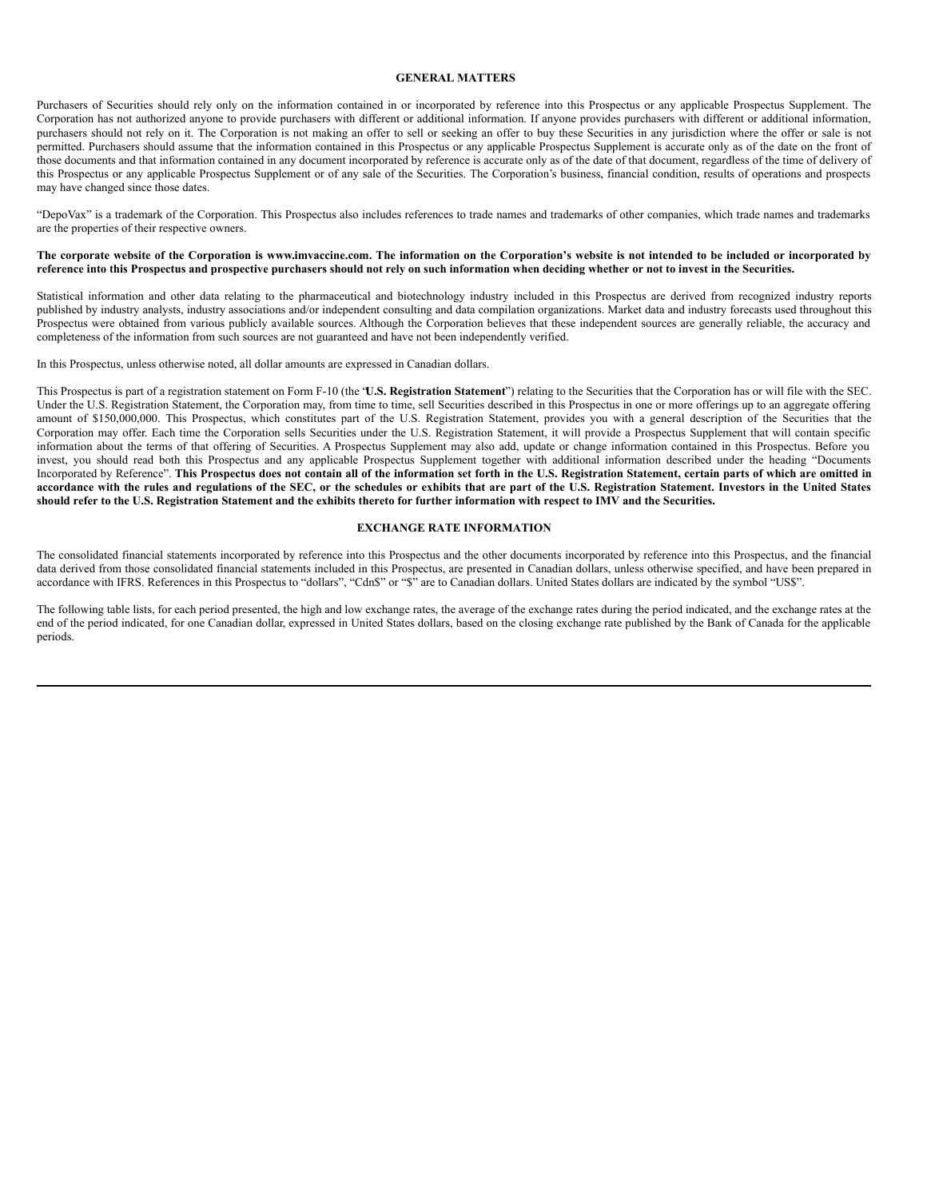#### <span id="page-6-0"></span>**GENERAL MATTERS**

Purchasers of Securities should rely only on the information contained in or incorporated by reference into this Prospectus or any applicable Prospectus Supplement. The Corporation has not authorized anyone to provide purchasers with different or additional information. If anyone provides purchasers with different or additional information, purchasers should not rely on it. The Corporation is not making an offer to sell or seeking an offer to buy these Securities in any jurisdiction where the offer or sale is not permitted. Purchasers should assume that the information contained in this Prospectus or any applicable Prospectus Supplement is accurate only as of the date on the front of those documents and that information contained in any document incorporated by reference is accurate only as of the date of that document, regardless of the time of delivery of this Prospectus or any applicable Prospectus Supplement or of any sale of the Securities. The Corporation's business, financial condition, results of operations and prospects may have changed since those dates.

"DepoVax" is a trademark of the Corporation. This Prospectus also includes references to trade names and trademarks of other companies, which trade names and trademarks are the properties of their respective owners.

#### The corporate website of the Corporation is www.imvaccine.com. The information on the Corporation's website is not intended to be included or incorporated by reference into this Prospectus and prospective purchasers should not rely on such information when deciding whether or not to invest in the Securities.

Statistical information and other data relating to the pharmaceutical and biotechnology industry included in this Prospectus are derived from recognized industry reports published by industry analysts, industry associations and/or independent consulting and data compilation organizations. Market data and industry forecasts used throughout this Prospectus were obtained from various publicly available sources. Although the Corporation believes that these independent sources are generally reliable, the accuracy and completeness of the information from such sources are not guaranteed and have not been independently verified.

In this Prospectus, unless otherwise noted, all dollar amounts are expressed in Canadian dollars.

This Prospectus is part of a registration statement on Form F-10 (the "**U.S. Registration Statement**") relating to the Securities that the Corporation has or will file with the SEC. Under the U.S. Registration Statement, the Corporation may, from time to time, sell Securities described in this Prospectus in one or more offerings up to an aggregate offering amount of \$150,000,000. This Prospectus, which constitutes part of the U.S. Registration Statement, provides you with a general description of the Securities that the Corporation may offer. Each time the Corporation sells Securities under the U.S. Registration Statement, it will provide a Prospectus Supplement that will contain specific information about the terms of that offering of Securities. A Prospectus Supplement may also add, update or change information contained in this Prospectus. Before you invest, you should read both this Prospectus and any applicable Prospectus Supplement together with additional information described under the heading "Documents Incorporated by Reference". This Prospectus does not contain all of the information set forth in the U.S. Registration Statement, certain parts of which are omitted in accordance with the rules and regulations of the SEC, or the schedules or exhibits that are part of the U.S. Registration Statement. Investors in the United States should refer to the U.S. Registration Statement and the exhibits thereto for further information with respect to IMV and the Securities.

#### **EXCHANGE RATE INFORMATION**

The consolidated financial statements incorporated by reference into this Prospectus and the other documents incorporated by reference into this Prospectus, and the financial data derived from those consolidated financial statements included in this Prospectus, are presented in Canadian dollars, unless otherwise specified, and have been prepared in accordance with IFRS. References in this Prospectus to "dollars", "Cdn\$" or "\$" are to Canadian dollars. United States dollars are indicated by the symbol "US\$".

The following table lists, for each period presented, the high and low exchange rates, the average of the exchange rates during the period indicated, and the exchange rates at the end of the period indicated, for one Canadian dollar, expressed in United States dollars, based on the closing exchange rate published by the Bank of Canada for the applicable periods.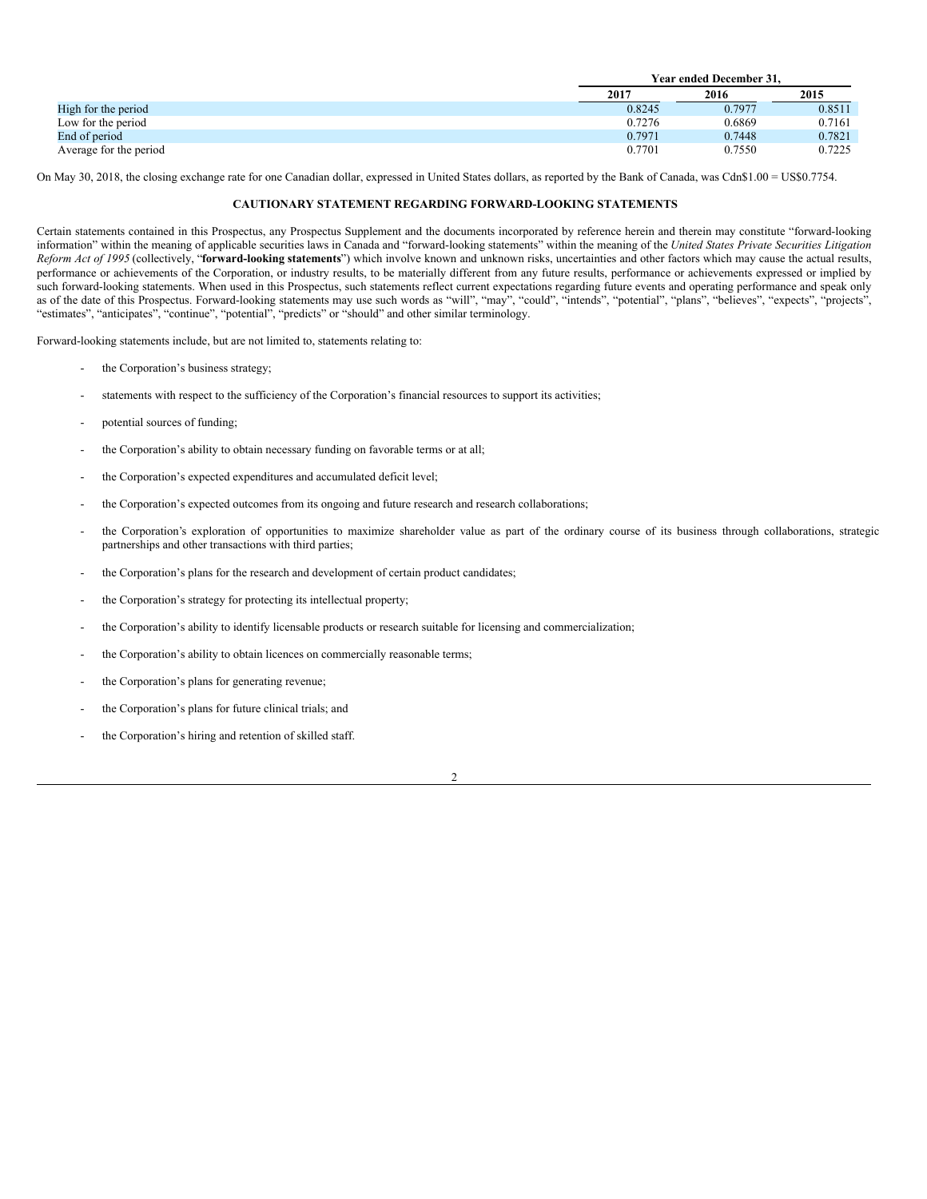|                        |        | Year ended December 31. |        |  |
|------------------------|--------|-------------------------|--------|--|
|                        | 2017   | 2016                    | 2015   |  |
| High for the period    | 0.8245 | 0.7977                  | 0.8511 |  |
| Low for the period     | 0.7276 | 0.6869                  | 0.7161 |  |
| End of period          | 0.7971 | 0.7448                  | 0.7821 |  |
| Average for the period | 0.7701 | 0.7550                  | 0.7225 |  |

On May 30, 2018, the closing exchange rate for one Canadian dollar, expressed in United States dollars, as reported by the Bank of Canada, was Cdn\$1.00 = US\$0.7754.

#### <span id="page-7-0"></span>**CAUTIONARY STATEMENT REGARDING FORWARD-LOOKING STATEMENTS**

Certain statements contained in this Prospectus, any Prospectus Supplement and the documents incorporated by reference herein and therein may constitute "forward-looking information" within the meaning of applicable securities laws in Canada and "forward-looking statements" within the meaning of the *United States Private Securities Litigation Reform Act of 1995* (collectively, "**forward-looking statements**") which involve known and unknown risks, uncertainties and other factors which may cause the actual results, performance or achievements of the Corporation, or industry results, to be materially different from any future results, performance or achievements expressed or implied by such forward-looking statements. When used in this Prospectus, such statements reflect current expectations regarding future events and operating performance and speak only as of the date of this Prospectus. Forward-looking statements may use such words as "will", "may", "could", "intends", "potential", "plans", "believes", "expects", "projects", "estimates", "anticipates", "continue", "potential", "predicts" or "should" and other similar terminology.

Forward-looking statements include, but are not limited to, statements relating to:

- the Corporation's business strategy;
- statements with respect to the sufficiency of the Corporation's financial resources to support its activities;
- potential sources of funding;
- the Corporation's ability to obtain necessary funding on favorable terms or at all;
- the Corporation's expected expenditures and accumulated deficit level;
- the Corporation's expected outcomes from its ongoing and future research and research collaborations;
- the Corporation's exploration of opportunities to maximize shareholder value as part of the ordinary course of its business through collaborations, strategic partnerships and other transactions with third parties;
- the Corporation's plans for the research and development of certain product candidates;
- the Corporation's strategy for protecting its intellectual property;
- the Corporation's ability to identify licensable products or research suitable for licensing and commercialization;
- the Corporation's ability to obtain licences on commercially reasonable terms;
- the Corporation's plans for generating revenue;
- the Corporation's plans for future clinical trials; and
- the Corporation's hiring and retention of skilled staff.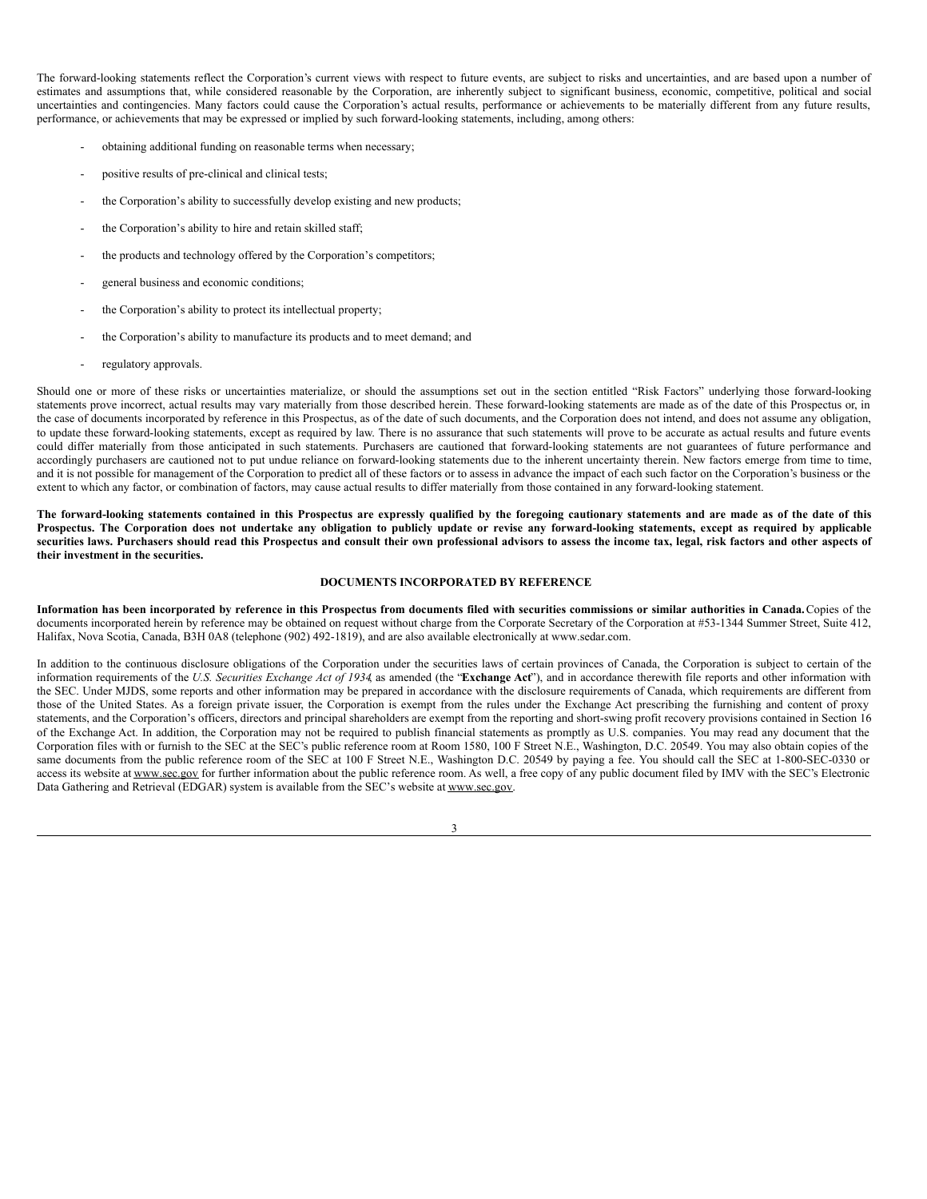The forward-looking statements reflect the Corporation's current views with respect to future events, are subject to risks and uncertainties, and are based upon a number of estimates and assumptions that, while considered reasonable by the Corporation, are inherently subject to significant business, economic, competitive, political and social uncertainties and contingencies. Many factors could cause the Corporation's actual results, performance or achievements to be materially different from any future results, performance, or achievements that may be expressed or implied by such forward-looking statements, including, among others:

- obtaining additional funding on reasonable terms when necessary;
- positive results of pre-clinical and clinical tests;
- the Corporation's ability to successfully develop existing and new products;
- the Corporation's ability to hire and retain skilled staff;
- the products and technology offered by the Corporation's competitors;
- general business and economic conditions;
- the Corporation's ability to protect its intellectual property;
- the Corporation's ability to manufacture its products and to meet demand; and
- regulatory approvals.

Should one or more of these risks or uncertainties materialize, or should the assumptions set out in the section entitled "Risk Factors" underlying those forward-looking statements prove incorrect, actual results may vary materially from those described herein. These forward-looking statements are made as of the date of this Prospectus or, in the case of documents incorporated by reference in this Prospectus, as of the date of such documents, and the Corporation does not intend, and does not assume any obligation, to update these forward-looking statements, except as required by law. There is no assurance that such statements will prove to be accurate as actual results and future events could differ materially from those anticipated in such statements. Purchasers are cautioned that forward-looking statements are not guarantees of future performance and accordingly purchasers are cautioned not to put undue reliance on forward-looking statements due to the inherent uncertainty therein. New factors emerge from time to time, and it is not possible for management of the Corporation to predict all of these factors or to assess in advance the impact of each such factor on the Corporation's business or the extent to which any factor, or combination of factors, may cause actual results to differ materially from those contained in any forward-looking statement.

The forward-looking statements contained in this Prospectus are expressly qualified by the foregoing cautionary statements and are made as of the date of this Prospectus. The Corporation does not undertake any obligation to publicly update or revise any forward-looking statements, except as required by applicable securities laws. Purchasers should read this Prospectus and consult their own professional advisors to assess the income tax, legal, risk factors and other aspects of **their investment in the securities.**

#### <span id="page-8-0"></span>**DOCUMENTS INCORPORATED BY REFERENCE**

Information has been incorporated by reference in this Prospectus from documents filed with securities commissions or similar authorities in Canada. Copies of the documents incorporated herein by reference may be obtained on request without charge from the Corporate Secretary of the Corporation at #53-1344 Summer Street, Suite 412, Halifax, Nova Scotia, Canada, B3H 0A8 (telephone (902) 492-1819), and are also available electronically at www.sedar.com.

In addition to the continuous disclosure obligations of the Corporation under the securities laws of certain provinces of Canada, the Corporation is subject to certain of the information requirements of the U.S. Securities Exchange Act of 1934 as amended (the "Exchange Act"), and in accordance therewith file reports and other information with the SEC. Under MJDS, some reports and other information may be prepared in accordance with the disclosure requirements of Canada, which requirements are different from those of the United States. As a foreign private issuer, the Corporation is exempt from the rules under the Exchange Act prescribing the furnishing and content of proxy statements, and the Corporation's officers, directors and principal shareholders are exempt from the reporting and short-swing profit recovery provisions contained in Section 16 of the Exchange Act. In addition, the Corporation may not be required to publish financial statements as promptly as U.S. companies. You may read any document that the Corporation files with or furnish to the SEC at the SEC's public reference room at Room 1580, 100 F Street N.E., Washington, D.C. 20549. You may also obtain copies of the same documents from the public reference room of the SEC at 100 F Street N.E., Washington D.C. 20549 by paying a fee. You should call the SEC at 1-800-SEC-0330 or access its website at www.sec.gov for further information about the public reference room. As well, a free copy of any public document filed by IMV with the SEC's Electronic Data Gathering and Retrieval (EDGAR) system is available from the SEC's website at www.sec.gov.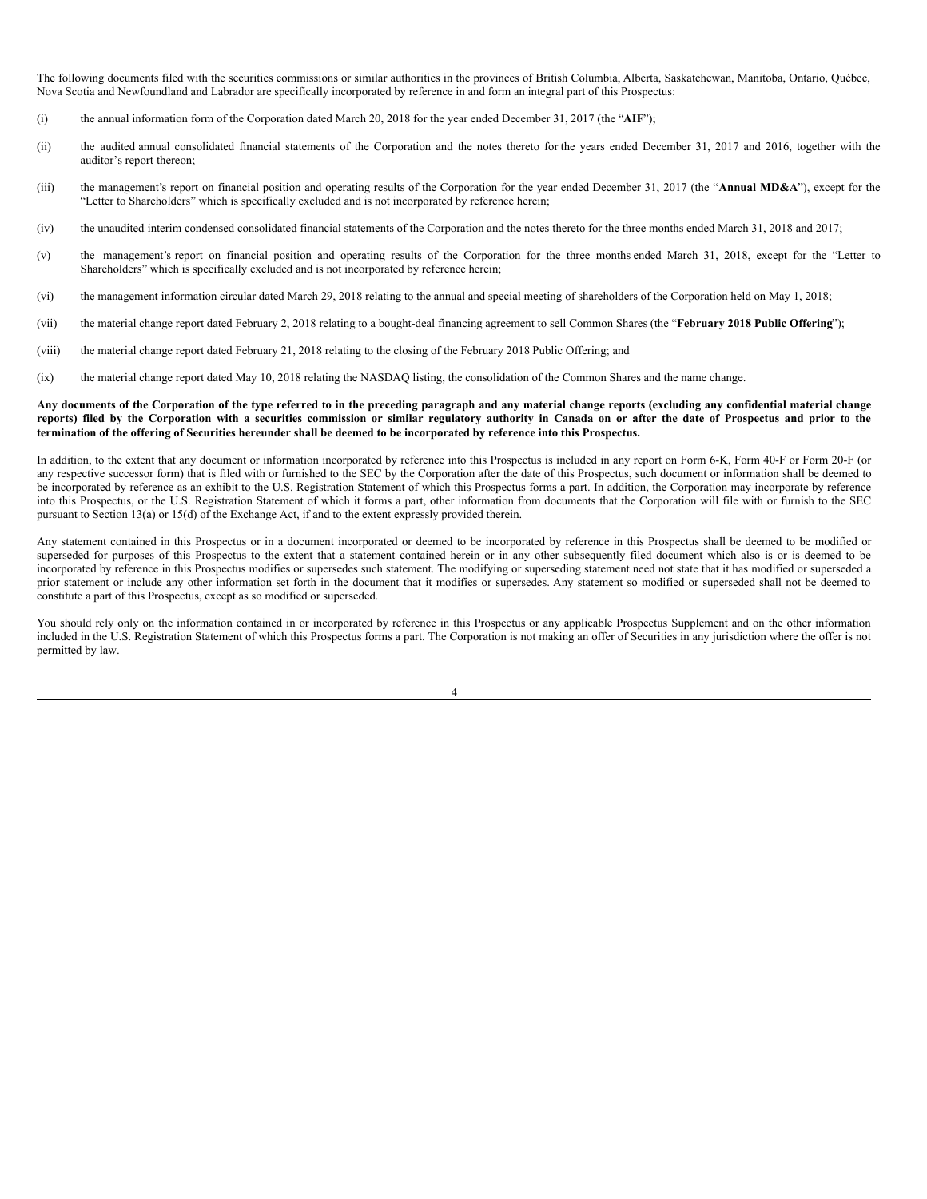The following documents filed with the securities commissions or similar authorities in the provinces of British Columbia, Alberta, Saskatchewan, Manitoba, Ontario, Québec, Nova Scotia and Newfoundland and Labrador are specifically incorporated by reference in and form an integral part of this Prospectus:

- (i) the annual information form of the Corporation dated March 20, 2018 for the year ended December 31, 2017 (the "**AIF**");
- (ii) the audited annual consolidated financial statements of the Corporation and the notes thereto for the years ended December 31, 2017 and 2016, together with the auditor's report thereon;
- (iii) the management's report on financial position and operating results of the Corporation for the year ended December 31, 2017 (the "**Annual MD&A**"), except for the "Letter to Shareholders" which is specifically excluded and is not incorporated by reference herein;
- (iv) the unaudited interim condensed consolidated financial statements of the Corporation and the notes thereto for the three months ended March 31, 2018 and 2017;
- (v) the management's report on financial position and operating results of the Corporation for the three months ended March 31, 2018, except for the "Letter to Shareholders" which is specifically excluded and is not incorporated by reference herein;
- (vi) the management information circular dated March 29, 2018 relating to the annual and special meeting of shareholders of the Corporation held on May 1, 2018;
- (vii) the material change report dated February 2, 2018 relating to a bought-deal financing agreement to sell Common Shares (the "**February 2018 Public Offering**");
- (viii) the material change report dated February 21, 2018 relating to the closing of the February 2018 Public Offering; and
- (ix) the material change report dated May 10, 2018 relating the NASDAQ listing, the consolidation of the Common Shares and the name change.

#### Any documents of the Corporation of the type referred to in the preceding paragraph and any material change reports (excluding any confidential material change reports) filed by the Corporation with a securities commission or similar regulatory authority in Canada on or after the date of Prospectus and prior to the termination of the offering of Securities hereunder shall be deemed to be incorporated by reference into this Prospectus.

In addition, to the extent that any document or information incorporated by reference into this Prospectus is included in any report on Form 6-K, Form 40-F or Form 20-F (or any respective successor form) that is filed with or furnished to the SEC by the Corporation after the date of this Prospectus, such document or information shall be deemed to be incorporated by reference as an exhibit to the U.S. Registration Statement of which this Prospectus forms a part. In addition, the Corporation may incorporate by reference into this Prospectus, or the U.S. Registration Statement of which it forms a part, other information from documents that the Corporation will file with or furnish to the SEC pursuant to Section 13(a) or 15(d) of the Exchange Act, if and to the extent expressly provided therein.

Any statement contained in this Prospectus or in a document incorporated or deemed to be incorporated by reference in this Prospectus shall be deemed to be modified or superseded for purposes of this Prospectus to the extent that a statement contained herein or in any other subsequently filed document which also is or is deemed to be incorporated by reference in this Prospectus modifies or supersedes such statement. The modifying or superseding statement need not state that it has modified or superseded a prior statement or include any other information set forth in the document that it modifies or supersedes. Any statement so modified or superseded shall not be deemed to constitute a part of this Prospectus, except as so modified or superseded.

You should rely only on the information contained in or incorporated by reference in this Prospectus or any applicable Prospectus Supplement and on the other information included in the U.S. Registration Statement of which this Prospectus forms a part. The Corporation is not making an offer of Securities in any jurisdiction where the offer is not permitted by law.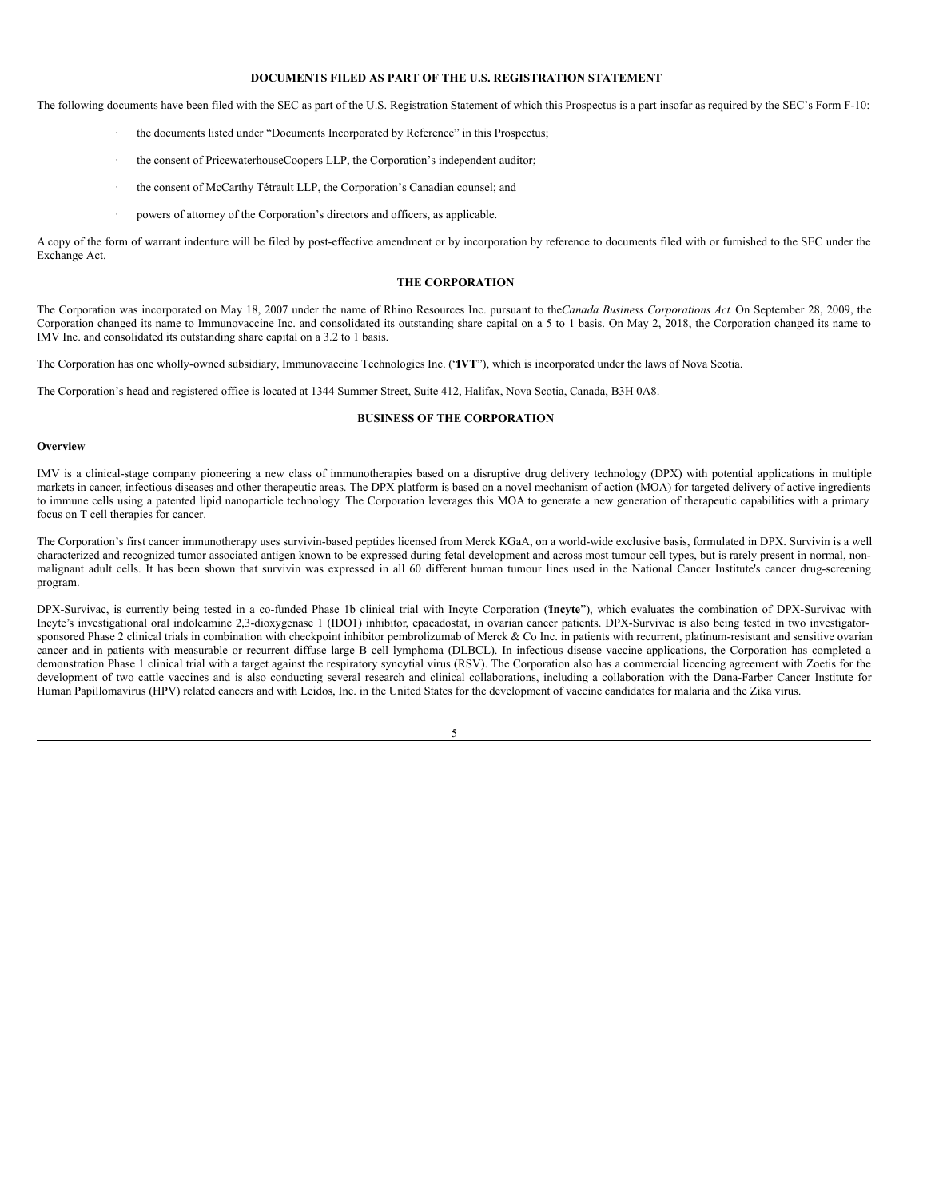### <span id="page-10-0"></span>**DOCUMENTS FILED AS PART OF THE U.S. REGISTRATION STATEMENT**

The following documents have been filed with the SEC as part of the U.S. Registration Statement of which this Prospectus is a part insofar as required by the SEC's Form F-10:

- the documents listed under "Documents Incorporated by Reference" in this Prospectus;
- the consent of PricewaterhouseCoopers LLP, the Corporation's independent auditor;
- · the consent of McCarthy Tétrault LLP, the Corporation's Canadian counsel; and
- powers of attorney of the Corporation's directors and officers, as applicable.

A copy of the form of warrant indenture will be filed by post-effective amendment or by incorporation by reference to documents filed with or furnished to the SEC under the Exchange Act.

#### <span id="page-10-1"></span>**THE CORPORATION**

The Corporation was incorporated on May 18, 2007 under the name of Rhino Resources Inc. pursuant to the*Canada Business Corporations Act*. On September 28, 2009, the Corporation changed its name to Immunovaccine Inc. and consolidated its outstanding share capital on a 5 to 1 basis. On May 2, 2018, the Corporation changed its name to IMV Inc. and consolidated its outstanding share capital on a 3.2 to 1 basis.

The Corporation has one wholly-owned subsidiary, Immunovaccine Technologies Inc. ("**IVT**"), which is incorporated under the laws of Nova Scotia.

The Corporation's head and registered office is located at 1344 Summer Street, Suite 412, Halifax, Nova Scotia, Canada, B3H 0A8.

#### <span id="page-10-2"></span>**BUSINESS OF THE CORPORATION**

#### **Overview**

IMV is a clinical-stage company pioneering a new class of immunotherapies based on a disruptive drug delivery technology (DPX) with potential applications in multiple markets in cancer, infectious diseases and other therapeutic areas. The DPX platform is based on a novel mechanism of action (MOA) for targeted delivery of active ingredients to immune cells using a patented lipid nanoparticle technology. The Corporation leverages this MOA to generate a new generation of therapeutic capabilities with a primary focus on T cell therapies for cancer.

The Corporation's first cancer immunotherapy uses survivin-based peptides licensed from Merck KGaA, on a world-wide exclusive basis, formulated in DPX. Survivin is a well characterized and recognized tumor associated antigen known to be expressed during fetal development and across most tumour cell types, but is rarely present in normal, nonmalignant adult cells. It has been shown that survivin was expressed in all 60 different human tumour lines used in the National Cancer Institute's cancer drug-screening program.

DPX-Survivac, is currently being tested in a co-funded Phase 1b clinical trial with Incyte Corporation ("**Incyte**"), which evaluates the combination of DPX-Survivac with Incyte's investigational oral indoleamine 2,3-dioxygenase 1 (IDO1) inhibitor, epacadostat, in ovarian cancer patients. DPX-Survivac is also being tested in two investigatorsponsored Phase 2 clinical trials in combination with checkpoint inhibitor pembrolizumab of Merck & Co Inc. in patients with recurrent, platinum-resistant and sensitive ovarian cancer and in patients with measurable or recurrent diffuse large B cell lymphoma (DLBCL). In infectious disease vaccine applications, the Corporation has completed a demonstration Phase 1 clinical trial with a target against the respiratory syncytial virus (RSV). The Corporation also has a commercial licencing agreement with Zoetis for the development of two cattle vaccines and is also conducting several research and clinical collaborations, including a collaboration with the Dana-Farber Cancer Institute for Human Papillomavirus (HPV) related cancers and with Leidos, Inc. in the United States for the development of vaccine candidates for malaria and the Zika virus.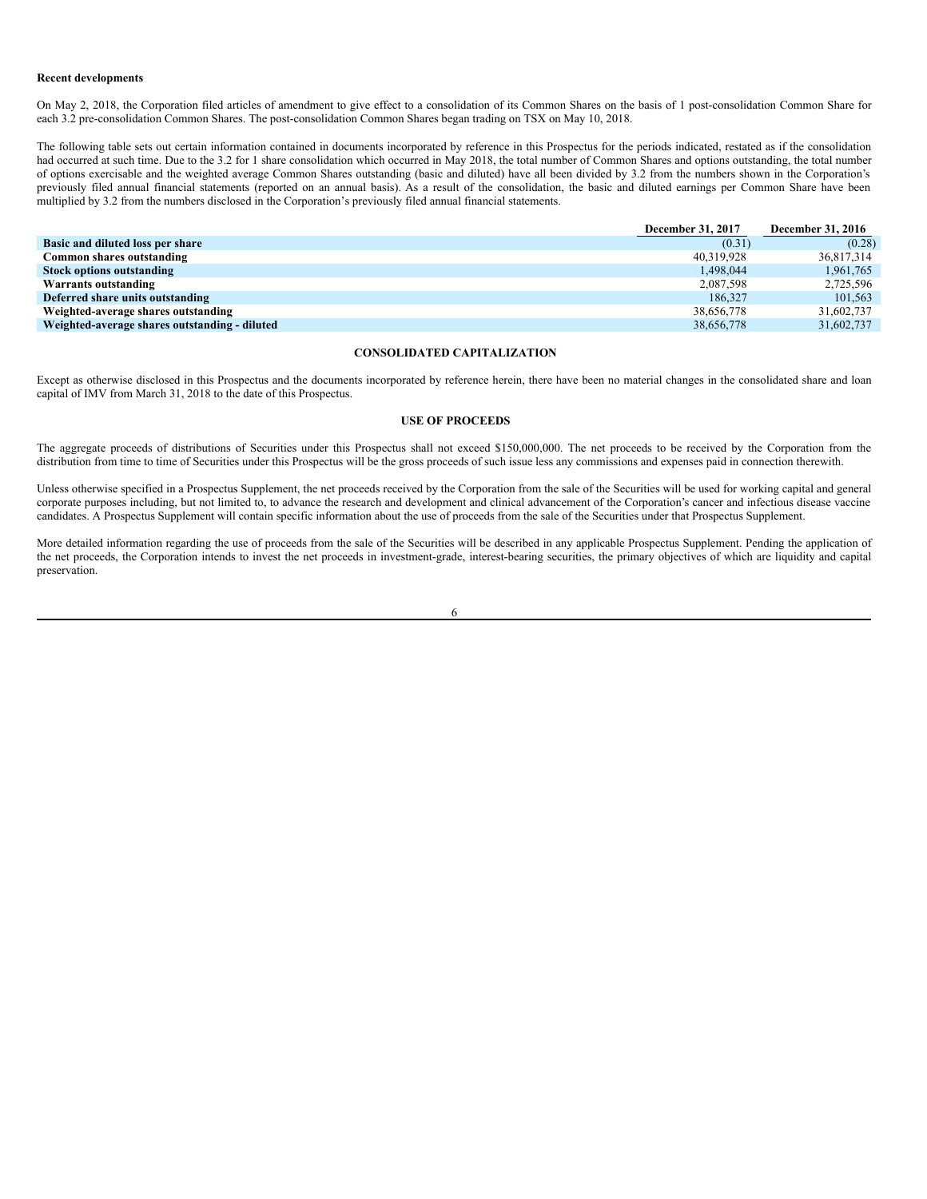#### **Recent developments**

On May 2, 2018, the Corporation filed articles of amendment to give effect to a consolidation of its Common Shares on the basis of 1 post-consolidation Common Share for each 3.2 pre-consolidation Common Shares. The post-consolidation Common Shares began trading on TSX on May 10, 2018.

The following table sets out certain information contained in documents incorporated by reference in this Prospectus for the periods indicated, restated as if the consolidation had occurred at such time. Due to the 3.2 for 1 share consolidation which occurred in May 2018, the total number of Common Shares and options outstanding, the total number of options exercisable and the weighted average Common Shares outstanding (basic and diluted) have all been divided by 3.2 from the numbers shown in the Corporation's previously filed annual financial statements (reported on an annual basis). As a result of the consolidation, the basic and diluted earnings per Common Share have been multiplied by 3.2 from the numbers disclosed in the Corporation's previously filed annual financial statements.

|                                               | <b>December 31, 2017</b> | <b>December 31, 2016</b> |
|-----------------------------------------------|--------------------------|--------------------------|
| Basic and diluted loss per share              | (0.31)                   | (0.28)                   |
| Common shares outstanding                     | 40.319.928               | 36,817,314               |
| <b>Stock options outstanding</b>              | 1.498.044                | 1,961,765                |
| Warrants outstanding                          | 2.087.598                | 2.725.596                |
| Deferred share units outstanding              | 186,327                  | 101.563                  |
| Weighted-average shares outstanding           | 38,656,778               | 31,602,737               |
| Weighted-average shares outstanding - diluted | 38,656,778               | 31,602,737               |

#### <span id="page-11-0"></span>**CONSOLIDATED CAPITALIZATION**

Except as otherwise disclosed in this Prospectus and the documents incorporated by reference herein, there have been no material changes in the consolidated share and loan capital of IMV from March 31, 2018 to the date of this Prospectus.

#### <span id="page-11-1"></span>**USE OF PROCEEDS**

The aggregate proceeds of distributions of Securities under this Prospectus shall not exceed \$150,000,000. The net proceeds to be received by the Corporation from the distribution from time to time of Securities under this Prospectus will be the gross proceeds of such issue less any commissions and expenses paid in connection therewith.

Unless otherwise specified in a Prospectus Supplement, the net proceeds received by the Corporation from the sale of the Securities will be used for working capital and general corporate purposes including, but not limited to, to advance the research and development and clinical advancement of the Corporation's cancer and infectious disease vaccine candidates. A Prospectus Supplement will contain specific information about the use of proceeds from the sale of the Securities under that Prospectus Supplement.

More detailed information regarding the use of proceeds from the sale of the Securities will be described in any applicable Prospectus Supplement. Pending the application of the net proceeds, the Corporation intends to invest the net proceeds in investment-grade, interest-bearing securities, the primary objectives of which are liquidity and capital preservation.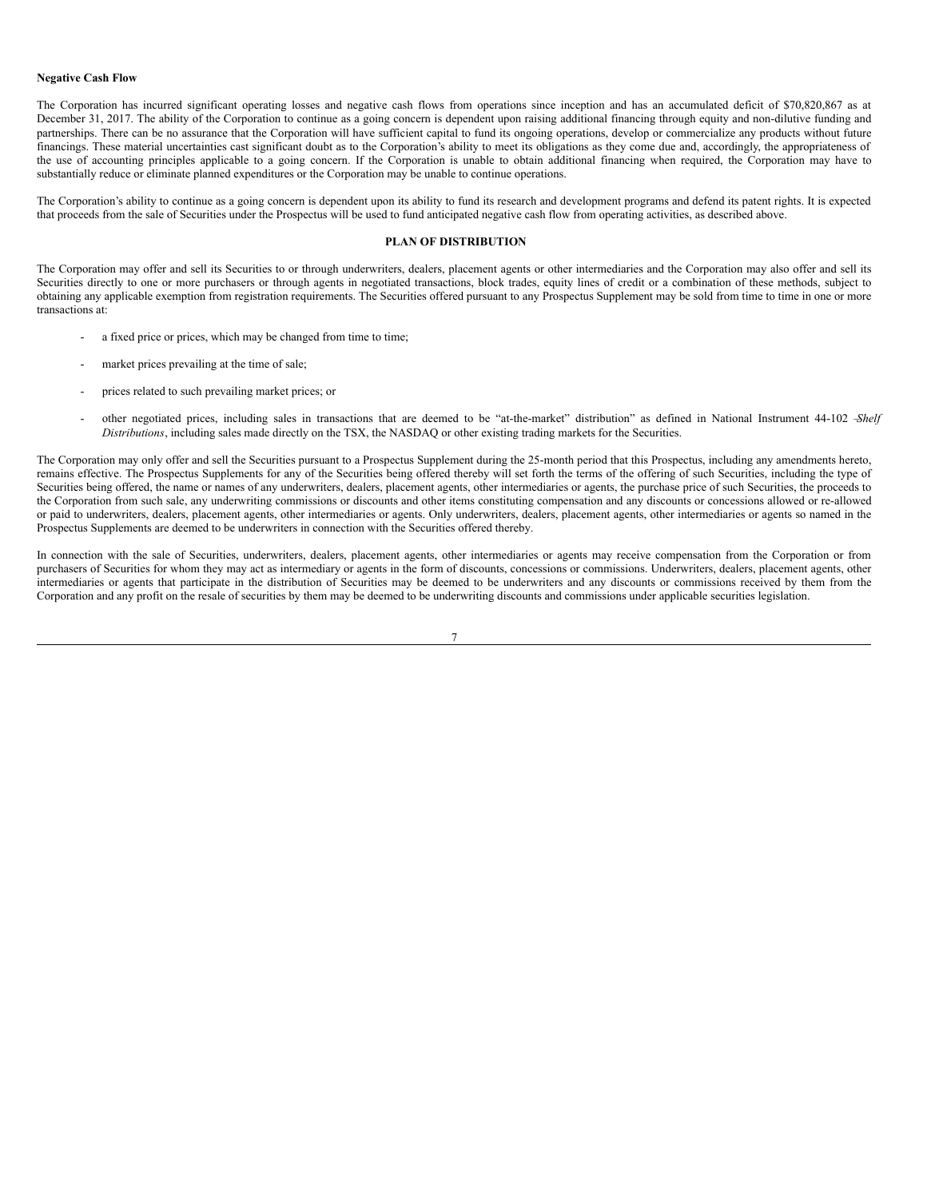#### **Negative Cash Flow**

The Corporation has incurred significant operating losses and negative cash flows from operations since inception and has an accumulated deficit of \$70,820,867 as at December 31, 2017. The ability of the Corporation to continue as a going concern is dependent upon raising additional financing through equity and non-dilutive funding and partnerships. There can be no assurance that the Corporation will have sufficient capital to fund its ongoing operations, develop or commercialize any products without future financings. These material uncertainties cast significant doubt as to the Corporation's ability to meet its obligations as they come due and, accordingly, the appropriateness of the use of accounting principles applicable to a going concern. If the Corporation is unable to obtain additional financing when required, the Corporation may have to substantially reduce or eliminate planned expenditures or the Corporation may be unable to continue operations.

The Corporation's ability to continue as a going concern is dependent upon its ability to fund its research and development programs and defend its patent rights. It is expected that proceeds from the sale of Securities under the Prospectus will be used to fund anticipated negative cash flow from operating activities, as described above.

### <span id="page-12-0"></span>**PLAN OF DISTRIBUTION**

The Corporation may offer and sell its Securities to or through underwriters, dealers, placement agents or other intermediaries and the Corporation may also offer and sell its Securities directly to one or more purchasers or through agents in negotiated transactions, block trades, equity lines of credit or a combination of these methods, subject to obtaining any applicable exemption from registration requirements. The Securities offered pursuant to any Prospectus Supplement may be sold from time to time in one or more transactions at:

- a fixed price or prices, which may be changed from time to time:
- market prices prevailing at the time of sale;
- prices related to such prevailing market prices; or
- other negotiated prices, including sales in transactions that are deemed to be "at-the-market" distribution" as defined in National Instrument 44-102 –*Shelf Distributions*, including sales made directly on the TSX, the NASDAQ or other existing trading markets for the Securities.

The Corporation may only offer and sell the Securities pursuant to a Prospectus Supplement during the 25-month period that this Prospectus, including any amendments hereto, remains effective. The Prospectus Supplements for any of the Securities being offered thereby will set forth the terms of the offering of such Securities, including the type of Securities being offered, the name or names of any underwriters, dealers, placement agents, other intermediaries or agents, the purchase price of such Securities, the proceeds to the Corporation from such sale, any underwriting commissions or discounts and other items constituting compensation and any discounts or concessions allowed or re-allowed or paid to underwriters, dealers, placement agents, other intermediaries or agents. Only underwriters, dealers, placement agents, other intermediaries or agents so named in the Prospectus Supplements are deemed to be underwriters in connection with the Securities offered thereby.

In connection with the sale of Securities, underwriters, dealers, placement agents, other intermediaries or agents may receive compensation from the Corporation or from purchasers of Securities for whom they may act as intermediary or agents in the form of discounts, concessions or commissions. Underwriters, dealers, placement agents, other intermediaries or agents that participate in the distribution of Securities may be deemed to be underwriters and any discounts or commissions received by them from the Corporation and any profit on the resale of securities by them may be deemed to be underwriting discounts and commissions under applicable securities legislation.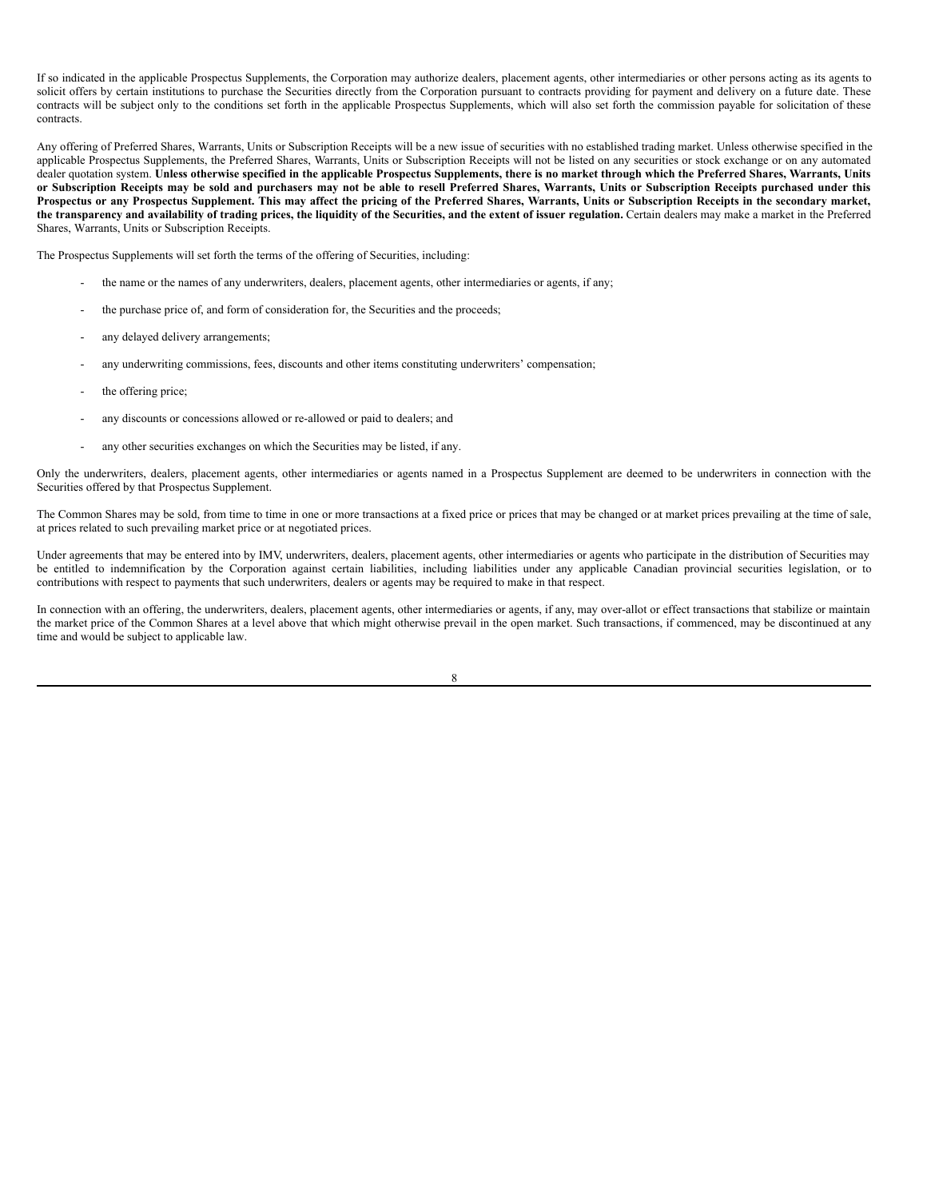If so indicated in the applicable Prospectus Supplements, the Corporation may authorize dealers, placement agents, other intermediaries or other persons acting as its agents to solicit offers by certain institutions to purchase the Securities directly from the Corporation pursuant to contracts providing for payment and delivery on a future date. These contracts will be subject only to the conditions set forth in the applicable Prospectus Supplements, which will also set forth the commission payable for solicitation of these contracts.

Any offering of Preferred Shares, Warrants, Units or Subscription Receipts will be a new issue of securities with no established trading market. Unless otherwise specified in the applicable Prospectus Supplements, the Preferred Shares, Warrants, Units or Subscription Receipts will not be listed on any securities or stock exchange or on any automated dealer quotation system. Unless otherwise specified in the applicable Prospectus Supplements, there is no market through which the Preferred Shares, Warrants, Units or Subscription Receipts may be sold and purchasers may not be able to resell Preferred Shares, Warrants, Units or Subscription Receipts purchased under this Prospectus or any Prospectus Supplement. This may affect the pricing of the Preferred Shares, Warrants, Units or Subscription Receipts in the secondary market, the transparency and availability of trading prices, the liquidity of the Securities, and the extent of issuer regulation. Certain dealers may make a market in the Preferred Shares, Warrants, Units or Subscription Receipts.

The Prospectus Supplements will set forth the terms of the offering of Securities, including:

- the name or the names of any underwriters, dealers, placement agents, other intermediaries or agents, if any;
- the purchase price of, and form of consideration for, the Securities and the proceeds;
- any delayed delivery arrangements;
- any underwriting commissions, fees, discounts and other items constituting underwriters' compensation;
- the offering price;
- any discounts or concessions allowed or re-allowed or paid to dealers; and
- any other securities exchanges on which the Securities may be listed, if any.

Only the underwriters, dealers, placement agents, other intermediaries or agents named in a Prospectus Supplement are deemed to be underwriters in connection with the Securities offered by that Prospectus Supplement.

The Common Shares may be sold, from time to time in one or more transactions at a fixed price or prices that may be changed or at market prices prevailing at the time of sale, at prices related to such prevailing market price or at negotiated prices.

Under agreements that may be entered into by IMV, underwriters, dealers, placement agents, other intermediaries or agents who participate in the distribution of Securities may be entitled to indemnification by the Corporation against certain liabilities, including liabilities under any applicable Canadian provincial securities legislation, or to contributions with respect to payments that such underwriters, dealers or agents may be required to make in that respect.

In connection with an offering, the underwriters, dealers, placement agents, other intermediaries or agents, if any, may over-allot or effect transactions that stabilize or maintain the market price of the Common Shares at a level above that which might otherwise prevail in the open market. Such transactions, if commenced, may be discontinued at any time and would be subject to applicable law.

| I<br>I<br>I |        |  |
|-------------|--------|--|
|             |        |  |
|             |        |  |
|             | ×<br>w |  |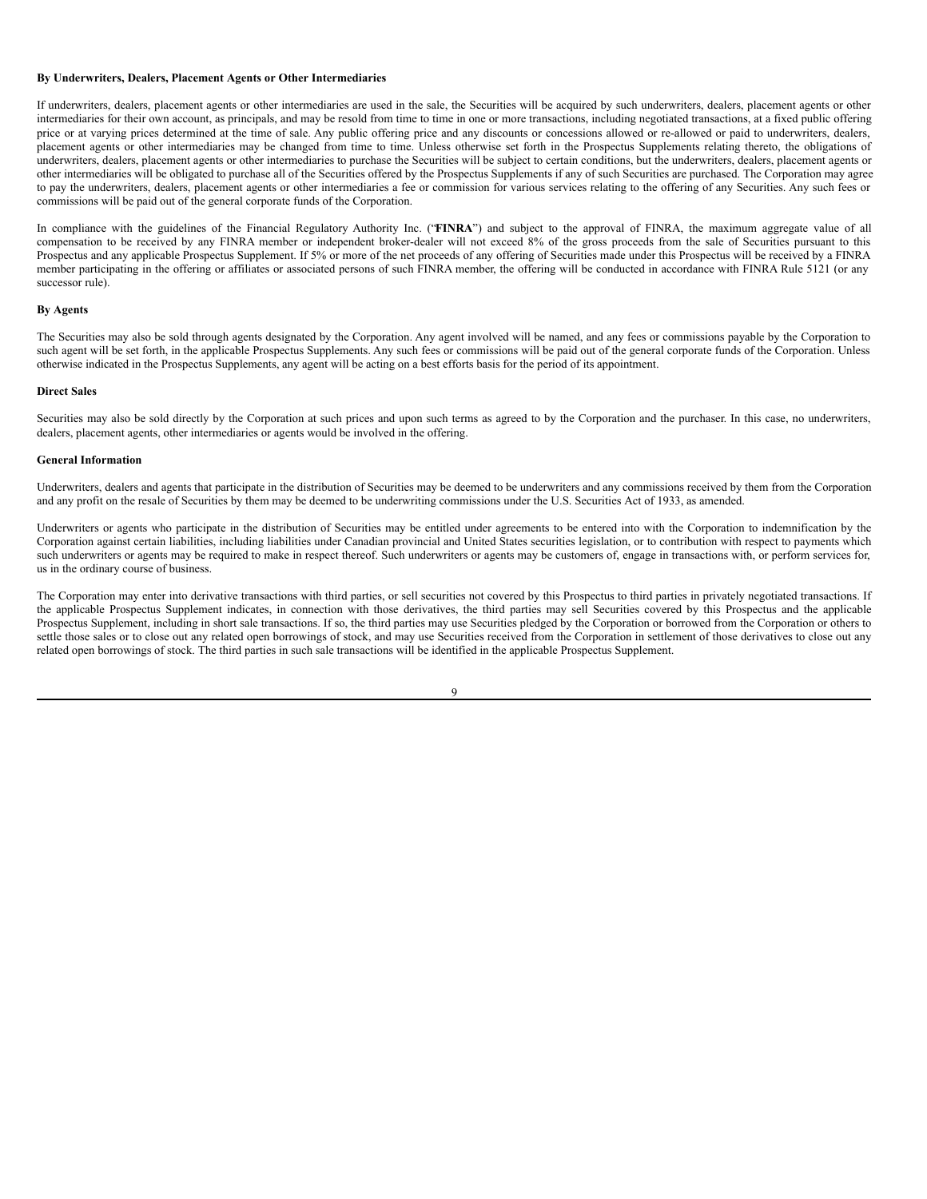#### **By Underwriters, Dealers, Placement Agents or Other Intermediaries**

If underwriters, dealers, placement agents or other intermediaries are used in the sale, the Securities will be acquired by such underwriters, dealers, placement agents or other intermediaries for their own account, as principals, and may be resold from time to time in one or more transactions, including negotiated transactions, at a fixed public offering price or at varying prices determined at the time of sale. Any public offering price and any discounts or concessions allowed or re-allowed or paid to underwriters, dealers, placement agents or other intermediaries may be changed from time to time. Unless otherwise set forth in the Prospectus Supplements relating thereto, the obligations of underwriters, dealers, placement agents or other intermediaries to purchase the Securities will be subject to certain conditions, but the underwriters, dealers, placement agents or other intermediaries will be obligated to purchase all of the Securities offered by the Prospectus Supplements if any of such Securities are purchased. The Corporation may agree to pay the underwriters, dealers, placement agents or other intermediaries a fee or commission for various services relating to the offering of any Securities. Any such fees or commissions will be paid out of the general corporate funds of the Corporation.

In compliance with the guidelines of the Financial Regulatory Authority Inc. ("**FINRA**") and subject to the approval of FINRA, the maximum aggregate value of all compensation to be received by any FINRA member or independent broker-dealer will not exceed 8% of the gross proceeds from the sale of Securities pursuant to this Prospectus and any applicable Prospectus Supplement. If 5% or more of the net proceeds of any offering of Securities made under this Prospectus will be received by a FINRA member participating in the offering or affiliates or associated persons of such FINRA member, the offering will be conducted in accordance with FINRA Rule 5121 (or any successor rule).

#### **By Agents**

The Securities may also be sold through agents designated by the Corporation. Any agent involved will be named, and any fees or commissions payable by the Corporation to such agent will be set forth, in the applicable Prospectus Supplements. Any such fees or commissions will be paid out of the general corporate funds of the Corporation. Unless otherwise indicated in the Prospectus Supplements, any agent will be acting on a best efforts basis for the period of its appointment.

#### **Direct Sales**

Securities may also be sold directly by the Corporation at such prices and upon such terms as agreed to by the Corporation and the purchaser. In this case, no underwriters, dealers, placement agents, other intermediaries or agents would be involved in the offering.

#### **General Information**

Underwriters, dealers and agents that participate in the distribution of Securities may be deemed to be underwriters and any commissions received by them from the Corporation and any profit on the resale of Securities by them may be deemed to be underwriting commissions under the U.S. Securities Act of 1933, as amended.

Underwriters or agents who participate in the distribution of Securities may be entitled under agreements to be entered into with the Corporation to indemnification by the Corporation against certain liabilities, including liabilities under Canadian provincial and United States securities legislation, or to contribution with respect to payments which such underwriters or agents may be required to make in respect thereof. Such underwriters or agents may be customers of, engage in transactions with, or perform services for, us in the ordinary course of business.

The Corporation may enter into derivative transactions with third parties, or sell securities not covered by this Prospectus to third parties in privately negotiated transactions. If the applicable Prospectus Supplement indicates, in connection with those derivatives, the third parties may sell Securities covered by this Prospectus and the applicable Prospectus Supplement, including in short sale transactions. If so, the third parties may use Securities pledged by the Corporation or borrowed from the Corporation or others to settle those sales or to close out any related open borrowings of stock, and may use Securities received from the Corporation in settlement of those derivatives to close out any related open borrowings of stock. The third parties in such sale transactions will be identified in the applicable Prospectus Supplement.

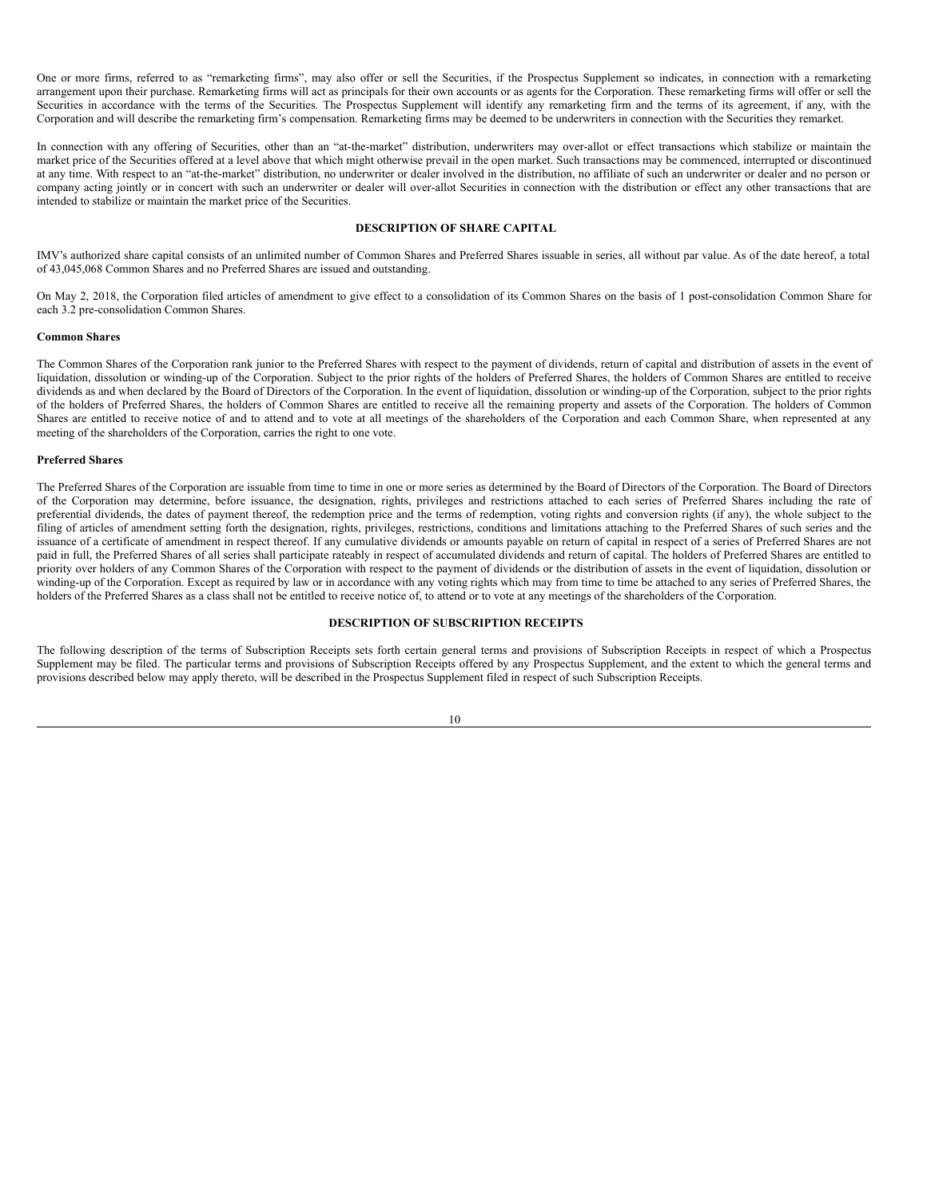One or more firms, referred to as "remarketing firms", may also offer or sell the Securities, if the Prospectus Supplement so indicates, in connection with a remarketing arrangement upon their purchase. Remarketing firms will act as principals for their own accounts or as agents for the Corporation. These remarketing firms will offer or sell the Securities in accordance with the terms of the Securities. The Prospectus Supplement will identify any remarketing firm and the terms of its agreement, if any, with the Corporation and will describe the remarketing firm's compensation. Remarketing firms may be deemed to be underwriters in connection with the Securities they remarket.

In connection with any offering of Securities, other than an "at-the-market" distribution, underwriters may over-allot or effect transactions which stabilize or maintain the market price of the Securities offered at a level above that which might otherwise prevail in the open market. Such transactions may be commenced, interrupted or discontinued at any time. With respect to an "at-the-market" distribution, no underwriter or dealer involved in the distribution, no affiliate of such an underwriter or dealer and no person or company acting jointly or in concert with such an underwriter or dealer will over-allot Securities in connection with the distribution or effect any other transactions that are intended to stabilize or maintain the market price of the Securities.

#### <span id="page-15-0"></span>**DESCRIPTION OF SHARE CAPITAL**

IMV's authorized share capital consists of an unlimited number of Common Shares and Preferred Shares issuable in series, all without par value. As of the date hereof, a total of 43,045,068 Common Shares and no Preferred Shares are issued and outstanding.

On May 2, 2018, the Corporation filed articles of amendment to give effect to a consolidation of its Common Shares on the basis of 1 post-consolidation Common Share for each 3.2 pre-consolidation Common Shares.

#### **Common Shares**

The Common Shares of the Corporation rank junior to the Preferred Shares with respect to the payment of dividends, return of capital and distribution of assets in the event of liquidation, dissolution or winding-up of the Corporation. Subject to the prior rights of the holders of Preferred Shares, the holders of Common Shares are entitled to receive dividends as and when declared by the Board of Directors of the Corporation. In the event of liquidation, dissolution or winding-up of the Corporation, subject to the prior rights of the holders of Preferred Shares, the holders of Common Shares are entitled to receive all the remaining property and assets of the Corporation. The holders of Common Shares are entitled to receive notice of and to attend and to vote at all meetings of the shareholders of the Corporation and each Common Share, when represented at any meeting of the shareholders of the Corporation, carries the right to one vote.

#### **Preferred Shares**

The Preferred Shares of the Corporation are issuable from time to time in one or more series as determined by the Board of Directors of the Corporation. The Board of Directors of the Corporation may determine, before issuance, the designation, rights, privileges and restrictions attached to each series of Preferred Shares including the rate of preferential dividends, the dates of payment thereof, the redemption price and the terms of redemption, voting rights and conversion rights (if any), the whole subject to the filing of articles of amendment setting forth the designation, rights, privileges, restrictions, conditions and limitations attaching to the Preferred Shares of such series and the issuance of a certificate of amendment in respect thereof. If any cumulative dividends or amounts payable on return of capital in respect of a series of Preferred Shares are not paid in full, the Preferred Shares of all series shall participate rateably in respect of accumulated dividends and return of capital. The holders of Preferred Shares are entitled to priority over holders of any Common Shares of the Corporation with respect to the payment of dividends or the distribution of assets in the event of liquidation, dissolution or winding-up of the Corporation. Except as required by law or in accordance with any voting rights which may from time to time be attached to any series of Preferred Shares, the holders of the Preferred Shares as a class shall not be entitled to receive notice of, to attend or to vote at any meetings of the shareholders of the Corporation.

#### <span id="page-15-1"></span>**DESCRIPTION OF SUBSCRIPTION RECEIPTS**

The following description of the terms of Subscription Receipts sets forth certain general terms and provisions of Subscription Receipts in respect of which a Prospectus Supplement may be filed. The particular terms and provisions of Subscription Receipts offered by any Prospectus Supplement, and the extent to which the general terms and provisions described below may apply thereto, will be described in the Prospectus Supplement filed in respect of such Subscription Receipts.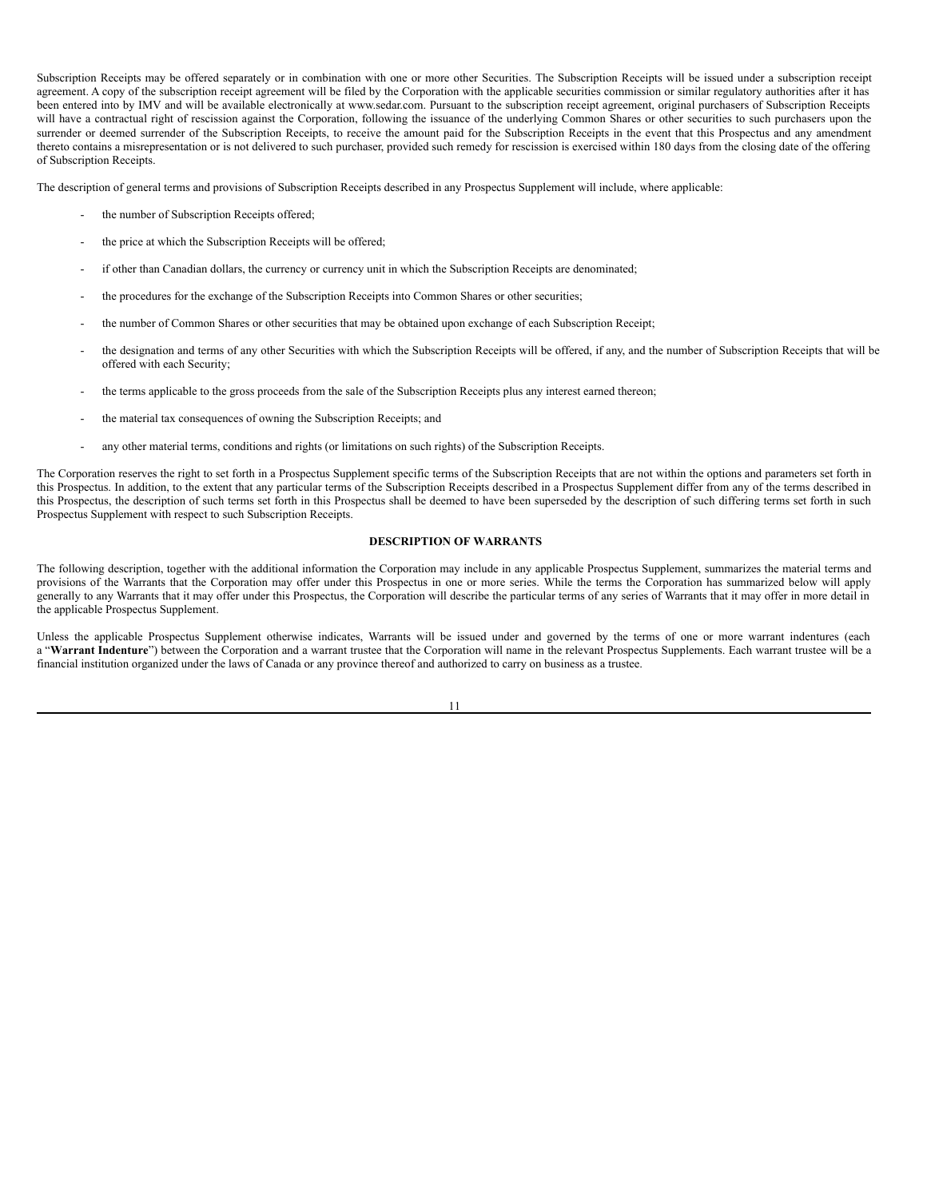Subscription Receipts may be offered separately or in combination with one or more other Securities. The Subscription Receipts will be issued under a subscription receipt agreement. A copy of the subscription receipt agreement will be filed by the Corporation with the applicable securities commission or similar regulatory authorities after it has been entered into by IMV and will be available electronically at www.sedar.com. Pursuant to the subscription receipt agreement, original purchasers of Subscription Receipts will have a contractual right of rescission against the Corporation, following the issuance of the underlying Common Shares or other securities to such purchasers upon the surrender or deemed surrender of the Subscription Receipts, to receive the amount paid for the Subscription Receipts in the event that this Prospectus and any amendment thereto contains a misrepresentation or is not delivered to such purchaser, provided such remedy for rescission is exercised within 180 days from the closing date of the offering of Subscription Receipts.

The description of general terms and provisions of Subscription Receipts described in any Prospectus Supplement will include, where applicable:

- the number of Subscription Receipts offered;
- the price at which the Subscription Receipts will be offered;
- if other than Canadian dollars, the currency or currency unit in which the Subscription Receipts are denominated;
- the procedures for the exchange of the Subscription Receipts into Common Shares or other securities;
- the number of Common Shares or other securities that may be obtained upon exchange of each Subscription Receipt;
- the designation and terms of any other Securities with which the Subscription Receipts will be offered, if any, and the number of Subscription Receipts that will be offered with each Security;
- the terms applicable to the gross proceeds from the sale of the Subscription Receipts plus any interest earned thereon;
- the material tax consequences of owning the Subscription Receipts; and
- any other material terms, conditions and rights (or limitations on such rights) of the Subscription Receipts.

The Corporation reserves the right to set forth in a Prospectus Supplement specific terms of the Subscription Receipts that are not within the options and parameters set forth in this Prospectus. In addition, to the extent that any particular terms of the Subscription Receipts described in a Prospectus Supplement differ from any of the terms described in this Prospectus, the description of such terms set forth in this Prospectus shall be deemed to have been superseded by the description of such differing terms set forth in such Prospectus Supplement with respect to such Subscription Receipts.

#### <span id="page-16-0"></span>**DESCRIPTION OF WARRANTS**

The following description, together with the additional information the Corporation may include in any applicable Prospectus Supplement, summarizes the material terms and provisions of the Warrants that the Corporation may offer under this Prospectus in one or more series. While the terms the Corporation has summarized below will apply generally to any Warrants that it may offer under this Prospectus, the Corporation will describe the particular terms of any series of Warrants that it may offer in more detail in the applicable Prospectus Supplement.

Unless the applicable Prospectus Supplement otherwise indicates. Warrants will be issued under and governed by the terms of one or more warrant indentures (each a "**Warrant Indenture**") between the Corporation and a warrant trustee that the Corporation will name in the relevant Prospectus Supplements. Each warrant trustee will be a financial institution organized under the laws of Canada or any province thereof and authorized to carry on business as a trustee.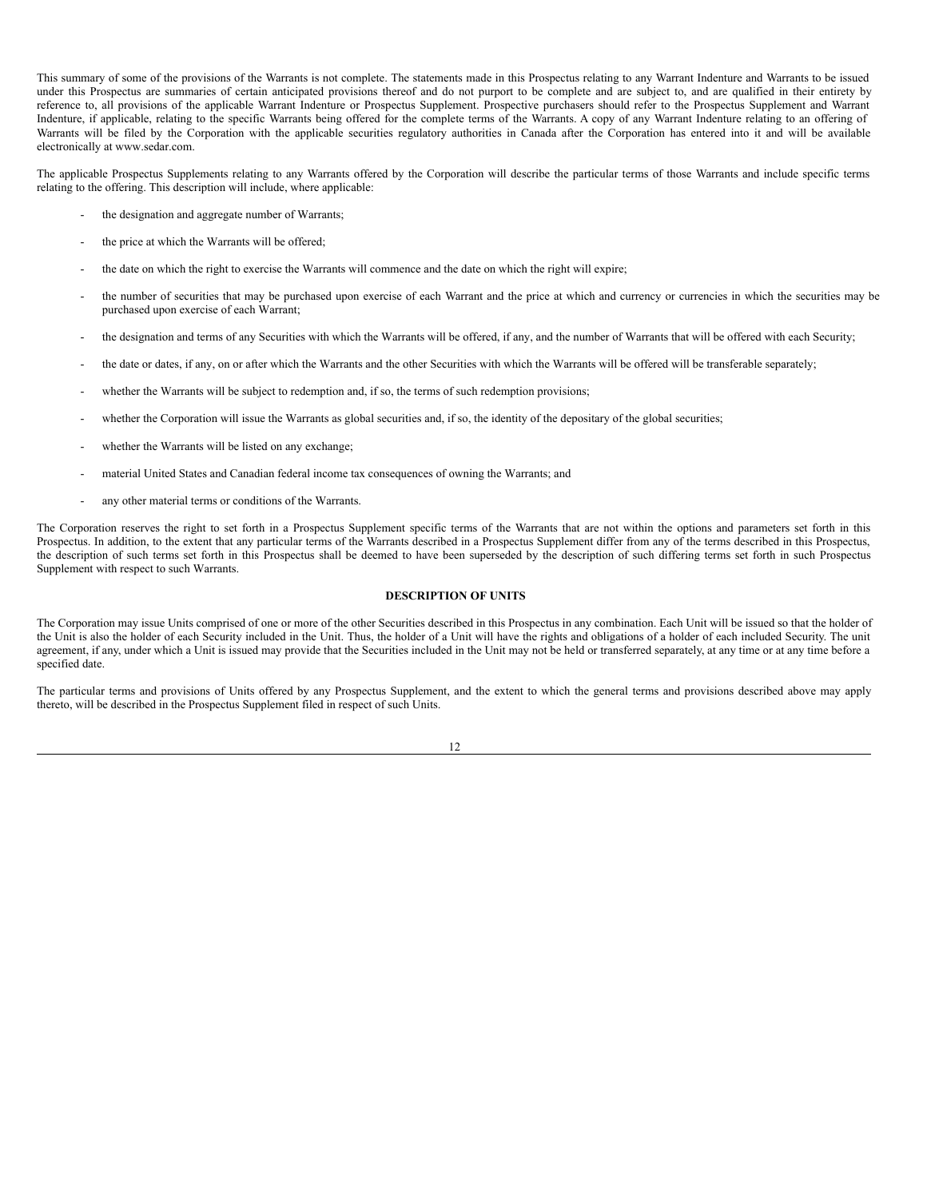This summary of some of the provisions of the Warrants is not complete. The statements made in this Prospectus relating to any Warrant Indenture and Warrants to be issued under this Prospectus are summaries of certain anticipated provisions thereof and do not purport to be complete and are subject to, and are qualified in their entirety by reference to, all provisions of the applicable Warrant Indenture or Prospectus Supplement. Prospective purchasers should refer to the Prospectus Supplement and Warrant Indenture, if applicable, relating to the specific Warrants being offered for the complete terms of the Warrants. A copy of any Warrant Indenture relating to an offering of Warrants will be filed by the Corporation with the applicable securities regulatory authorities in Canada after the Corporation has entered into it and will be available electronically at www.sedar.com.

The applicable Prospectus Supplements relating to any Warrants offered by the Corporation will describe the particular terms of those Warrants and include specific terms relating to the offering. This description will include, where applicable:

- the designation and aggregate number of Warrants;
- the price at which the Warrants will be offered;
- the date on which the right to exercise the Warrants will commence and the date on which the right will expire;
- the number of securities that may be purchased upon exercise of each Warrant and the price at which and currency or currencies in which the securities may be purchased upon exercise of each Warrant;
- the designation and terms of any Securities with which the Warrants will be offered, if any, and the number of Warrants that will be offered with each Security;
- the date or dates, if any, on or after which the Warrants and the other Securities with which the Warrants will be offered will be transferable separately;
- whether the Warrants will be subject to redemption and, if so, the terms of such redemption provisions;
- whether the Corporation will issue the Warrants as global securities and, if so, the identity of the depositary of the global securities;
- whether the Warrants will be listed on any exchange;
- material United States and Canadian federal income tax consequences of owning the Warrants; and
- any other material terms or conditions of the Warrants.

The Corporation reserves the right to set forth in a Prospectus Supplement specific terms of the Warrants that are not within the options and parameters set forth in this Prospectus. In addition, to the extent that any particular terms of the Warrants described in a Prospectus Supplement differ from any of the terms described in this Prospectus, the description of such terms set forth in this Prospectus shall be deemed to have been superseded by the description of such differing terms set forth in such Prospectus Supplement with respect to such Warrants.

#### <span id="page-17-0"></span>**DESCRIPTION OF UNITS**

The Corporation may issue Units comprised of one or more of the other Securities described in this Prospectus in any combination. Each Unit will be issued so that the holder of the Unit is also the holder of each Security included in the Unit. Thus, the holder of a Unit will have the rights and obligations of a holder of each included Security. The unit agreement, if any, under which a Unit is issued may provide that the Securities included in the Unit may not be held or transferred separately, at any time or at any time before a specified date.

The particular terms and provisions of Units offered by any Prospectus Supplement, and the extent to which the general terms and provisions described above may apply thereto, will be described in the Prospectus Supplement filed in respect of such Units.

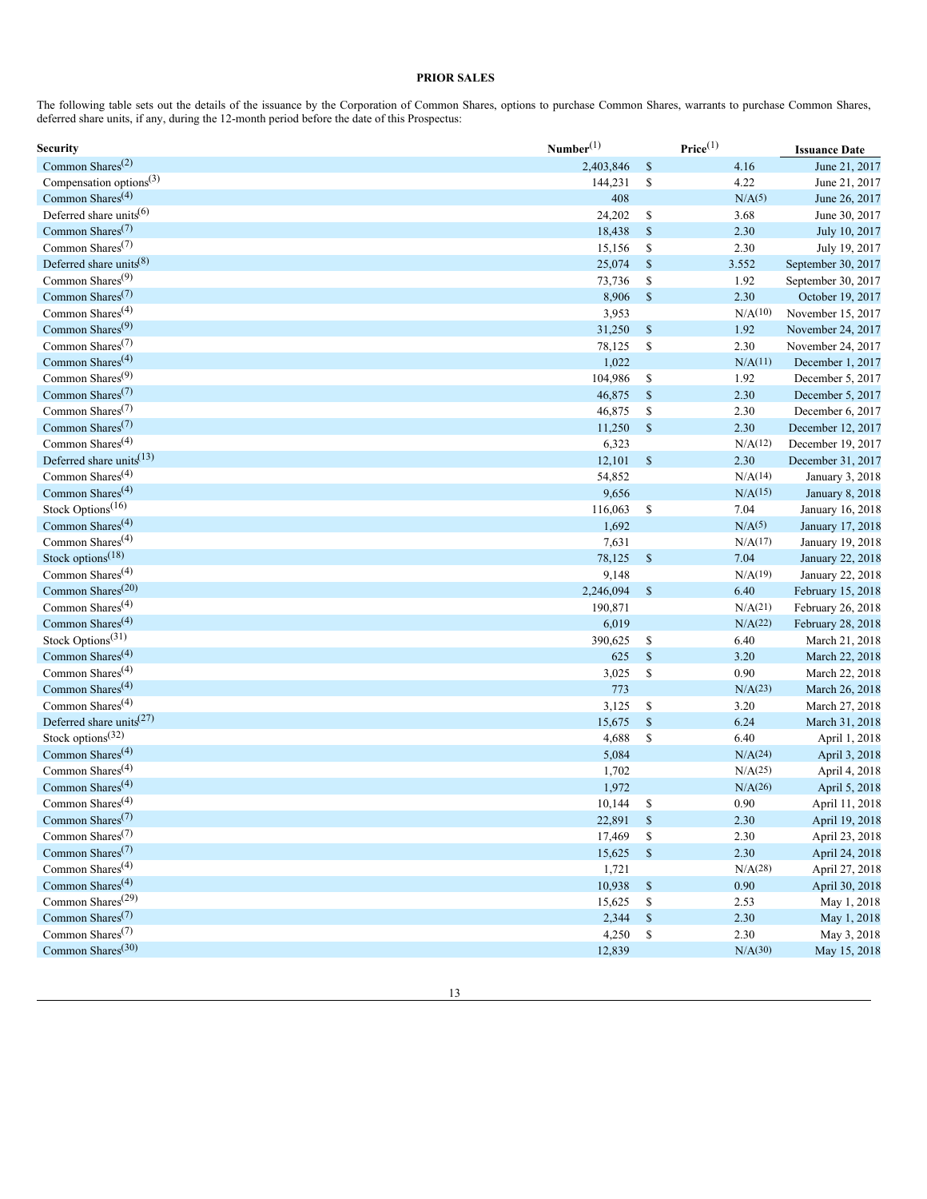# <span id="page-18-0"></span>**PRIOR SALES**

The following table sets out the details of the issuance by the Corporation of Common Shares, options to purchase Common Shares, warrants to purchase Common Shares, deferred share units, if any, during the 12-month period before the date of this Prospectus:

| Security                                  | Number <sup>(1)</sup> |               | $\mathbf{Price}^{(1)}$ | <b>Issuance Date</b>                   |
|-------------------------------------------|-----------------------|---------------|------------------------|----------------------------------------|
| Common Shares <sup>(2)</sup>              | 2,403,846             | $\mathbb{S}$  | 4.16                   | June 21, 2017                          |
| Compensation options $(3)$                | 144,231               | $\mathbb{S}$  | 4.22                   | June 21, 2017                          |
| Common Shares <sup>(4)</sup>              | 408                   |               | N/A <sup>(5)</sup>     | June 26, 2017                          |
| Deferred share units <sup>(6)</sup>       | 24,202                | \$            | 3.68                   | June 30, 2017                          |
| Common Shares <sup>(7)</sup>              | 18,438                | $\mathbb{S}$  | 2.30                   | July 10, 2017                          |
| Common Shares <sup>(7)</sup>              | 15,156                | $\mathbb{S}$  | 2.30                   | July 19, 2017                          |
| Deferred share units $(8)$                | 25,074                | $\mathbb{S}$  | 3.552                  | September 30, 2017                     |
| Common Shares <sup>(9)</sup>              | 73,736                | \$            | 1.92                   | September 30, 2017                     |
| Common Shares <sup>(7)</sup>              | 8,906                 | $\mathbb S$   | 2.30                   | October 19, 2017                       |
| Common Shares <sup>(4)</sup>              | 3,953                 |               | N/A(10)                | November 15, 2017                      |
| Common Shares <sup>(9)</sup>              | 31,250                | $\mathbb{S}$  | 1.92                   | November 24, 2017                      |
| Common Shares <sup>(7)</sup>              | 78,125                | $\mathbb{S}$  | 2.30                   | November 24, 2017                      |
| Common Shares <sup>(4)</sup>              | 1,022                 |               | N/A <sup>(11)</sup>    | December 1, 2017                       |
| Common Shares <sup>(9)</sup>              | 104,986               | \$            | 1.92                   | December 5, 2017                       |
| Common Shares <sup><math>(7)</math></sup> | 46,875                | $\mathbb{S}$  | 2.30                   | December 5, 2017                       |
| Common Shares <sup>(7)</sup>              | 46,875                | $\mathbb{S}$  | 2.30                   | December 6, 2017                       |
| Common Shares <sup><math>(7)</math></sup> | 11,250                | $\mathbb{S}$  | 2.30                   | December 12, 2017                      |
| Common Shares <sup><math>(4)</math></sup> | 6,323                 |               | N/A <sup>(12)</sup>    | December 19, 2017                      |
| Deferred share units <sup>(13)</sup>      | 12,101                | $\mathbb S$   | 2.30                   | December 31, 2017                      |
| Common Shares <sup>(4)</sup>              | 54,852                |               | N/A(14)                | January 3, 2018                        |
| Common Shares <sup>(4)</sup>              | 9,656                 |               | N/A(15)                | January 8, 2018                        |
| Stock Options <sup>(16)</sup>             | 116,063               | $\mathbb{S}$  | 7.04                   | January 16, 2018                       |
| Common Shares <sup>(4)</sup>              | 1,692                 |               | N/A <sup>(5)</sup>     | January 17, 2018                       |
| Common Shares <sup><math>(4)</math></sup> | 7,631                 |               | N/A(17)                | January 19, 2018                       |
| Stock options <sup>(18)</sup>             | 78,125                | $\mathbb S$   | 7.04                   | January 22, 2018                       |
| Common Shares <sup><math>(4)</math></sup> | 9,148                 |               | N/A(19)                | January 22, 2018                       |
| Common Shares <sup>(20)</sup>             | 2,246,094             | $\$$          | 6.40                   | February 15, 2018                      |
| Common Shares <sup><math>(4)</math></sup> | 190,871               |               | N/A <sup>(21)</sup>    |                                        |
| Common Shares <sup><math>(4)</math></sup> | 6,019                 |               | N/A(22)                | February 26, 2018<br>February 28, 2018 |
| Stock Options <sup>(31)</sup>             |                       |               |                        |                                        |
| Common Shares <sup>(4)</sup>              | 390,625               | \$            | 6.40                   | March 21, 2018                         |
| Common Shares <sup>(4)</sup>              | 625                   | $\mathbb{S}$  | 3.20                   | March 22, 2018                         |
|                                           | 3,025                 | $\mathbb{S}$  | 0.90                   | March 22, 2018                         |
| Common Shares <sup><math>(4)</math></sup> | 773                   |               | N/A <sup>(23)</sup>    | March 26, 2018                         |
| Common Shares <sup>(4)</sup>              | 3,125                 | ${\mathbb S}$ | 3.20                   | March 27, 2018                         |
| Deferred share units <sup>(27)</sup>      | 15,675                | $\mathbb{S}$  | 6.24                   | March 31, 2018                         |
| Stock options <sup>(32)</sup>             | 4,688                 | \$            | 6.40                   | April 1, 2018                          |
| Common Shares <sup><math>(4)</math></sup> | 5,084                 |               | N/A(24)                | April 3, 2018                          |
| Common Shares <sup>(4)</sup>              | 1,702                 |               | $N/A^{(25)}$           | April 4, 2018                          |
| Common Shares <sup><math>(4)</math></sup> | 1,972                 |               | N/A(26)                | April 5, 2018                          |
| Common Shares <sup><math>(4)</math></sup> | 10,144                | \$            | 0.90                   | April 11, 2018                         |
| Common Shares <sup>(7)</sup>              | 22,891                | $\mathbb{S}$  | 2.30                   | April 19, 2018                         |
| Common Shares <sup>(7)</sup>              | 17,469                | $\mathbb{S}$  | 2.30                   | April 23, 2018                         |
| Common Shares <sup>(7)</sup>              | 15,625                | $\mathbb{S}$  | 2.30                   | April 24, 2018                         |
| Common Shares <sup>(4)</sup>              | 1,721                 |               | N/A(28)                | April 27, 2018                         |
| Common Shares <sup>(4)</sup>              | 10,938                | $\$$          | 0.90                   | April 30, 2018                         |
| Common Shares <sup>(29)</sup>             | 15,625                | ${\mathbb S}$ | 2.53                   | May 1, 2018                            |
| Common Shares <sup>(7)</sup>              | 2,344                 | $\mathbb{S}$  | 2.30                   | May 1, 2018                            |
| Common Shares <sup>(7)</sup>              | 4,250                 | $\mathbb{S}$  | 2.30                   | May 3, 2018                            |
| Common Shares <sup>(30)</sup>             | 12,839                |               | N/A(30)                | May 15, 2018                           |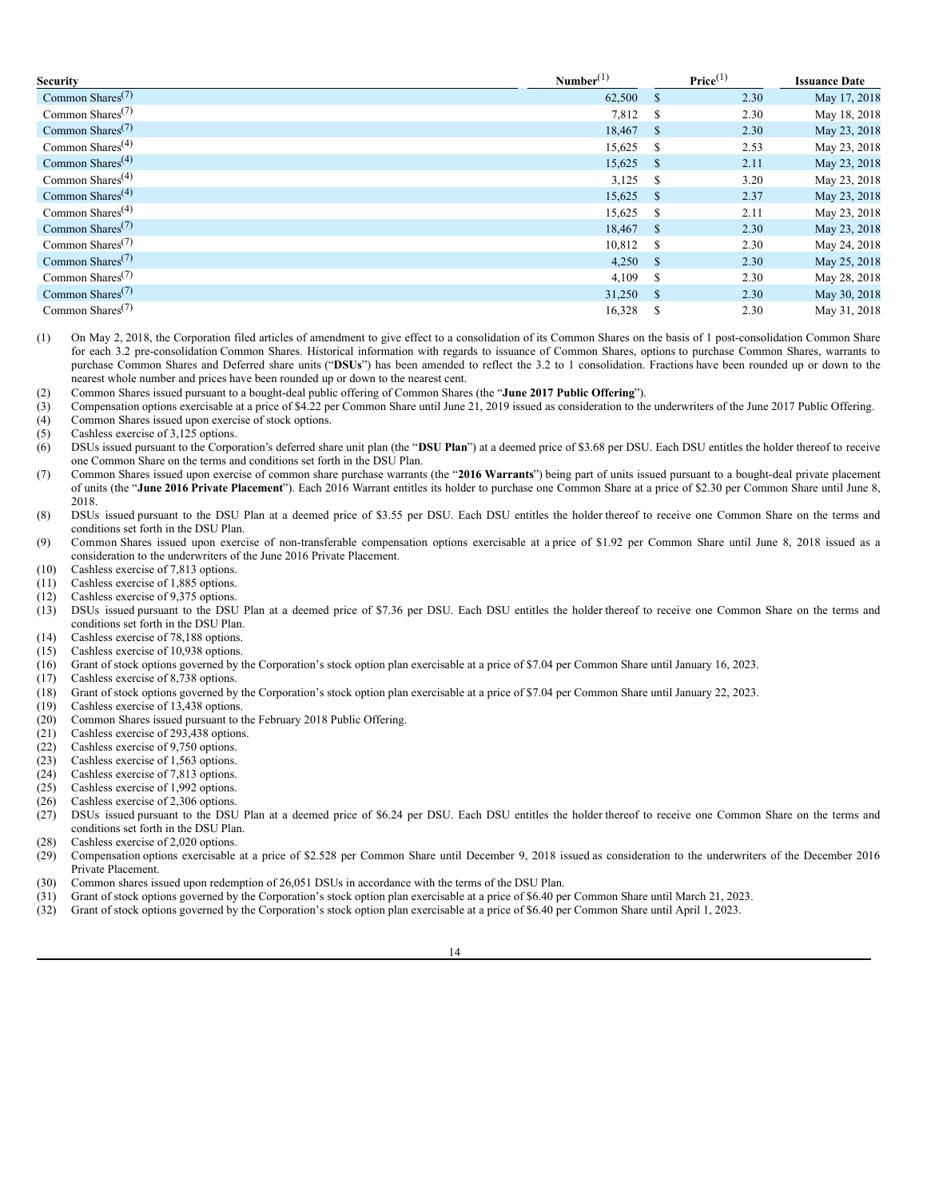| <b>Security</b>                           | Number <sup>(1)</sup> |              | Price <sup>(1)</sup> | <b>Issuance Date</b> |
|-------------------------------------------|-----------------------|--------------|----------------------|----------------------|
| Common Shares <sup><math>(7)</math></sup> | 62,500                | - \$         | 2.30                 | May 17, 2018         |
| Common Shares <sup><math>(7)</math></sup> | 7,812 \$              |              | 2.30                 | May 18, 2018         |
| Common Shares <sup><math>(7)</math></sup> | 18,467 \$             |              | 2.30                 | May 23, 2018         |
| Common Shares <sup><math>(4)</math></sup> | 15,625                | - S          | 2.53                 | May 23, 2018         |
| Common Shares <sup><math>(4)</math></sup> | $15,625$ \$           |              | 2.11                 | May 23, 2018         |
| Common Shares <sup><math>(4)</math></sup> | $3,125$ \$            |              | 3.20                 | May 23, 2018         |
| Common Shares <sup><math>(4)</math></sup> | $15,625$ \$           |              | 2.37                 | May 23, 2018         |
| Common Shares <sup><math>(4)</math></sup> | 15,625                | - S          | 2.11                 | May 23, 2018         |
| Common Shares <sup><math>(7)</math></sup> | 18,467 \$             |              | 2.30                 | May 23, 2018         |
| Common Shares <sup><math>(7)</math></sup> | 10,812 \$             |              | 2.30                 | May 24, 2018         |
| Common Shares <sup><math>(7)</math></sup> | $4,250$ \$            |              | 2.30                 | May 25, 2018         |
| Common Shares <sup><math>(7)</math></sup> | 4,109                 | <sup>S</sup> | 2.30                 | May 28, 2018         |
| Common Shares <sup><math>(7)</math></sup> | 31,250                | $\mathbf{s}$ | 2.30                 | May 30, 2018         |
| Common Shares <sup><math>(7)</math></sup> | 16,328                |              | 2.30                 | May 31, 2018         |

(1) On May 2, 2018, the Corporation filed articles of amendment to give effect to a consolidation of its Common Shares on the basis of 1 post-consolidation Common Share for each 3.2 pre-consolidation Common Shares. Historical information with regards to issuance of Common Shares, options to purchase Common Shares, warrants to purchase Common Shares and Deferred share units ("**DSUs**") has been amended to reflect the 3.2 to 1 consolidation. Fractions have been rounded up or down to the nearest whole number and prices have been rounded up or down to the nearest cent.

- (2) Common Shares issued pursuant to a bought-deal public offering of Common Shares (the "**June 2017 Public Offering**").
- (3) Compensation options exercisable at a price of \$4.22 per Common Share until June 21, 2019 issued as consideration to the underwriters of the June 2017 Public Offering.
- (4) Common Shares issued upon exercise of stock options.
- (5) Cashless exercise of 3,125 options.
- (6) DSUs issued pursuant to the Corporation's deferred share unit plan (the "**DSU Plan**") at a deemed price of \$3.68 per DSU. Each DSU entitles the holder thereof to receive one Common Share on the terms and conditions set forth in the DSU Plan.
- (7) Common Shares issued upon exercise of common share purchase warrants (the "**2016 Warrants**") being part of units issued pursuant to a bought-deal private placement of units (the "**June 2016 Private Placement**"). Each 2016 Warrant entitles its holder to purchase one Common Share at a price of \$2.30 per Common Share until June 8, 2018.
- (8) DSUs issued pursuant to the DSU Plan at a deemed price of \$3.55 per DSU. Each DSU entitles the holder thereof to receive one Common Share on the terms and conditions set forth in the DSU Plan.
- (9) Common Shares issued upon exercise of non-transferable compensation options exercisable at a price of \$1.92 per Common Share until June 8, 2018 issued as a consideration to the underwriters of the June 2016 Private Placement.
- (10) Cashless exercise of 7,813 options.
- (11) Cashless exercise of 1,885 options.
- (12) Cashless exercise of 9,375 options.
- (13) DSUs issued pursuant to the DSU Plan at a deemed price of \$7.36 per DSU. Each DSU entitles the holder thereof to receive one Common Share on the terms and conditions set forth in the DSU Plan.
- (14) Cashless exercise of 78,188 options.
- (15) Cashless exercise of 10,938 options.<br>(16) Grant of stock options governed by t
- (16) Grant of stock options governed by the Corporation's stock option plan exercisable at a price of \$7.04 per Common Share until January 16, 2023.
- (17) Cashless exercise of 8,738 options.<br>(18) Grant of stock options governed by
- (18) Grant of stock options governed by the Corporation's stock option plan exercisable at a price of \$7.04 per Common Share until January 22, 2023.
- (19) Cashless exercise of 13,438 options.
- (20) Common Shares issued pursuant to the February 2018 Public Offering.
- (21) Cashless exercise of 293,438 options.<br>(22) Cashless exercise of 9,750 options.
- Cashless exercise of 9,750 options.
- (23) Cashless exercise of 1,563 options.
- (24) Cashless exercise of 7,813 options.
- (25) Cashless exercise of 1,992 options.
- (26) Cashless exercise of 2,306 options.<br>(27) DSUs issued pursuant to the DSU
- DSUs issued pursuant to the DSU Plan at a deemed price of \$6.24 per DSU. Each DSU entitles the holder thereof to receive one Common Share on the terms and conditions set forth in the DSU Plan.
- (28) Cashless exercise of 2,020 options.<br>(29) Compensation options exercisable
- (29) Compensation options exercisable at a price of \$2.528 per Common Share until December 9, 2018 issued as consideration to the underwriters of the December 2016 Private Placement.
- (30) Common shares issued upon redemption of 26,051 DSUs in accordance with the terms of the DSU Plan.
- (31) Grant of stock options governed by the Corporation's stock option plan exercisable at a price of \$6.40 per Common Share until March 21, 2023.
- (32) Grant of stock options governed by the Corporation's stock option plan exercisable at a price of \$6.40 per Common Share until April 1, 2023.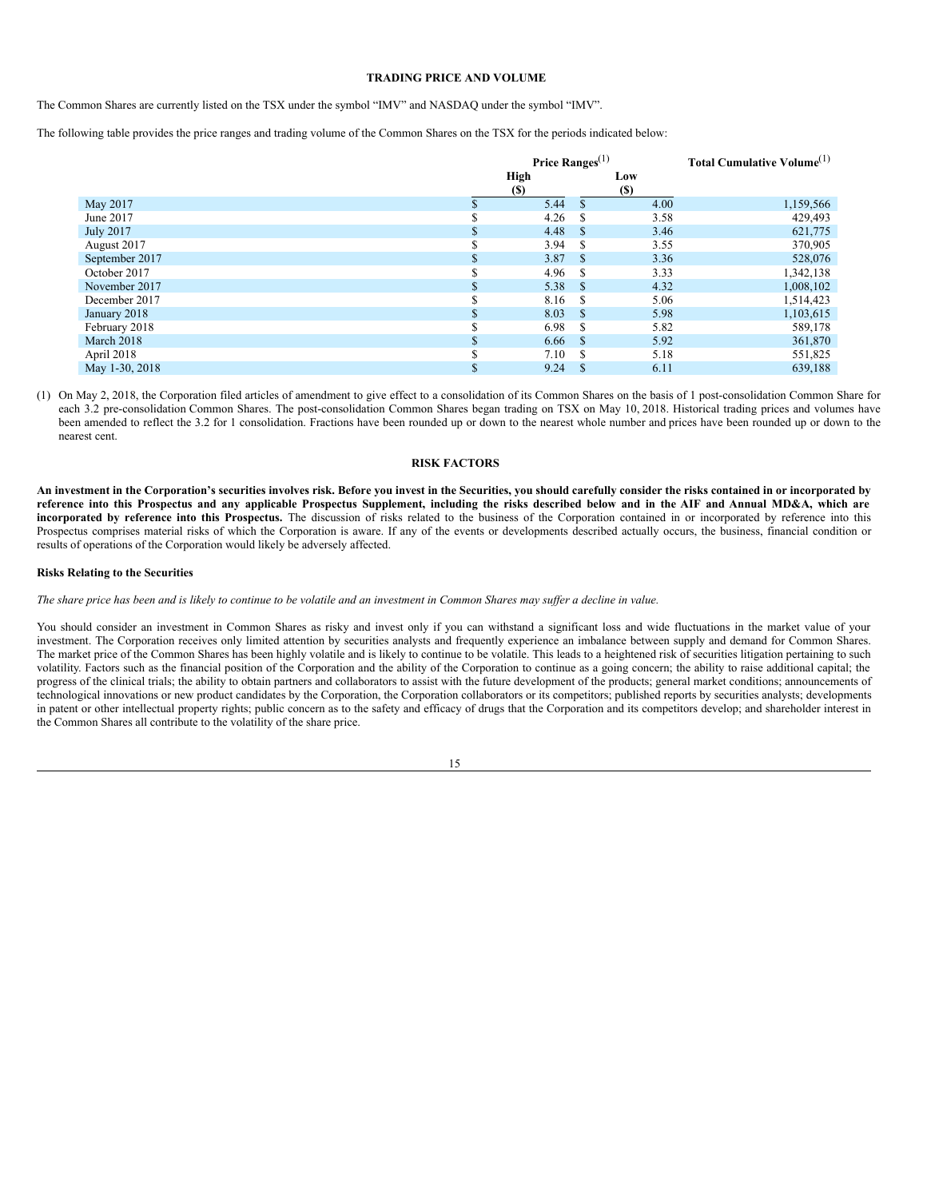#### <span id="page-20-0"></span>**TRADING PRICE AND VOLUME**

The Common Shares are currently listed on the TSX under the symbol "IMV" and NASDAQ under the symbol "IMV".

The following table provides the price ranges and trading volume of the Common Shares on the TSX for the periods indicated below:

|                  |    | Price Ranges $^{(1)}$ |             |      | Total Cumulative Volume <sup>(1)</sup> |
|------------------|----|-----------------------|-------------|------|----------------------------------------|
|                  |    | <b>High</b>           |             | Low  |                                        |
|                  |    | <b>(\$)</b>           |             | (S)  |                                        |
| May 2017         |    | 5.44                  |             | 4.00 | 1,159,566                              |
| June 2017        | ۰D | 4.26                  | -S          | 3.58 | 429,493                                |
| <b>July 2017</b> |    | 4.48                  | - \$        | 3.46 | 621,775                                |
| August 2017      |    | 3.94                  | -S          | 3.55 | 370,905                                |
| September 2017   | ъ  | 3.87                  | - \$        | 3.36 | 528,076                                |
| October 2017     |    | 4.96                  | - \$        | 3.33 | 1,342,138                              |
| November 2017    |    | 5.38                  | - \$        | 4.32 | 1,008,102                              |
| December 2017    |    | 8.16                  | - \$        | 5.06 | 1,514,423                              |
| January 2018     |    | 8.03                  | - \$        | 5.98 | 1,103,615                              |
| February 2018    |    | 6.98                  | -S          | 5.82 | 589,178                                |
| March 2018       |    | 6.66                  | - \$        | 5.92 | 361,870                                |
| April 2018       |    | 7.10                  | -S          | 5.18 | 551,825                                |
| May 1-30, 2018   |    | 9.24                  | $\mathbf S$ | 6.11 | 639,188                                |

(1) On May 2, 2018, the Corporation filed articles of amendment to give effect to a consolidation of its Common Shares on the basis of 1 post-consolidation Common Share for each 3.2 pre-consolidation Common Shares. The post-consolidation Common Shares began trading on TSX on May 10, 2018. Historical trading prices and volumes have been amended to reflect the 3.2 for 1 consolidation. Fractions have been rounded up or down to the nearest whole number and prices have been rounded up or down to the nearest cent.

#### <span id="page-20-1"></span>**RISK FACTORS**

An investment in the Corporation's securities involves risk. Before you invest in the Securities, you should carefully consider the risks contained in or incorporated by reference into this Prospectus and any applicable Prospectus Supplement, including the risks described below and in the AIF and Annual MD&A, which are **incorporated by reference into this Prospectus.** The discussion of risks related to the business of the Corporation contained in or incorporated by reference into this Prospectus comprises material risks of which the Corporation is aware. If any of the events or developments described actually occurs, the business, financial condition or results of operations of the Corporation would likely be adversely affected.

#### **Risks Relating to the Securities**

The share price has been and is likely to continue to be volatile and an investment in Common Shares may suffer a decline in value.

You should consider an investment in Common Shares as risky and invest only if you can withstand a significant loss and wide fluctuations in the market value of your investment. The Corporation receives only limited attention by securities analysts and frequently experience an imbalance between supply and demand for Common Shares. The market price of the Common Shares has been highly volatile and is likely to continue to be volatile. This leads to a heightened risk of securities litigation pertaining to such volatility. Factors such as the financial position of the Corporation and the ability of the Corporation to continue as a going concern; the ability to raise additional capital; the progress of the clinical trials; the ability to obtain partners and collaborators to assist with the future development of the products; general market conditions; announcements of technological innovations or new product candidates by the Corporation, the Corporation collaborators or its competitors; published reports by securities analysts; developments in patent or other intellectual property rights; public concern as to the safety and efficacy of drugs that the Corporation and its competitors develop; and shareholder interest in the Common Shares all contribute to the volatility of the share price.

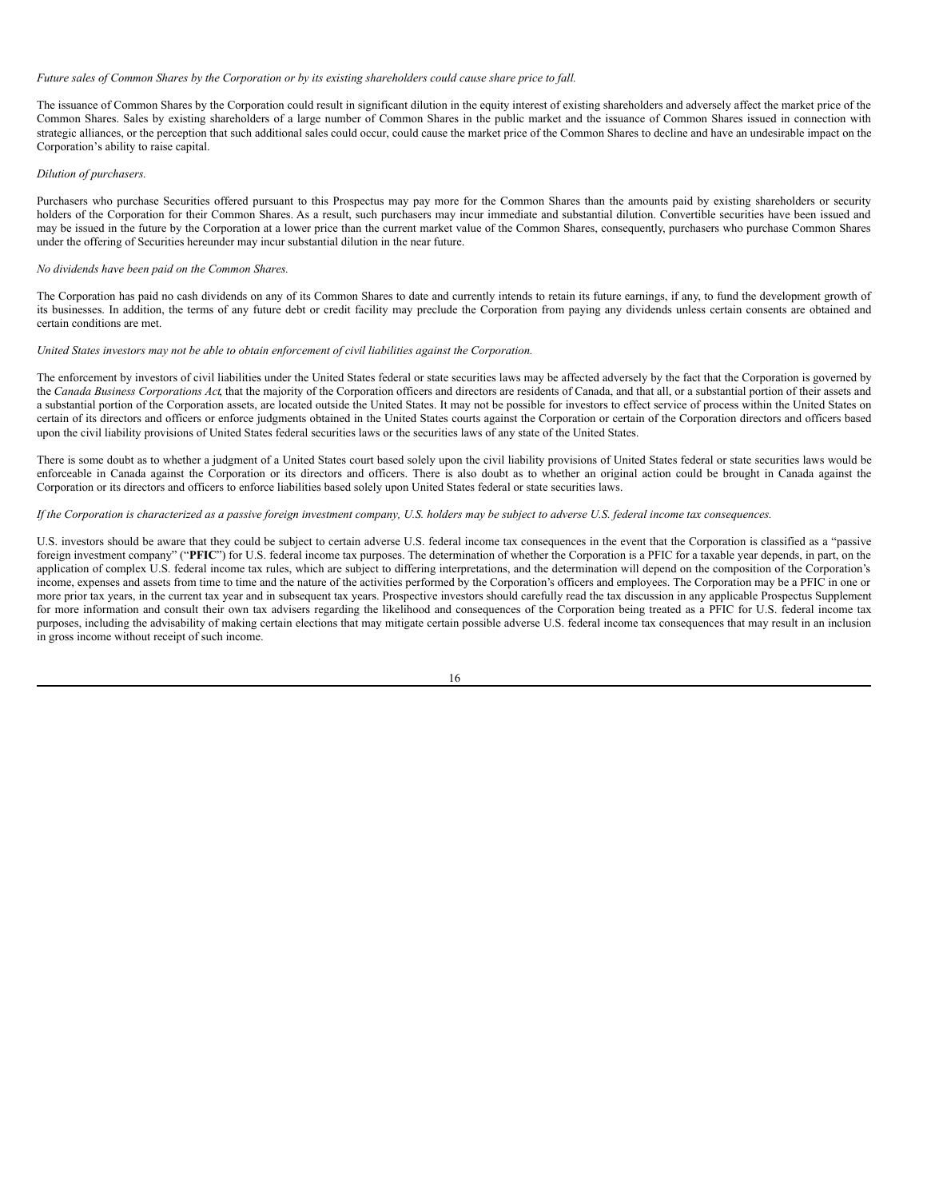#### Future sales of Common Shares by the Corporation or by its existing shareholders could cause share price to fall.

The issuance of Common Shares by the Corporation could result in significant dilution in the equity interest of existing shareholders and adversely affect the market price of the Common Shares. Sales by existing shareholders of a large number of Common Shares in the public market and the issuance of Common Shares issued in connection with strategic alliances, or the perception that such additional sales could occur, could cause the market price of the Common Shares to decline and have an undesirable impact on the Corporation's ability to raise capital.

#### *Dilution of purchasers.*

Purchasers who purchase Securities offered pursuant to this Prospectus may pay more for the Common Shares than the amounts paid by existing shareholders or security holders of the Corporation for their Common Shares. As a result, such purchasers may incur immediate and substantial dilution. Convertible securities have been issued and may be issued in the future by the Corporation at a lower price than the current market value of the Common Shares, consequently, purchasers who purchase Common Shares under the offering of Securities hereunder may incur substantial dilution in the near future.

#### *No dividends have been paid on the Common Shares.*

The Corporation has paid no cash dividends on any of its Common Shares to date and currently intends to retain its future earnings, if any, to fund the development growth of its businesses. In addition, the terms of any future debt or credit facility may preclude the Corporation from paying any dividends unless certain consents are obtained and certain conditions are met.

#### *United States investors may not be able to obtain enforcement of civil liabilities against the Corporation.*

The enforcement by investors of civil liabilities under the United States federal or state securities laws may be affected adversely by the fact that the Corporation is governed by the *Canada Business Corporations Act*, that the majority of the Corporation officers and directors are residents of Canada, and that all, or a substantial portion of their assets and a substantial portion of the Corporation assets, are located outside the United States. It may not be possible for investors to effect service of process within the United States on certain of its directors and officers or enforce judgments obtained in the United States courts against the Corporation or certain of the Corporation directors and officers based upon the civil liability provisions of United States federal securities laws or the securities laws of any state of the United States.

There is some doubt as to whether a judgment of a United States court based solely upon the civil liability provisions of United States federal or state securities laws would be enforceable in Canada against the Corporation or its directors and officers. There is also doubt as to whether an original action could be brought in Canada against the Corporation or its directors and officers to enforce liabilities based solely upon United States federal or state securities laws.

#### If the Corporation is characterized as a passive foreign investment company, U.S. holders may be subject to adverse U.S. federal income tax consequences.

U.S. investors should be aware that they could be subject to certain adverse U.S. federal income tax consequences in the event that the Corporation is classified as a "passive foreign investment company" ("PFIC") for U.S. federal income tax purposes. The determination of whether the Corporation is a PFIC for a taxable year depends, in part, on the application of complex U.S. federal income tax rules, which are subject to differing interpretations, and the determination will depend on the composition of the Corporation's income, expenses and assets from time to time and the nature of the activities performed by the Corporation's officers and employees. The Corporation may be a PFIC in one or more prior tax years, in the current tax year and in subsequent tax years. Prospective investors should carefully read the tax discussion in any applicable Prospectus Supplement for more information and consult their own tax advisers regarding the likelihood and consequences of the Corporation being treated as a PFIC for U.S. federal income tax purposes, including the advisability of making certain elections that may mitigate certain possible adverse U.S. federal income tax consequences that may result in an inclusion in gross income without receipt of such income.

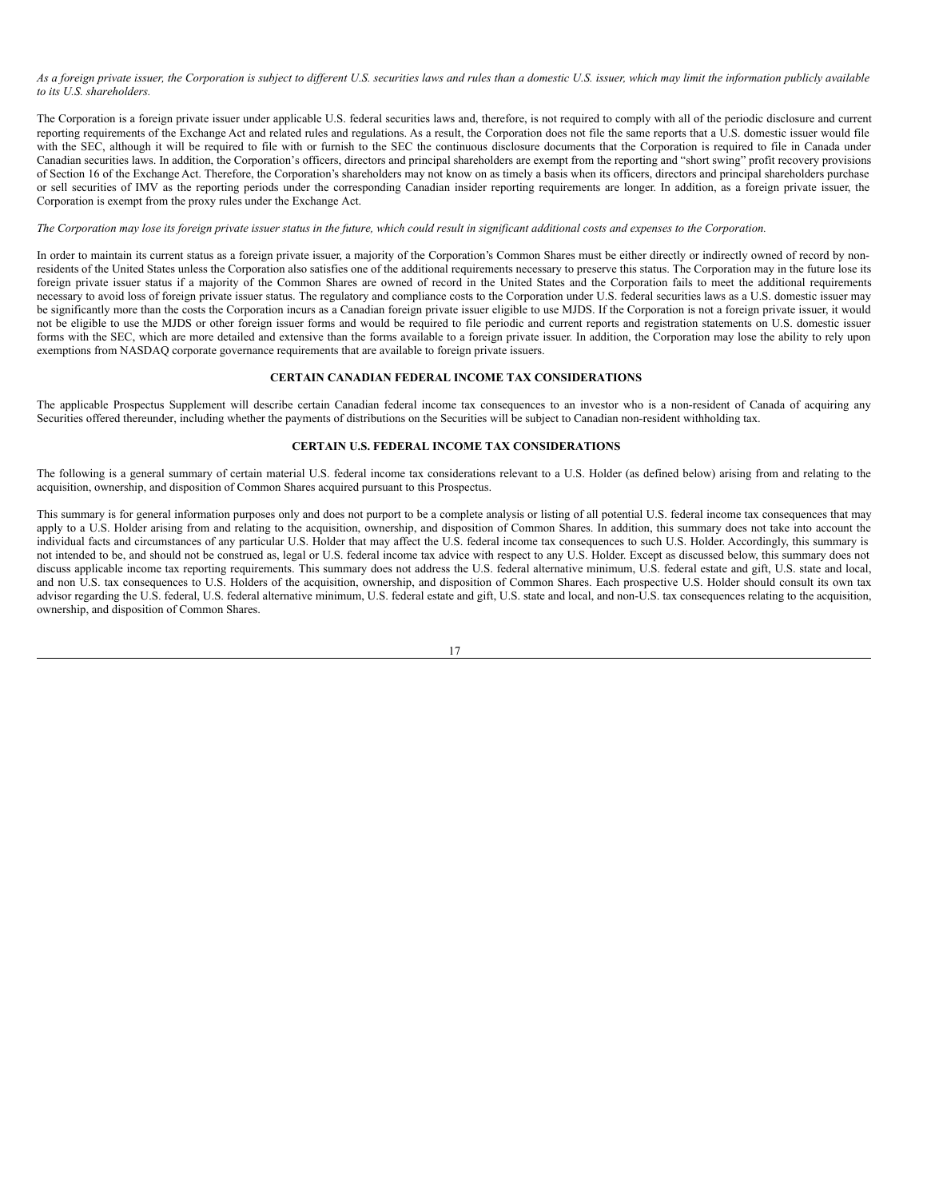As a foreign private issuer, the Corporation is subject to different U.S. securities laws and rules than a domestic U.S. issuer, which may limit the information publicly available *to its U.S. shareholders.*

The Corporation is a foreign private issuer under applicable U.S. federal securities laws and, therefore, is not required to comply with all of the periodic disclosure and current reporting requirements of the Exchange Act and related rules and regulations. As a result, the Corporation does not file the same reports that a U.S. domestic issuer would file with the SEC, although it will be required to file with or furnish to the SEC the continuous disclosure documents that the Corporation is required to file in Canada under Canadian securities laws. In addition, the Corporation's officers, directors and principal shareholders are exempt from the reporting and "short swing" profit recovery provisions of Section 16 of the Exchange Act. Therefore, the Corporation's shareholders may not know on as timely a basis when its officers, directors and principal shareholders purchase or sell securities of IMV as the reporting periods under the corresponding Canadian insider reporting requirements are longer. In addition, as a foreign private issuer, the Corporation is exempt from the proxy rules under the Exchange Act.

#### The Corporation may lose its foreign private issuer status in the future, which could result in significant additional costs and expenses to the Corporation.

In order to maintain its current status as a foreign private issuer, a majority of the Corporation's Common Shares must be either directly or indirectly owned of record by nonresidents of the United States unless the Corporation also satisfies one of the additional requirements necessary to preserve this status. The Corporation may in the future lose its foreign private issuer status if a majority of the Common Shares are owned of record in the United States and the Corporation fails to meet the additional requirements necessary to avoid loss of foreign private issuer status. The regulatory and compliance costs to the Corporation under U.S. federal securities laws as a U.S. domestic issuer may be significantly more than the costs the Corporation incurs as a Canadian foreign private issuer eligible to use MJDS. If the Corporation is not a foreign private issuer, it would not be eligible to use the MJDS or other foreign issuer forms and would be required to file periodic and current reports and registration statements on U.S. domestic issuer forms with the SEC, which are more detailed and extensive than the forms available to a foreign private issuer. In addition, the Corporation may lose the ability to rely upon exemptions from NASDAQ corporate governance requirements that are available to foreign private issuers.

#### <span id="page-22-0"></span>**CERTAIN CANADIAN FEDERAL INCOME TAX CONSIDERATIONS**

The applicable Prospectus Supplement will describe certain Canadian federal income tax consequences to an investor who is a non-resident of Canada of acquiring any Securities offered thereunder, including whether the payments of distributions on the Securities will be subject to Canadian non-resident withholding tax.

#### <span id="page-22-1"></span>**CERTAIN U.S. FEDERAL INCOME TAX CONSIDERATIONS**

The following is a general summary of certain material U.S. federal income tax considerations relevant to a U.S. Holder (as defined below) arising from and relating to the acquisition, ownership, and disposition of Common Shares acquired pursuant to this Prospectus.

This summary is for general information purposes only and does not purport to be a complete analysis or listing of all potential U.S. federal income tax consequences that may apply to a U.S. Holder arising from and relating to the acquisition, ownership, and disposition of Common Shares. In addition, this summary does not take into account the individual facts and circumstances of any particular U.S. Holder that may affect the U.S. federal income tax consequences to such U.S. Holder. Accordingly, this summary is not intended to be, and should not be construed as, legal or U.S. federal income tax advice with respect to any U.S. Holder. Except as discussed below, this summary does not discuss applicable income tax reporting requirements. This summary does not address the U.S. federal alternative minimum, U.S. federal estate and gift, U.S. state and local, and non U.S. tax consequences to U.S. Holders of the acquisition, ownership, and disposition of Common Shares. Each prospective U.S. Holder should consult its own tax advisor regarding the U.S. federal, U.S. federal alternative minimum, U.S. federal estate and gift, U.S. state and local, and non-U.S. tax consequences relating to the acquisition, ownership, and disposition of Common Shares.

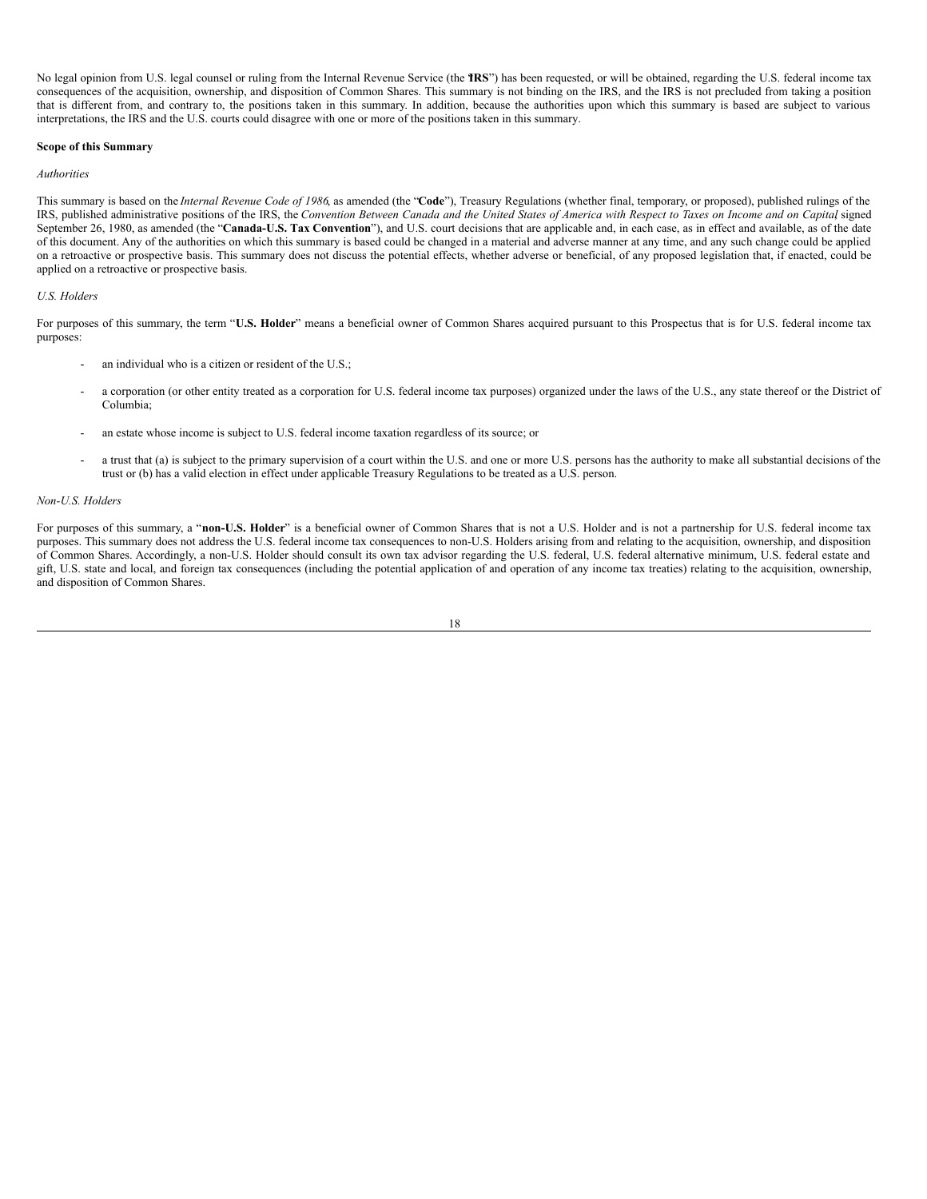No legal opinion from U.S. legal counsel or ruling from the Internal Revenue Service (the **TRS**") has been requested, or will be obtained, regarding the U.S. federal income tax consequences of the acquisition, ownership, and disposition of Common Shares. This summary is not binding on the IRS, and the IRS is not precluded from taking a position that is different from, and contrary to, the positions taken in this summary. In addition, because the authorities upon which this summary is based are subject to various interpretations, the IRS and the U.S. courts could disagree with one or more of the positions taken in this summary.

#### **Scope of this Summary**

#### *Authorities*

This summary is based on the *Internal Revenue Code of 1986*, as amended (the "**Code**"), Treasury Regulations (whether final, temporary, or proposed), published rulings of the IRS, published administrative positions of the IRS, the Convention Between Canada and the United States of America with Respect to Taxes on Income and on Capital signed September 26, 1980, as amended (the "**Canada-U.S. Tax Convention**"), and U.S. court decisions that are applicable and, in each case, as in effect and available, as of the date of this document. Any of the authorities on which this summary is based could be changed in a material and adverse manner at any time, and any such change could be applied on a retroactive or prospective basis. This summary does not discuss the potential effects, whether adverse or beneficial, of any proposed legislation that, if enacted, could be applied on a retroactive or prospective basis.

#### *U.S. Holders*

For purposes of this summary, the term "**U.S. Holder**" means a beneficial owner of Common Shares acquired pursuant to this Prospectus that is for U.S. federal income tax purposes:

- an individual who is a citizen or resident of the U.S.;
- a corporation (or other entity treated as a corporation for U.S. federal income tax purposes) organized under the laws of the U.S., any state thereof or the District of Columbia;
- an estate whose income is subject to U.S. federal income taxation regardless of its source; or
- a trust that (a) is subject to the primary supervision of a court within the U.S. and one or more U.S. persons has the authority to make all substantial decisions of the trust or (b) has a valid election in effect under applicable Treasury Regulations to be treated as a U.S. person.

#### *Non-U.S. Holders*

For purposes of this summary, a "non-U.S. Holder" is a beneficial owner of Common Shares that is not a U.S. Holder and is not a partnership for U.S. federal income tax purposes. This summary does not address the U.S. federal income tax consequences to non-U.S. Holders arising from and relating to the acquisition, ownership, and disposition of Common Shares. Accordingly, a non-U.S. Holder should consult its own tax advisor regarding the U.S. federal, U.S. federal alternative minimum, U.S. federal estate and gift, U.S. state and local, and foreign tax consequences (including the potential application of and operation of any income tax treaties) relating to the acquisition, ownership, and disposition of Common Shares.

$$
18\\
$$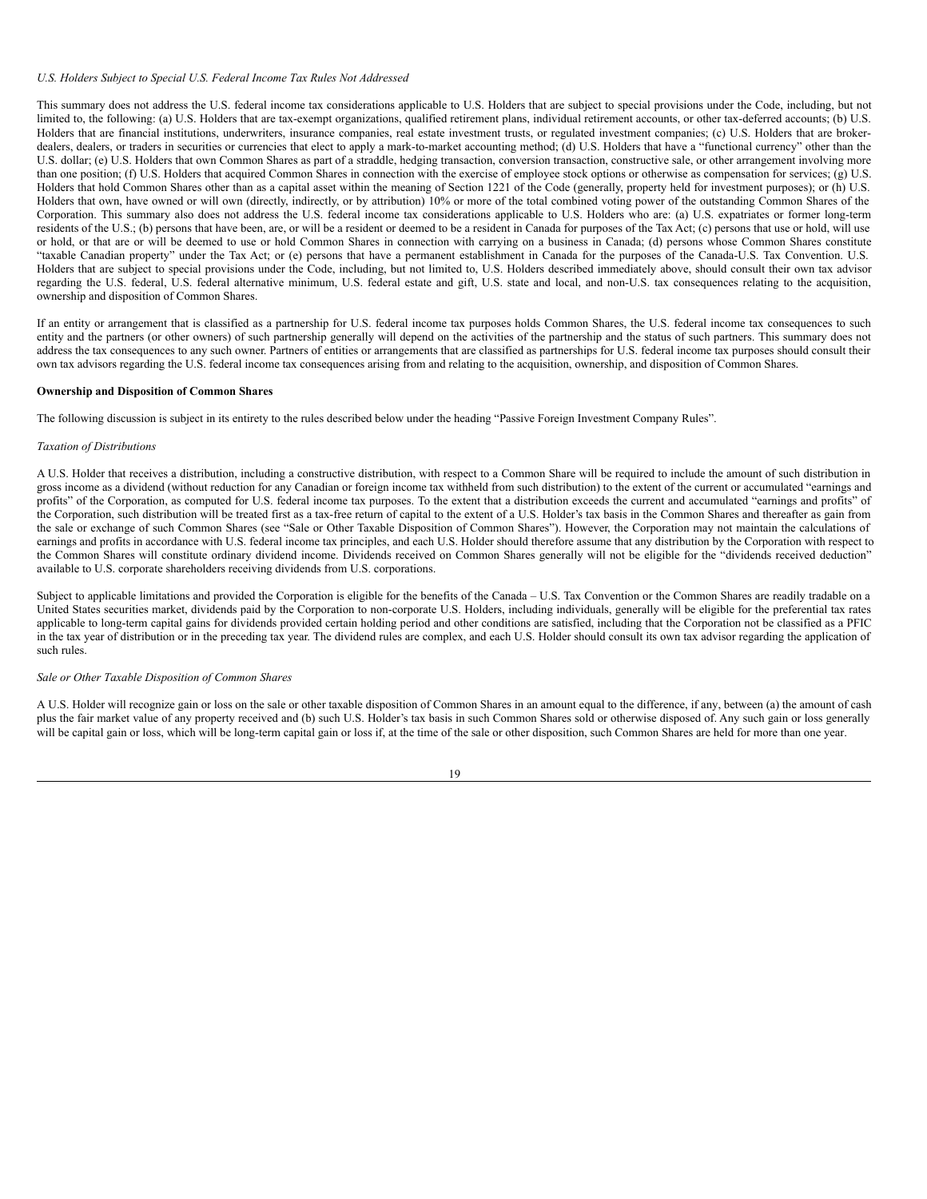#### *U.S. Holders Subject to Special U.S. Federal Income Tax Rules Not Addressed*

This summary does not address the U.S. federal income tax considerations applicable to U.S. Holders that are subject to special provisions under the Code, including, but not limited to, the following: (a) U.S. Holders that are tax-exempt organizations, qualified retirement plans, individual retirement accounts, or other tax-deferred accounts; (b) U.S. Holders that are financial institutions, underwriters, insurance companies, real estate investment trusts, or regulated investment companies; (c) U.S. Holders that are brokerdealers, dealers, or traders in securities or currencies that elect to apply a mark-to-market accounting method; (d) U.S. Holders that have a "functional currency" other than the U.S. dollar; (e) U.S. Holders that own Common Shares as part of a straddle, hedging transaction, conversion transaction, constructive sale, or other arrangement involving more than one position; (f) U.S. Holders that acquired Common Shares in connection with the exercise of employee stock options or otherwise as compensation for services; (g) U.S. Holders that hold Common Shares other than as a capital asset within the meaning of Section 1221 of the Code (generally, property held for investment purposes); or (h) U.S. Holders that own, have owned or will own (directly, indirectly, or by attribution) 10% or more of the total combined voting power of the outstanding Common Shares of the Corporation. This summary also does not address the U.S. federal income tax considerations applicable to U.S. Holders who are: (a) U.S. expatriates or former long-term residents of the U.S.; (b) persons that have been, are, or will be a resident or deemed to be a resident in Canada for purposes of the Tax Act; (c) persons that use or hold, will use or hold, or that are or will be deemed to use or hold Common Shares in connection with carrying on a business in Canada; (d) persons whose Common Shares constitute "taxable Canadian property" under the Tax Act; or (e) persons that have a permanent establishment in Canada for the purposes of the Canada-U.S. Tax Convention. U.S. Holders that are subject to special provisions under the Code, including, but not limited to, U.S. Holders described immediately above, should consult their own tax advisor regarding the U.S. federal, U.S. federal alternative minimum, U.S. federal estate and gift, U.S. state and local, and non-U.S. tax consequences relating to the acquisition, ownership and disposition of Common Shares.

If an entity or arrangement that is classified as a partnership for U.S. federal income tax purposes holds Common Shares, the U.S. federal income tax consequences to such entity and the partners (or other owners) of such partnership generally will depend on the activities of the partnership and the status of such partners. This summary does not address the tax consequences to any such owner. Partners of entities or arrangements that are classified as partnerships for U.S. federal income tax purposes should consult their own tax advisors regarding the U.S. federal income tax consequences arising from and relating to the acquisition, ownership, and disposition of Common Shares.

#### **Ownership and Disposition of Common Shares**

The following discussion is subject in its entirety to the rules described below under the heading "Passive Foreign Investment Company Rules".

#### *Taxation of Distributions*

A U.S. Holder that receives a distribution, including a constructive distribution, with respect to a Common Share will be required to include the amount of such distribution in gross income as a dividend (without reduction for any Canadian or foreign income tax withheld from such distribution) to the extent of the current or accumulated "earnings and profits" of the Corporation, as computed for U.S. federal income tax purposes. To the extent that a distribution exceeds the current and accumulated "earnings and profits" of the Corporation, such distribution will be treated first as a tax-free return of capital to the extent of a U.S. Holder's tax basis in the Common Shares and thereafter as gain from the sale or exchange of such Common Shares (see "Sale or Other Taxable Disposition of Common Shares"). However, the Corporation may not maintain the calculations of earnings and profits in accordance with U.S. federal income tax principles, and each U.S. Holder should therefore assume that any distribution by the Corporation with respect to the Common Shares will constitute ordinary dividend income. Dividends received on Common Shares generally will not be eligible for the "dividends received deduction" available to U.S. corporate shareholders receiving dividends from U.S. corporations.

Subject to applicable limitations and provided the Corporation is eligible for the benefits of the Canada – U.S. Tax Convention or the Common Shares are readily tradable on a United States securities market, dividends paid by the Corporation to non-corporate U.S. Holders, including individuals, generally will be eligible for the preferential tax rates applicable to long-term capital gains for dividends provided certain holding period and other conditions are satisfied, including that the Corporation not be classified as a PFIC in the tax year of distribution or in the preceding tax year. The dividend rules are complex, and each U.S. Holder should consult its own tax advisor regarding the application of such rules.

#### *Sale or Other Taxable Disposition of Common Shares*

A U.S. Holder will recognize gain or loss on the sale or other taxable disposition of Common Shares in an amount equal to the difference, if any, between (a) the amount of cash plus the fair market value of any property received and (b) such U.S. Holder's tax basis in such Common Shares sold or otherwise disposed of. Any such gain or loss generally will be capital gain or loss, which will be long-term capital gain or loss if, at the time of the sale or other disposition, such Common Shares are held for more than one year.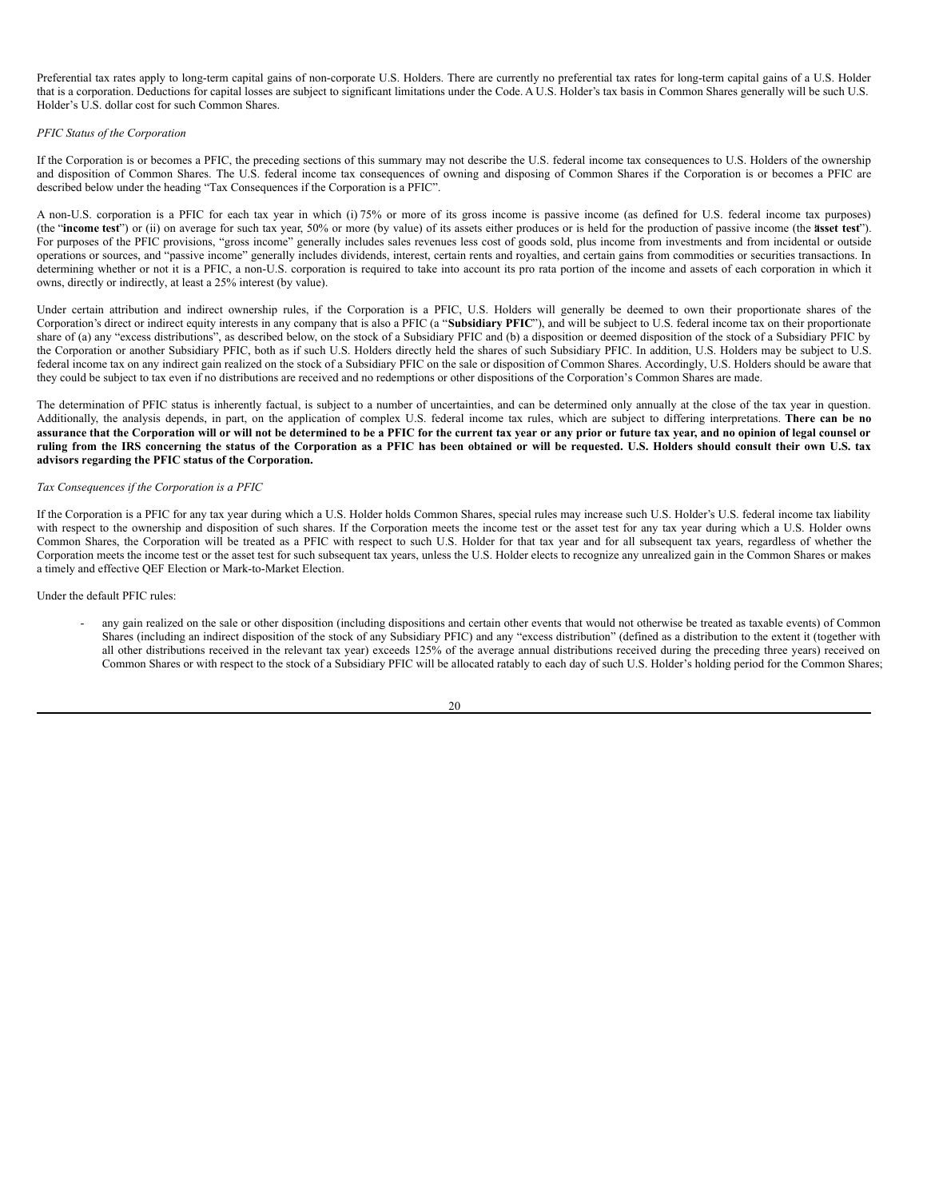Preferential tax rates apply to long-term capital gains of non-corporate U.S. Holders. There are currently no preferential tax rates for long-term capital gains of a U.S. Holder that is a corporation. Deductions for capital losses are subject to significant limitations under the Code. A U.S. Holder's tax basis in Common Shares generally will be such U.S. Holder's U.S. dollar cost for such Common Shares.

#### *PFIC Status of the Corporation*

If the Corporation is or becomes a PFIC, the preceding sections of this summary may not describe the U.S. federal income tax consequences to U.S. Holders of the ownership and disposition of Common Shares. The U.S. federal income tax consequences of owning and disposing of Common Shares if the Corporation is or becomes a PFIC are described below under the heading "Tax Consequences if the Corporation is a PFIC".

A non-U.S. corporation is a PFIC for each tax year in which (i) 75% or more of its gross income is passive income (as defined for U.S. federal income tax purposes) (the "**income test**") or (ii) on average for such tax year, 50% or more (by value) of its assets either produces or is held for the production of passive income (the **a**"**sset test**"). For purposes of the PFIC provisions, "gross income" generally includes sales revenues less cost of goods sold, plus income from investments and from incidental or outside operations or sources, and "passive income" generally includes dividends, interest, certain rents and royalties, and certain gains from commodities or securities transactions. In determining whether or not it is a PFIC, a non-U.S. corporation is required to take into account its pro rata portion of the income and assets of each corporation in which it owns, directly or indirectly, at least a 25% interest (by value).

Under certain attribution and indirect ownership rules, if the Corporation is a PFIC, U.S. Holders will generally be deemed to own their proportionate shares of the Corporation's direct or indirect equity interests in any company that is also a PFIC (a "**Subsidiary PFIC**"), and will be subject to U.S. federal income tax on their proportionate share of (a) any "excess distributions", as described below, on the stock of a Subsidiary PFIC and (b) a disposition or deemed disposition of the stock of a Subsidiary PFIC by the Corporation or another Subsidiary PFIC, both as if such U.S. Holders directly held the shares of such Subsidiary PFIC. In addition, U.S. Holders may be subject to U.S. federal income tax on any indirect gain realized on the stock of a Subsidiary PFIC on the sale or disposition of Common Shares. Accordingly, U.S. Holders should be aware that they could be subject to tax even if no distributions are received and no redemptions or other dispositions of the Corporation's Common Shares are made.

The determination of PFIC status is inherently factual, is subject to a number of uncertainties, and can be determined only annually at the close of the tax year in question. Additionally, the analysis depends, in part, on the application of complex U.S. federal income tax rules, which are subject to differing interpretations. **There can be no** assurance that the Corporation will or will not be determined to be a PFIC for the current tax year or any prior or future tax year, and no opinion of legal counsel or ruling from the IRS concerning the status of the Corporation as a PFIC has been obtained or will be requested. U.S. Holders should consult their own U.S. tax **advisors regarding the PFIC status of the Corporation.**

#### *Tax Consequences if the Corporation is a PFIC*

If the Corporation is a PFIC for any tax year during which a U.S. Holder holds Common Shares, special rules may increase such U.S. Holder's U.S. federal income tax liability with respect to the ownership and disposition of such shares. If the Corporation meets the income test or the asset test for any tax year during which a U.S. Holder owns Common Shares, the Corporation will be treated as a PFIC with respect to such U.S. Holder for that tax year and for all subsequent tax years, regardless of whether the Corporation meets the income test or the asset test for such subsequent tax years, unless the U.S. Holder elects to recognize any unrealized gain in the Common Shares or makes a timely and effective QEF Election or Mark-to-Market Election.

Under the default PFIC rules:

any gain realized on the sale or other disposition (including dispositions and certain other events that would not otherwise be treated as taxable events) of Common Shares (including an indirect disposition of the stock of any Subsidiary PFIC) and any "excess distribution" (defined as a distribution to the extent it (together with all other distributions received in the relevant tax year) exceeds 125% of the average annual distributions received during the preceding three years) received on Common Shares or with respect to the stock of a Subsidiary PFIC will be allocated ratably to each day of such U.S. Holder's holding period for the Common Shares;

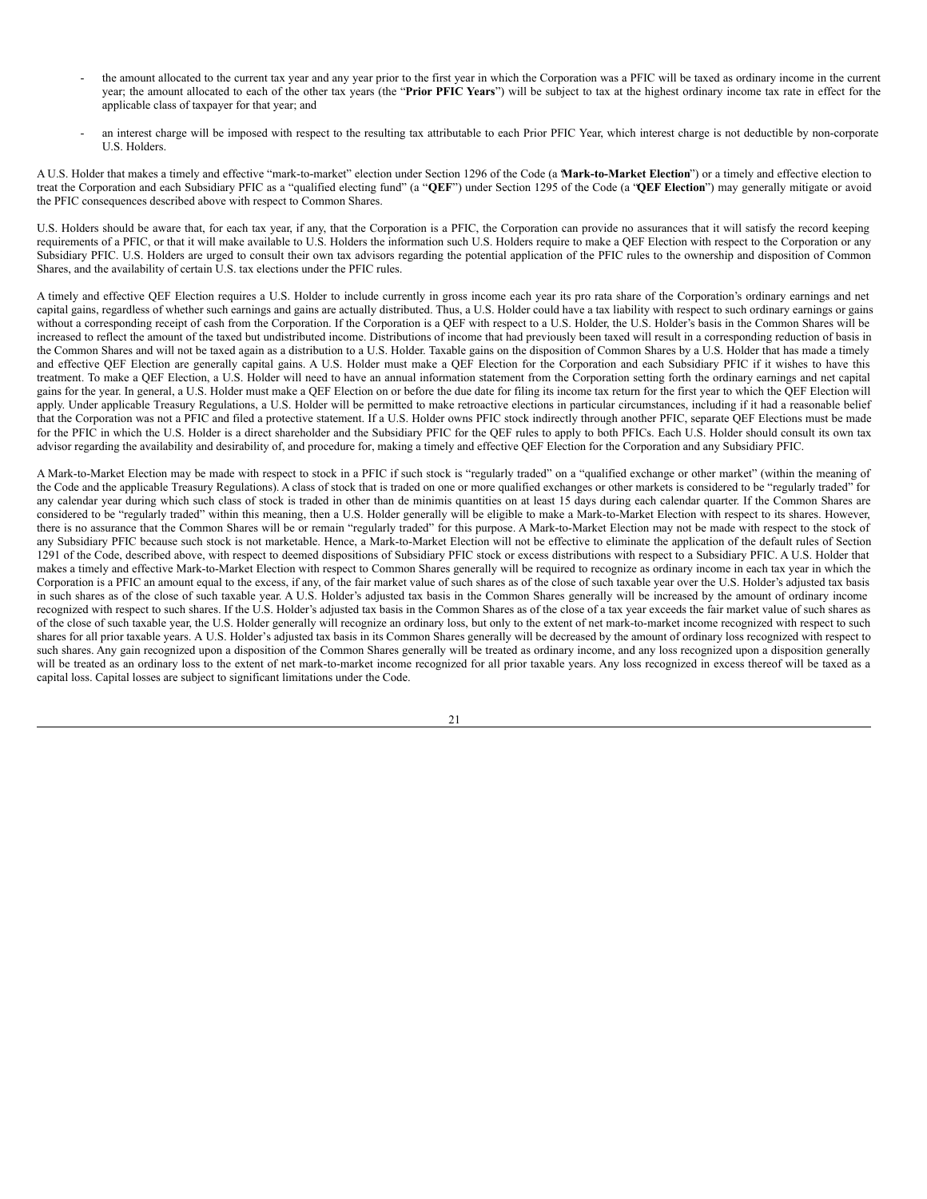- the amount allocated to the current tax year and any year prior to the first year in which the Corporation was a PFIC will be taxed as ordinary income in the current year; the amount allocated to each of the other tax years (the "**Prior PFIC Years**") will be subject to tax at the highest ordinary income tax rate in effect for the applicable class of taxpayer for that year; and
- an interest charge will be imposed with respect to the resulting tax attributable to each Prior PFIC Year, which interest charge is not deductible by non-corporate U.S. Holders.

A U.S. Holder that makes a timely and effective "mark-to-market" election under Section 1296 of the Code (a "**Mark-to-Market Election**") or a timely and effective election to treat the Corporation and each Subsidiary PFIC as a "qualified electing fund" (a "**QEF**") under Section 1295 of the Code (a "**QEF Election**") may generally mitigate or avoid the PFIC consequences described above with respect to Common Shares.

U.S. Holders should be aware that, for each tax year, if any, that the Corporation is a PFIC, the Corporation can provide no assurances that it will satisfy the record keeping requirements of a PFIC, or that it will make available to U.S. Holders the information such U.S. Holders require to make a QEF Election with respect to the Corporation or any Subsidiary PFIC. U.S. Holders are urged to consult their own tax advisors regarding the potential application of the PFIC rules to the ownership and disposition of Common Shares, and the availability of certain U.S. tax elections under the PFIC rules.

A timely and effective QEF Election requires a U.S. Holder to include currently in gross income each year its pro rata share of the Corporation's ordinary earnings and net capital gains, regardless of whether such earnings and gains are actually distributed. Thus, a U.S. Holder could have a tax liability with respect to such ordinary earnings or gains without a corresponding receipt of cash from the Corporation. If the Corporation is a QEF with respect to a U.S. Holder, the U.S. Holder's basis in the Common Shares will be increased to reflect the amount of the taxed but undistributed income. Distributions of income that had previously been taxed will result in a corresponding reduction of basis in the Common Shares and will not be taxed again as a distribution to a U.S. Holder. Taxable gains on the disposition of Common Shares by a U.S. Holder that has made a timely and effective QEF Election are generally capital gains. A U.S. Holder must make a QEF Election for the Corporation and each Subsidiary PFIC if it wishes to have this treatment. To make a QEF Election, a U.S. Holder will need to have an annual information statement from the Corporation setting forth the ordinary earnings and net capital gains for the year. In general, a U.S. Holder must make a QEF Election on or before the due date for filing its income tax return for the first year to which the QEF Election will apply. Under applicable Treasury Regulations, a U.S. Holder will be permitted to make retroactive elections in particular circumstances, including if it had a reasonable belief that the Corporation was not a PFIC and filed a protective statement. If a U.S. Holder owns PFIC stock indirectly through another PFIC, separate QEF Elections must be made for the PFIC in which the U.S. Holder is a direct shareholder and the Subsidiary PFIC for the QEF rules to apply to both PFICs. Each U.S. Holder should consult its own tax advisor regarding the availability and desirability of, and procedure for, making a timely and effective QEF Election for the Corporation and any Subsidiary PFIC.

A Mark-to-Market Election may be made with respect to stock in a PFIC if such stock is "regularly traded" on a "qualified exchange or other market" (within the meaning of the Code and the applicable Treasury Regulations). A class of stock that is traded on one or more qualified exchanges or other markets is considered to be "regularly traded" for any calendar year during which such class of stock is traded in other than de minimis quantities on at least 15 days during each calendar quarter. If the Common Shares are considered to be "regularly traded" within this meaning, then a U.S. Holder generally will be eligible to make a Mark-to-Market Election with respect to its shares. However, there is no assurance that the Common Shares will be or remain "regularly traded" for this purpose. A Mark-to-Market Election may not be made with respect to the stock of any Subsidiary PFIC because such stock is not marketable. Hence, a Mark-to-Market Election will not be effective to eliminate the application of the default rules of Section 1291 of the Code, described above, with respect to deemed dispositions of Subsidiary PFIC stock or excess distributions with respect to a Subsidiary PFIC. A U.S. Holder that makes a timely and effective Mark-to-Market Election with respect to Common Shares generally will be required to recognize as ordinary income in each tax year in which the Corporation is a PFIC an amount equal to the excess, if any, of the fair market value of such shares as of the close of such taxable year over the U.S. Holder's adjusted tax basis in such shares as of the close of such taxable year. A U.S. Holder's adjusted tax basis in the Common Shares generally will be increased by the amount of ordinary income recognized with respect to such shares. If the U.S. Holder's adjusted tax basis in the Common Shares as of the close of a tax year exceeds the fair market value of such shares as of the close of such taxable year, the U.S. Holder generally will recognize an ordinary loss, but only to the extent of net mark-to-market income recognized with respect to such shares for all prior taxable years. A U.S. Holder's adjusted tax basis in its Common Shares generally will be decreased by the amount of ordinary loss recognized with respect to such shares. Any gain recognized upon a disposition of the Common Shares generally will be treated as ordinary income, and any loss recognized upon a disposition generally will be treated as an ordinary loss to the extent of net mark-to-market income recognized for all prior taxable years. Any loss recognized in excess thereof will be taxed as a capital loss. Capital losses are subject to significant limitations under the Code.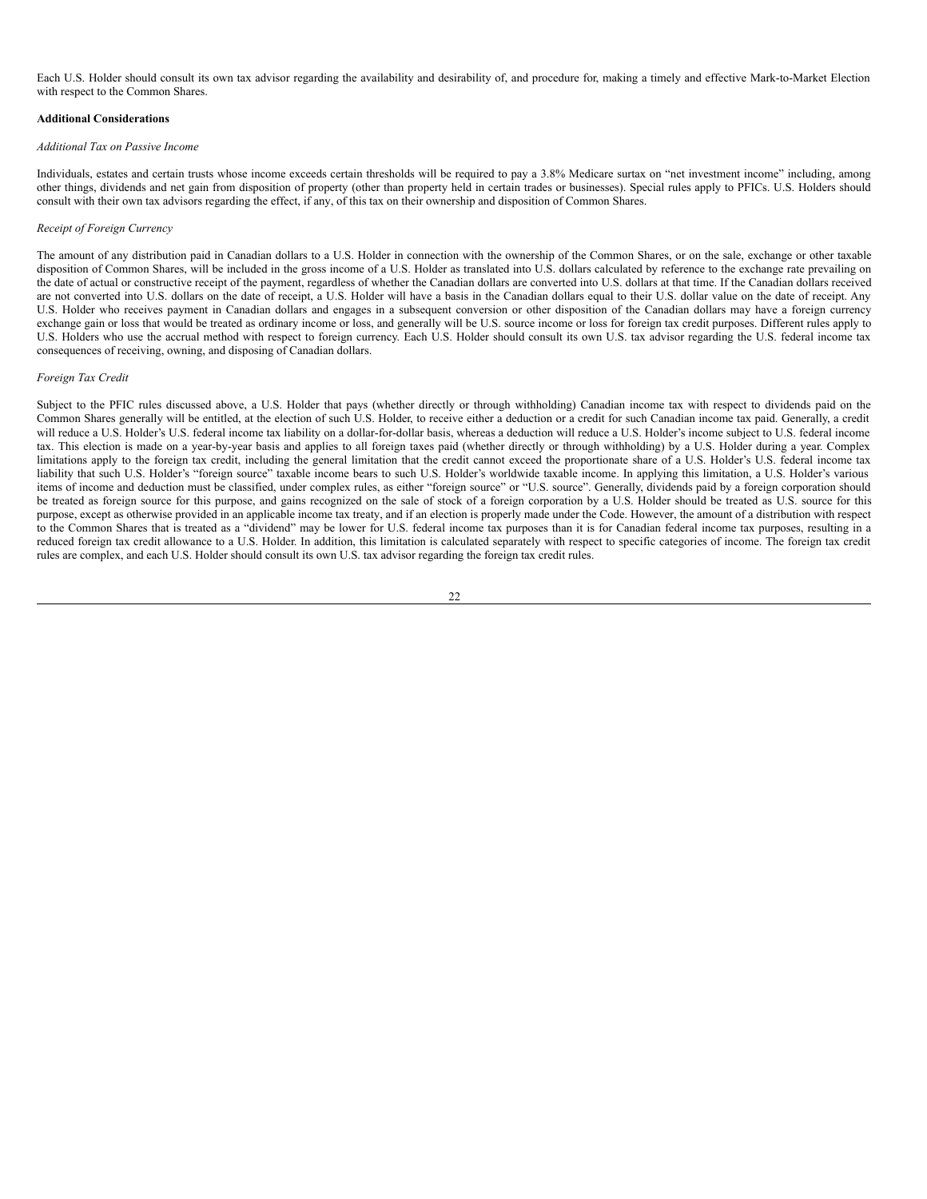Each U.S. Holder should consult its own tax advisor regarding the availability and desirability of, and procedure for, making a timely and effective Mark-to-Market Election with respect to the Common Shares.

#### **Additional Considerations**

#### *Additional Tax on Passive Income*

Individuals, estates and certain trusts whose income exceeds certain thresholds will be required to pay a 3.8% Medicare surtax on "net investment income" including, among other things, dividends and net gain from disposition of property (other than property held in certain trades or businesses). Special rules apply to PFICs. U.S. Holders should consult with their own tax advisors regarding the effect, if any, of this tax on their ownership and disposition of Common Shares.

#### *Receipt of Foreign Currency*

The amount of any distribution paid in Canadian dollars to a U.S. Holder in connection with the ownership of the Common Shares, or on the sale, exchange or other taxable disposition of Common Shares, will be included in the gross income of a U.S. Holder as translated into U.S. dollars calculated by reference to the exchange rate prevailing on the date of actual or constructive receipt of the payment, regardless of whether the Canadian dollars are converted into U.S. dollars at that time. If the Canadian dollars received are not converted into U.S. dollars on the date of receipt, a U.S. Holder will have a basis in the Canadian dollars equal to their U.S. dollar value on the date of receipt. Any U.S. Holder who receives payment in Canadian dollars and engages in a subsequent conversion or other disposition of the Canadian dollars may have a foreign currency exchange gain or loss that would be treated as ordinary income or loss, and generally will be U.S. source income or loss for foreign tax credit purposes. Different rules apply to U.S. Holders who use the accrual method with respect to foreign currency. Each U.S. Holder should consult its own U.S. tax advisor regarding the U.S. federal income tax consequences of receiving, owning, and disposing of Canadian dollars.

#### *Foreign Tax Credit*

Subject to the PFIC rules discussed above, a U.S. Holder that pays (whether directly or through withholding) Canadian income tax with respect to dividends paid on the Common Shares generally will be entitled, at the election of such U.S. Holder, to receive either a deduction or a credit for such Canadian income tax paid. Generally, a credit will reduce a U.S. Holder's U.S. federal income tax liability on a dollar-for-dollar basis, whereas a deduction will reduce a U.S. Holder's income subject to U.S. federal income tax. This election is made on a year-by-year basis and applies to all foreign taxes paid (whether directly or through withholding) by a U.S. Holder during a year. Complex limitations apply to the foreign tax credit, including the general limitation that the credit cannot exceed the proportionate share of a U.S. Holder's U.S. federal income tax liability that such U.S. Holder's "foreign source" taxable income bears to such U.S. Holder's worldwide taxable income. In applying this limitation, a U.S. Holder's various items of income and deduction must be classified, under complex rules, as either "foreign source" or "U.S. source". Generally, dividends paid by a foreign corporation should be treated as foreign source for this purpose, and gains recognized on the sale of stock of a foreign corporation by a U.S. Holder should be treated as U.S. source for this purpose, except as otherwise provided in an applicable income tax treaty, and if an election is properly made under the Code. However, the amount of a distribution with respect to the Common Shares that is treated as a "dividend" may be lower for U.S. federal income tax purposes than it is for Canadian federal income tax purposes, resulting in a reduced foreign tax credit allowance to a U.S. Holder. In addition, this limitation is calculated separately with respect to specific categories of income. The foreign tax credit rules are complex, and each U.S. Holder should consult its own U.S. tax advisor regarding the foreign tax credit rules.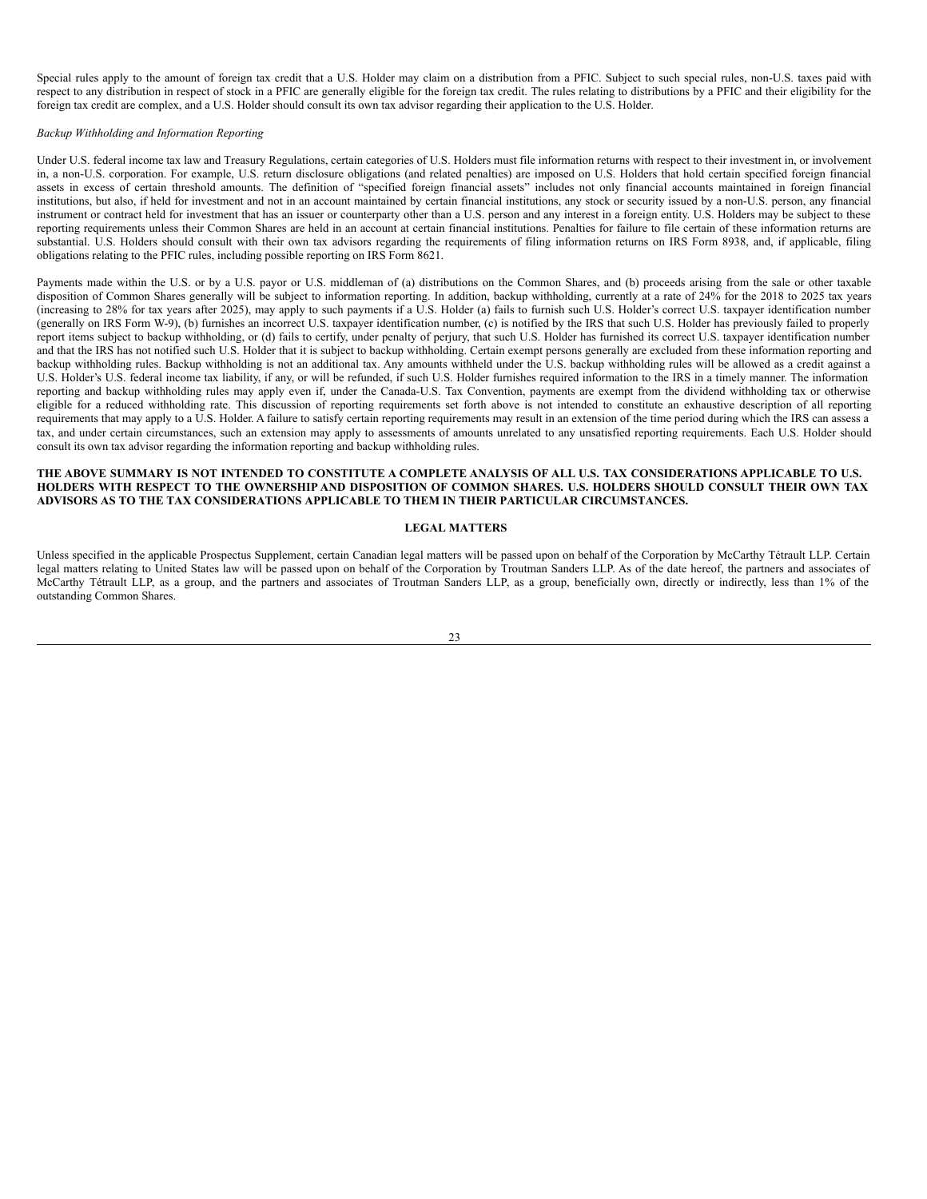Special rules apply to the amount of foreign tax credit that a U.S. Holder may claim on a distribution from a PFIC. Subject to such special rules, non-U.S. taxes paid with respect to any distribution in respect of stock in a PFIC are generally eligible for the foreign tax credit. The rules relating to distributions by a PFIC and their eligibility for the foreign tax credit are complex, and a U.S. Holder should consult its own tax advisor regarding their application to the U.S. Holder.

#### *Backup Withholding and Information Reporting*

Under U.S. federal income tax law and Treasury Regulations, certain categories of U.S. Holders must file information returns with respect to their investment in, or involvement in, a non-U.S. corporation. For example, U.S. return disclosure obligations (and related penalties) are imposed on U.S. Holders that hold certain specified foreign financial assets in excess of certain threshold amounts. The definition of "specified foreign financial assets" includes not only financial accounts maintained in foreign financial institutions, but also, if held for investment and not in an account maintained by certain financial institutions, any stock or security issued by a non-U.S. person, any financial instrument or contract held for investment that has an issuer or counterparty other than a U.S. person and any interest in a foreign entity. U.S. Holders may be subject to these reporting requirements unless their Common Shares are held in an account at certain financial institutions. Penalties for failure to file certain of these information returns are substantial. U.S. Holders should consult with their own tax advisors regarding the requirements of filing information returns on IRS Form 8938, and, if applicable, filing obligations relating to the PFIC rules, including possible reporting on IRS Form 8621.

Payments made within the U.S. or by a U.S. payor or U.S. middleman of (a) distributions on the Common Shares, and (b) proceeds arising from the sale or other taxable disposition of Common Shares generally will be subject to information reporting. In addition, backup withholding, currently at a rate of 24% for the 2018 to 2025 tax years (increasing to 28% for tax years after 2025), may apply to such payments if a U.S. Holder (a) fails to furnish such U.S. Holder's correct U.S. taxpayer identification number (generally on IRS Form W-9), (b) furnishes an incorrect U.S. taxpayer identification number, (c) is notified by the IRS that such U.S. Holder has previously failed to properly report items subject to backup withholding, or (d) fails to certify, under penalty of perjury, that such U.S. Holder has furnished its correct U.S. taxpayer identification number and that the IRS has not notified such U.S. Holder that it is subject to backup withholding. Certain exempt persons generally are excluded from these information reporting and backup withholding rules. Backup withholding is not an additional tax. Any amounts withheld under the U.S. backup withholding rules will be allowed as a credit against a U.S. Holder's U.S. federal income tax liability, if any, or will be refunded, if such U.S. Holder furnishes required information to the IRS in a timely manner. The information reporting and backup withholding rules may apply even if, under the Canada-U.S. Tax Convention, payments are exempt from the dividend withholding tax or otherwise eligible for a reduced withholding rate. This discussion of reporting requirements set forth above is not intended to constitute an exhaustive description of all reporting requirements that may apply to a U.S. Holder. A failure to satisfy certain reporting requirements may result in an extension of the time period during which the IRS can assess a tax, and under certain circumstances, such an extension may apply to assessments of amounts unrelated to any unsatisfied reporting requirements. Each U.S. Holder should consult its own tax advisor regarding the information reporting and backup withholding rules.

#### THE ABOVE SUMMARY IS NOT INTENDED TO CONSTITUTE A COMPLETE ANALYSIS OF ALL U.S. TAX CONSIDERATIONS APPLICABLE TO U.S. HOLDERS WITH RESPECT TO THE OWNERSHIP AND DISPOSITION OF COMMON SHARES. U.S. HOLDERS SHOULD CONSULT THEIR OWN TAX **ADVISORS AS TO THE TAX CONSIDERATIONS APPLICABLE TO THEM IN THEIR PARTICULAR CIRCUMSTANCES.**

#### <span id="page-28-0"></span>**LEGAL MATTERS**

Unless specified in the applicable Prospectus Supplement, certain Canadian legal matters will be passed upon on behalf of the Corporation by McCarthy Tétrault LLP. Certain legal matters relating to United States law will be passed upon on behalf of the Corporation by Troutman Sanders LLP. As of the date hereof, the partners and associates of McCarthy Tétrault LLP, as a group, and the partners and associates of Troutman Sanders LLP, as a group, beneficially own, directly or indirectly, less than 1% of the outstanding Common Shares.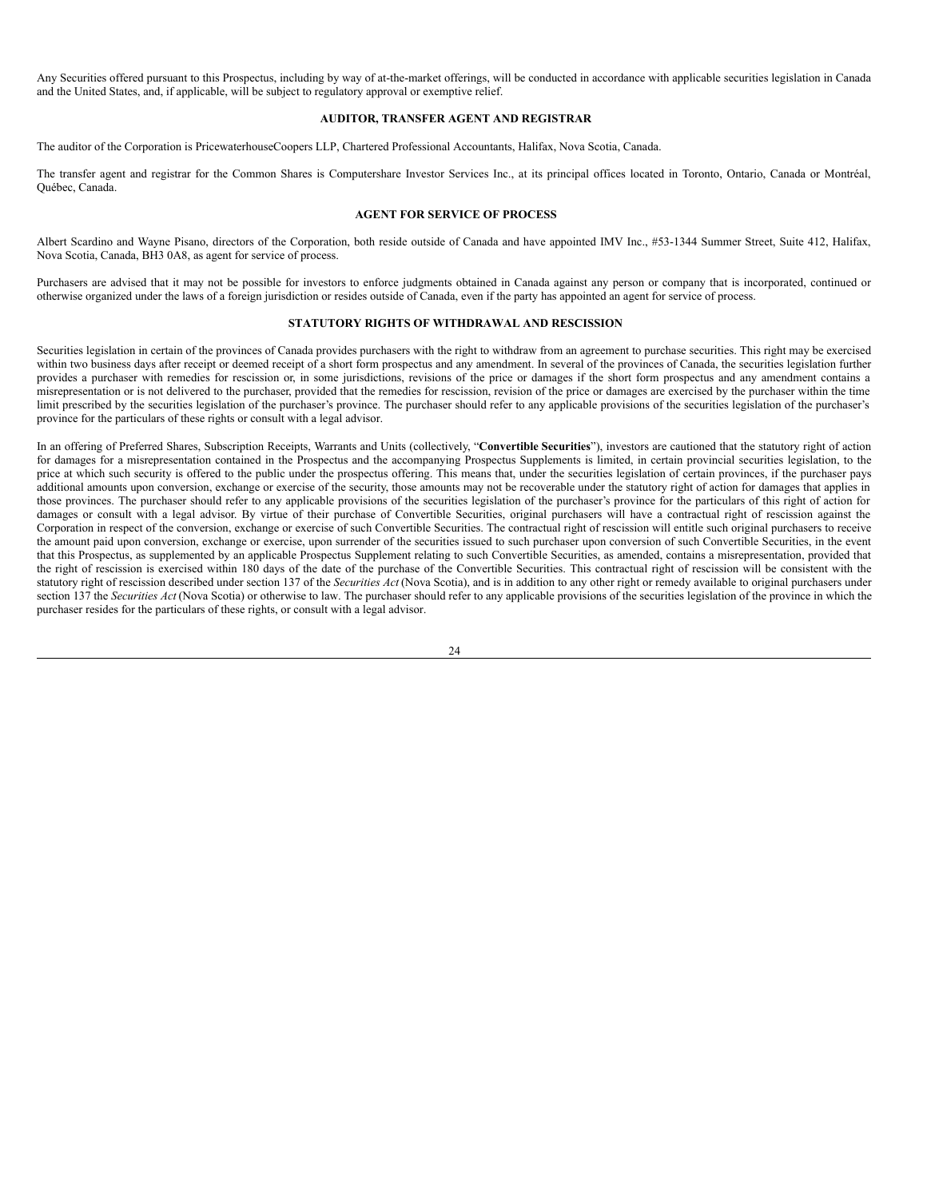Any Securities offered pursuant to this Prospectus, including by way of at-the-market offerings, will be conducted in accordance with applicable securities legislation in Canada and the United States, and, if applicable, will be subject to regulatory approval or exemptive relief.

#### <span id="page-29-0"></span>**AUDITOR, TRANSFER AGENT AND REGISTRAR**

The auditor of the Corporation is PricewaterhouseCoopers LLP, Chartered Professional Accountants, Halifax, Nova Scotia, Canada.

The transfer agent and registrar for the Common Shares is Computershare Investor Services Inc., at its principal offices located in Toronto, Ontario, Canada or Montréal, Québec, Canada.

#### <span id="page-29-1"></span>**AGENT FOR SERVICE OF PROCESS**

Albert Scardino and Wayne Pisano, directors of the Corporation, both reside outside of Canada and have appointed IMV Inc., #53-1344 Summer Street, Suite 412, Halifax, Nova Scotia, Canada, BH3 0A8, as agent for service of process.

Purchasers are advised that it may not be possible for investors to enforce judgments obtained in Canada against any person or company that is incorporated, continued or otherwise organized under the laws of a foreign jurisdiction or resides outside of Canada, even if the party has appointed an agent for service of process.

#### <span id="page-29-2"></span>**STATUTORY RIGHTS OF WITHDRAWAL AND RESCISSION**

Securities legislation in certain of the provinces of Canada provides purchasers with the right to withdraw from an agreement to purchase securities. This right may be exercised within two business days after receipt or deemed receipt of a short form prospectus and any amendment. In several of the provinces of Canada, the securities legislation further provides a purchaser with remedies for rescission or, in some jurisdictions, revisions of the price or damages if the short form prospectus and any amendment contains a misrepresentation or is not delivered to the purchaser, provided that the remedies for rescission, revision of the price or damages are exercised by the purchaser within the time limit prescribed by the securities legislation of the purchaser's province. The purchaser should refer to any applicable provisions of the securities legislation of the purchaser's province for the particulars of these rights or consult with a legal advisor.

In an offering of Preferred Shares, Subscription Receipts, Warrants and Units (collectively, "**Convertible Securities**"), investors are cautioned that the statutory right of action for damages for a misrepresentation contained in the Prospectus and the accompanying Prospectus Supplements is limited, in certain provincial securities legislation, to the price at which such security is offered to the public under the prospectus offering. This means that, under the securities legislation of certain provinces, if the purchaser pays additional amounts upon conversion, exchange or exercise of the security, those amounts may not be recoverable under the statutory right of action for damages that applies in those provinces. The purchaser should refer to any applicable provisions of the securities legislation of the purchaser's province for the particulars of this right of action for damages or consult with a legal advisor. By virtue of their purchase of Convertible Securities, original purchasers will have a contractual right of rescission against the Corporation in respect of the conversion, exchange or exercise of such Convertible Securities. The contractual right of rescission will entitle such original purchasers to receive the amount paid upon conversion, exchange or exercise, upon surrender of the securities issued to such purchaser upon conversion of such Convertible Securities, in the event that this Prospectus, as supplemented by an applicable Prospectus Supplement relating to such Convertible Securities, as amended, contains a misrepresentation, provided that the right of rescission is exercised within 180 days of the date of the purchase of the Convertible Securities. This contractual right of rescission will be consistent with the statutory right of rescission described under section 137 of the *Securities Act* (Nova Scotia), and is in addition to any other right or remedy available to original purchasers under section 137 the *Securities Act* (Nova Scotia) or otherwise to law. The purchaser should refer to any applicable provisions of the securities legislation of the province in which the purchaser resides for the particulars of these rights, or consult with a legal advisor.

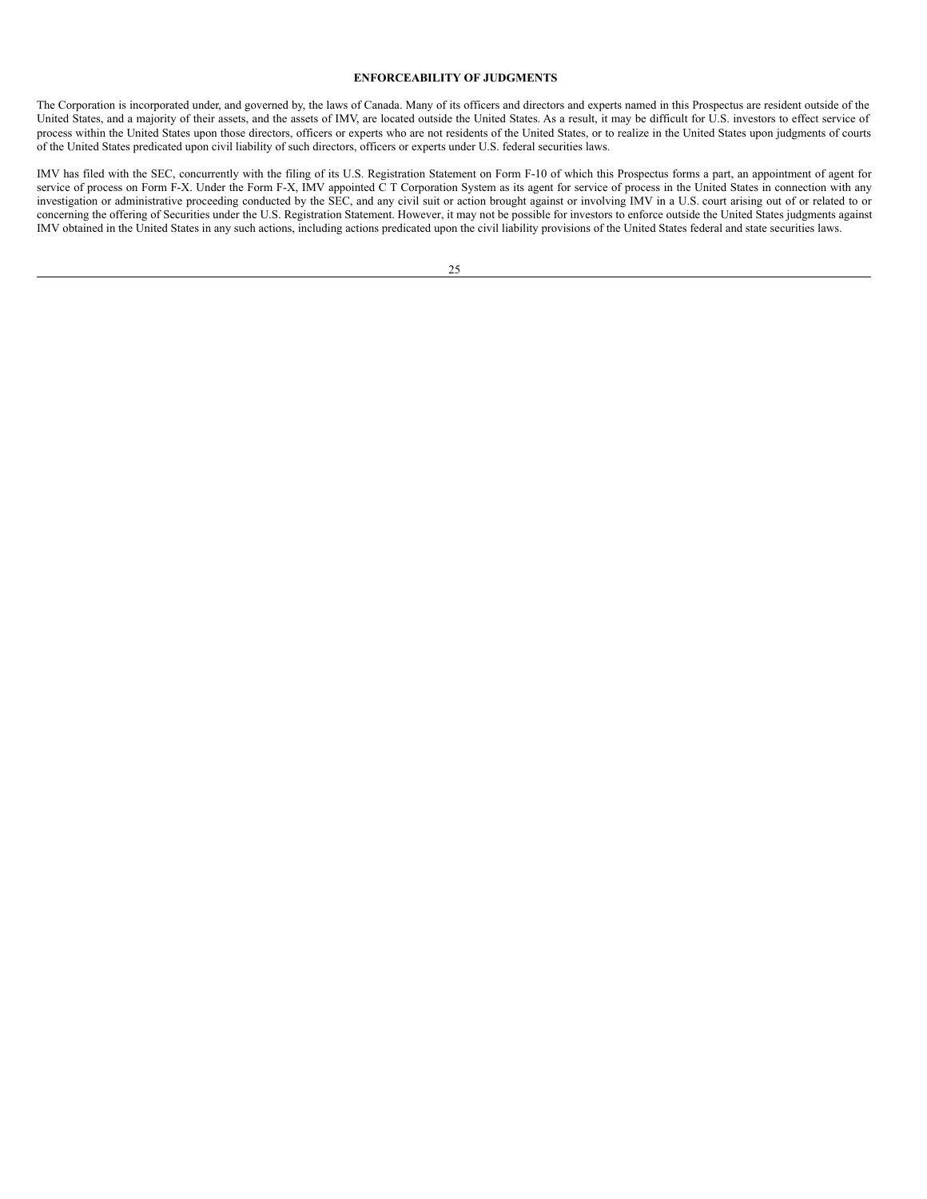#### <span id="page-30-0"></span>**ENFORCEABILITY OF JUDGMENTS**

The Corporation is incorporated under, and governed by, the laws of Canada. Many of its officers and directors and experts named in this Prospectus are resident outside of the United States, and a majority of their assets, and the assets of IMV, are located outside the United States. As a result, it may be difficult for U.S. investors to effect service of process within the United States upon those directors, officers or experts who are not residents of the United States, or to realize in the United States upon judgments of courts of the United States predicated upon civil liability of such directors, officers or experts under U.S. federal securities laws.

IMV has filed with the SEC, concurrently with the filing of its U.S. Registration Statement on Form F-10 of which this Prospectus forms a part, an appointment of agent for service of process on Form F-X. Under the Form F-X, IMV appointed C T Corporation System as its agent for service of process in the United States in connection with any investigation or administrative proceeding conducted by the SEC, and any civil suit or action brought against or involving IMV in a U.S. court arising out of or related to or concerning the offering of Securities under the U.S. Registration Statement. However, it may not be possible for investors to enforce outside the United States judgments against IMV obtained in the United States in any such actions, including actions predicated upon the civil liability provisions of the United States federal and state securities laws.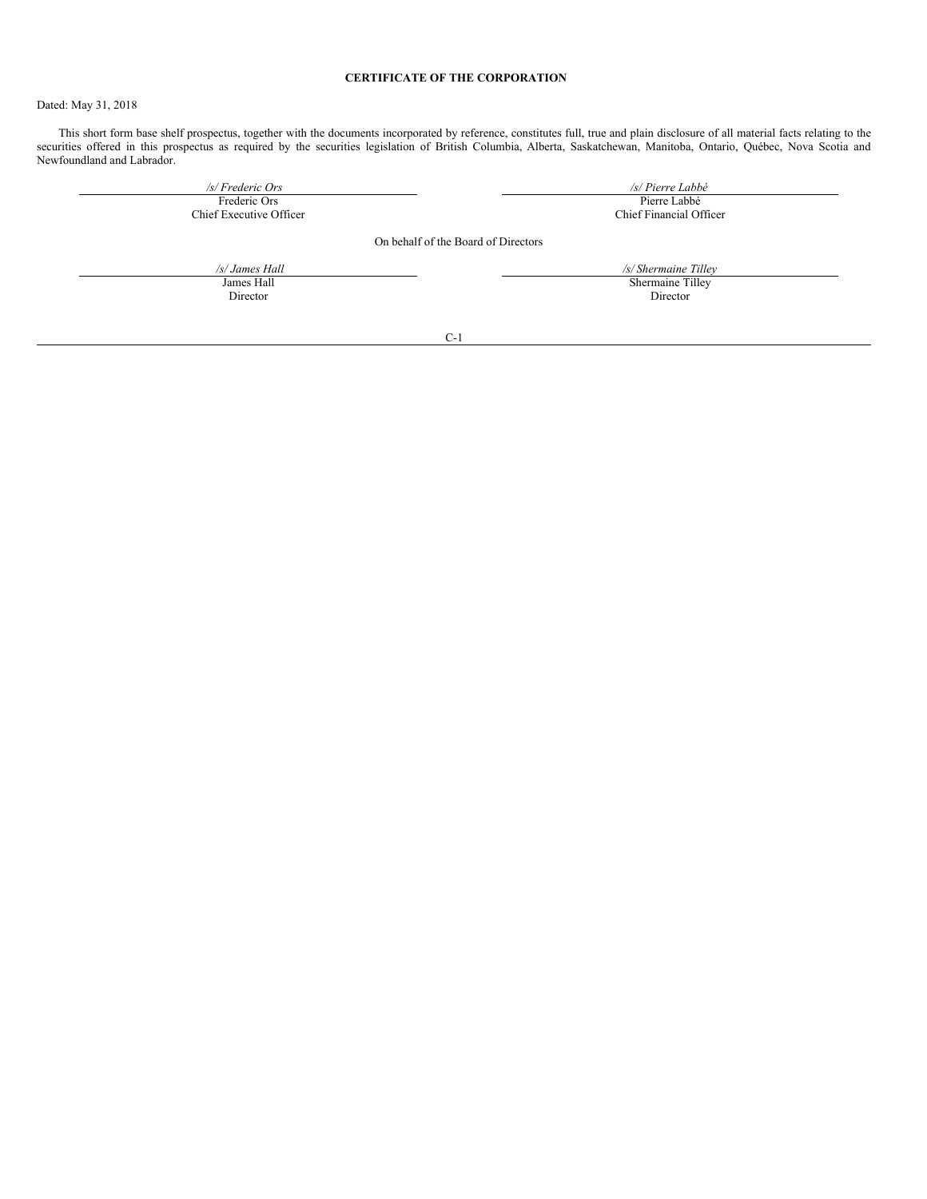# <span id="page-31-0"></span>**CERTIFICATE OF THE CORPORATION**

Dated: May 31, 2018

This short form base shelf prospectus, together with the documents incorporated by reference, constitutes full, true and plain disclosure of all material facts relating to the securities offered in this prospectus as required by the securities legislation of British Columbia, Alberta, Saskatchewan, Manitoba, Ontario, Québec, Nova Scotia and Newfoundland and Labrador.

| /s/ Frederic Ors        | /s/ Pierre Labbé                    |
|-------------------------|-------------------------------------|
| Frederic Ors            | Pierre Labbé                        |
| Chief Executive Officer | Chief Financial Officer             |
|                         | On behalf of the Board of Directors |
| /s/ James Hall          | /s/ Shermaine Tilley                |
| James Hall              | Shermaine Tilley                    |
| Director                | Director                            |
| $C-1$                   |                                     |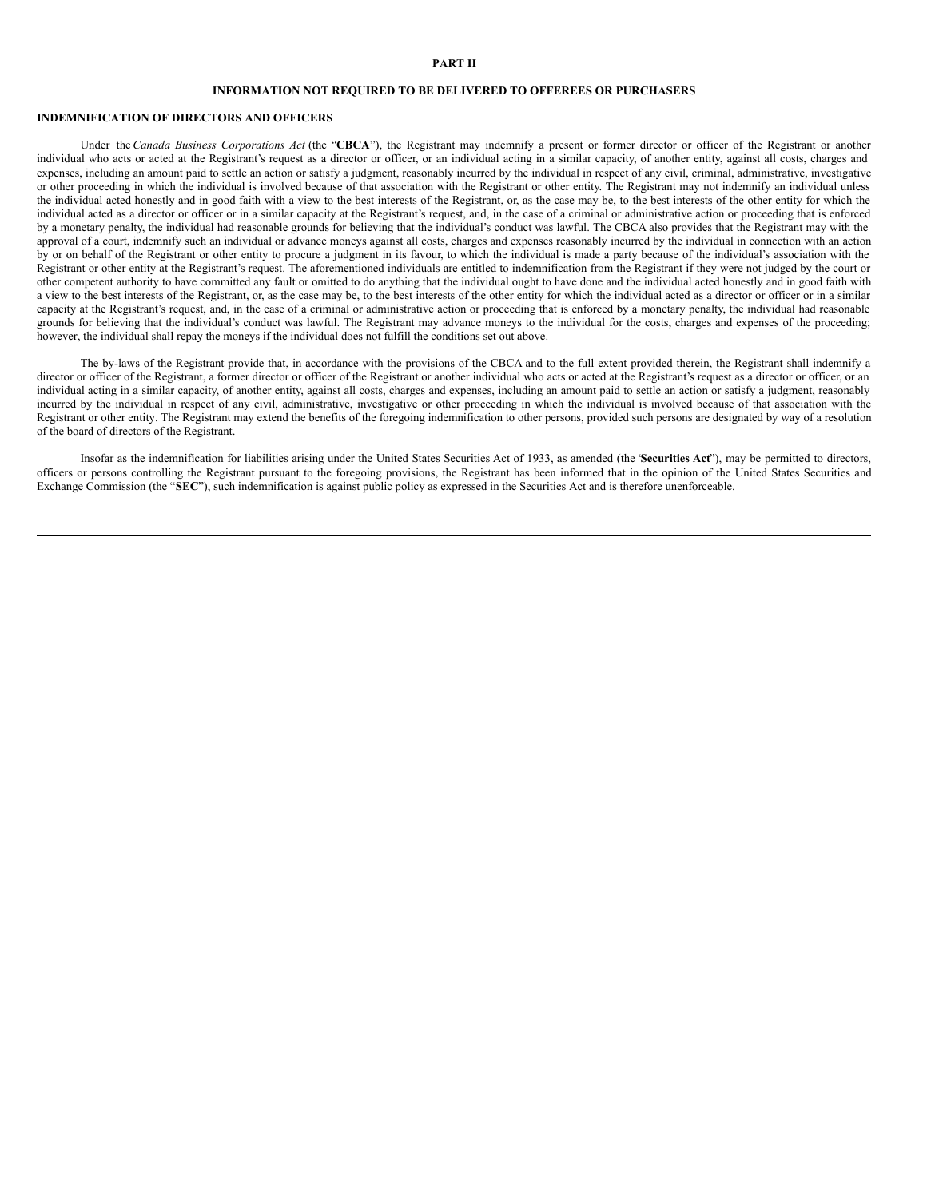#### **PART II**

### **INFORMATION NOT REQUIRED TO BE DELIVERED TO OFFEREES OR PURCHASERS**

# **INDEMNIFICATION OF DIRECTORS AND OFFICERS**

Under the *Canada Business Corporations Act* (the "**CBCA**"), the Registrant may indemnify a present or former director or officer of the Registrant or another individual who acts or acted at the Registrant's request as a director or officer, or an individual acting in a similar capacity, of another entity, against all costs, charges and expenses, including an amount paid to settle an action or satisfy a judgment, reasonably incurred by the individual in respect of any civil, criminal, administrative, investigative or other proceeding in which the individual is involved because of that association with the Registrant or other entity. The Registrant may not indemnify an individual unless the individual acted honestly and in good faith with a view to the best interests of the Registrant, or, as the case may be, to the best interests of the other entity for which the individual acted as a director or officer or in a similar capacity at the Registrant's request, and, in the case of a criminal or administrative action or proceeding that is enforced by a monetary penalty, the individual had reasonable grounds for believing that the individual's conduct was lawful. The CBCA also provides that the Registrant may with the approval of a court, indemnify such an individual or advance moneys against all costs, charges and expenses reasonably incurred by the individual in connection with an action by or on behalf of the Registrant or other entity to procure a judgment in its favour, to which the individual is made a party because of the individual's association with the Registrant or other entity at the Registrant's request. The aforementioned individuals are entitled to indemnification from the Registrant if they were not judged by the court or other competent authority to have committed any fault or omitted to do anything that the individual ought to have done and the individual acted honestly and in good faith with a view to the best interests of the Registrant, or, as the case may be, to the best interests of the other entity for which the individual acted as a director or officer or in a similar capacity at the Registrant's request, and, in the case of a criminal or administrative action or proceeding that is enforced by a monetary penalty, the individual had reasonable grounds for believing that the individual's conduct was lawful. The Registrant may advance moneys to the individual for the costs, charges and expenses of the proceeding; however, the individual shall repay the moneys if the individual does not fulfill the conditions set out above.

The by-laws of the Registrant provide that, in accordance with the provisions of the CBCA and to the full extent provided therein, the Registrant shall indemnify a director or officer of the Registrant, a former director or officer of the Registrant or another individual who acts or acted at the Registrant's request as a director or officer, or an individual acting in a similar capacity, of another entity, against all costs, charges and expenses, including an amount paid to settle an action or satisfy a judgment, reasonably incurred by the individual in respect of any civil, administrative, investigative or other proceeding in which the individual is involved because of that association with the Registrant or other entity. The Registrant may extend the benefits of the foregoing indemnification to other persons, provided such persons are designated by way of a resolution of the board of directors of the Registrant.

Insofar as the indemnification for liabilities arising under the United States Securities Act of 1933, as amended (the "**Securities Act**"), may be permitted to directors, officers or persons controlling the Registrant pursuant to the foregoing provisions, the Registrant has been informed that in the opinion of the United States Securities and Exchange Commission (the "**SEC**"), such indemnification is against public policy as expressed in the Securities Act and is therefore unenforceable.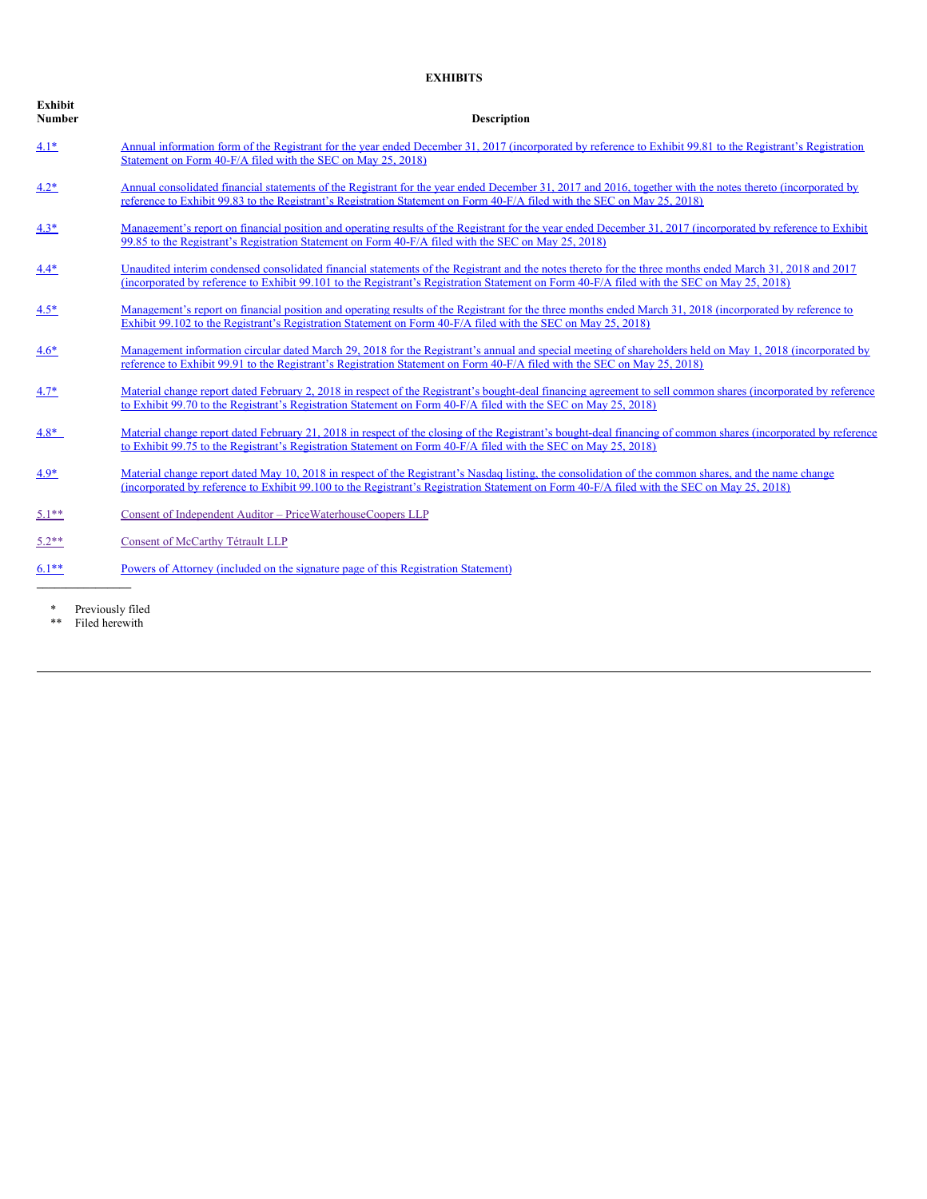# **EXHIBITS**

| Exhibit<br>Number | <b>Description</b>                                                                                                                                                                                                                                                                                     |
|-------------------|--------------------------------------------------------------------------------------------------------------------------------------------------------------------------------------------------------------------------------------------------------------------------------------------------------|
| $4.1*$            | Annual information form of the Registrant for the year ended December 31, 2017 (incorporated by reference to Exhibit 99.81 to the Registrant's Registration<br>Statement on Form 40-F/A filed with the SEC on May 25, 2018)                                                                            |
| $4.2*$            | Annual consolidated financial statements of the Registrant for the year ended December 31, 2017 and 2016, together with the notes thereto (incorporated by<br>reference to Exhibit 99.83 to the Registrant's Registration Statement on Form 40-F/A filed with the SEC on May 25, 2018)                 |
| $4.3*$            | Management's report on financial position and operating results of the Registrant for the year ended December 31, 2017 (incorporated by reference to Exhibit<br>99.85 to the Registrant's Registration Statement on Form 40-F/A filed with the SEC on May 25, 2018)                                    |
| $4.4*$            | Unaudited interim condensed consolidated financial statements of the Registrant and the notes thereto for the three months ended March 31, 2018 and 2017<br>(incorporated by reference to Exhibit 99.101 to the Registrant's Registration Statement on Form 40-F/A filed with the SEC on May 25, 2018) |
| $4.5*$            | Management's report on financial position and operating results of the Registrant for the three months ended March 31, 2018 (incorporated by reference to<br>Exhibit 99.102 to the Registrant's Registration Statement on Form 40-F/A filed with the SEC on May 25, 2018)                              |
| $4.6*$            | Management information circular dated March 29, 2018 for the Registrant's annual and special meeting of shareholders held on May 1, 2018 (incorporated by<br>reference to Exhibit 99.91 to the Registrant's Registration Statement on Form 40-F/A filed with the SEC on May 25, 2018)                  |
| $4.7*$            | Material change report dated February 2, 2018 in respect of the Registrant's bought-deal financing agreement to sell common shares (incorporated by reference<br>to Exhibit 99.70 to the Registrant's Registration Statement on Form 40-F/A filed with the SEC on May 25, 2018)                        |
| $4.8*$            | Material change report dated February 21, 2018 in respect of the closing of the Registrant's bought-deal financing of common shares (incorporated by reference<br>to Exhibit 99.75 to the Registrant's Registration Statement on Form 40-F/A filed with the SEC on May 25, 2018)                       |
| $4.9*$            | Material change report dated May 10, 2018 in respect of the Registrant's Nasdaq listing, the consolidation of the common shares, and the name change<br>(incorporated by reference to Exhibit 99.100 to the Registrant's Registration Statement on Form 40-F/A filed with the SEC on May 25, 2018)     |
| $5.1**$           | Consent of Independent Auditor - PriceWaterhouseCoopers LLP                                                                                                                                                                                                                                            |
| $5.2**$           | Consent of McCarthy Tétrault LLP                                                                                                                                                                                                                                                                       |
| $6.1**$           | Powers of Attorney (included on the signature page of this Registration Statement)                                                                                                                                                                                                                     |

\* Previously filed

\*\* Filed herewith

**Exhibit**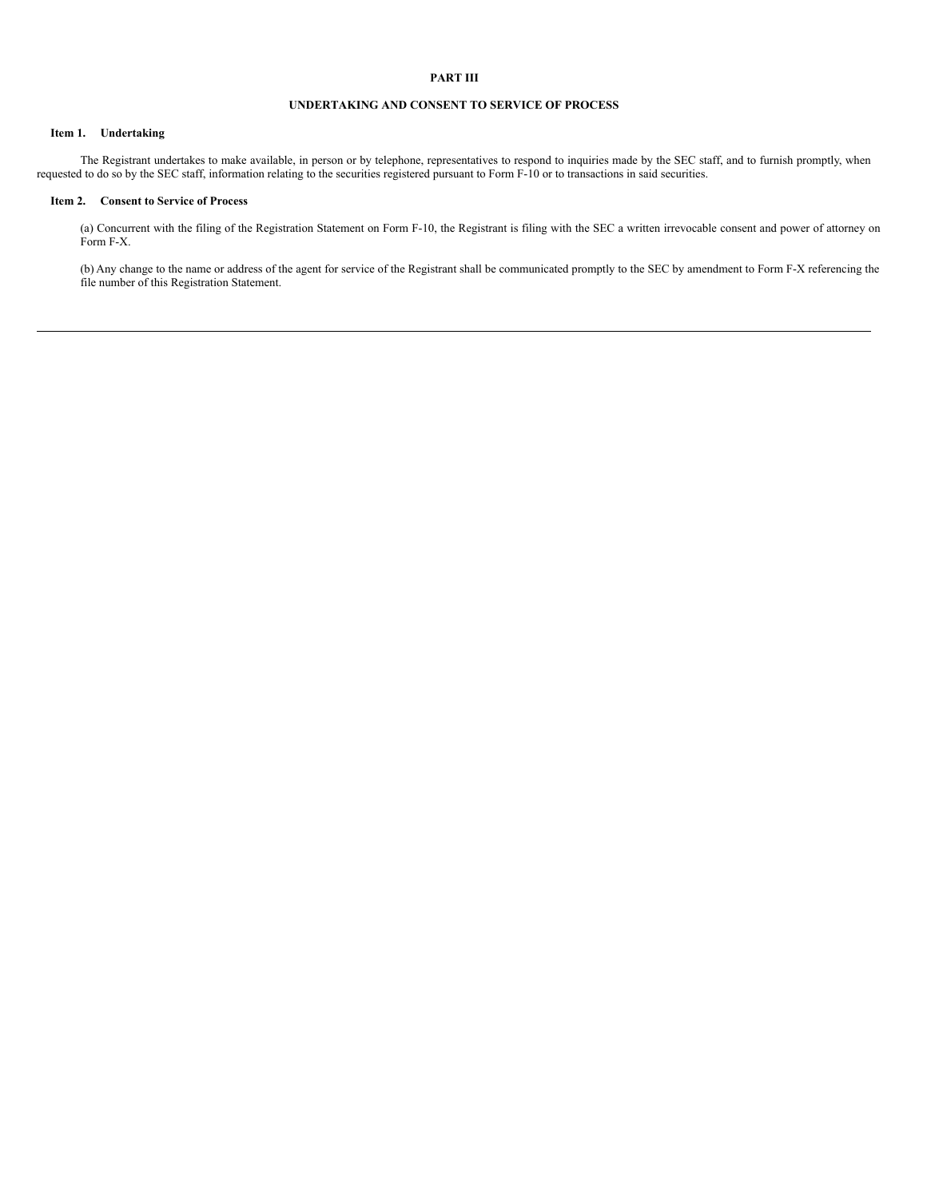# **PART III**

#### **UNDERTAKING AND CONSENT TO SERVICE OF PROCESS**

#### **Item 1. Undertaking**

The Registrant undertakes to make available, in person or by telephone, representatives to respond to inquiries made by the SEC staff, and to furnish promptly, when requested to do so by the SEC staff, information relating to the securities registered pursuant to Form F-10 or to transactions in said securities.

### **Item 2. Consent to Service of Process**

(a) Concurrent with the filing of the Registration Statement on Form F-10, the Registrant is filing with the SEC a written irrevocable consent and power of attorney on Form F-X.

(b) Any change to the name or address of the agent for service of the Registrant shall be communicated promptly to the SEC by amendment to Form F-X referencing the file number of this Registration Statement.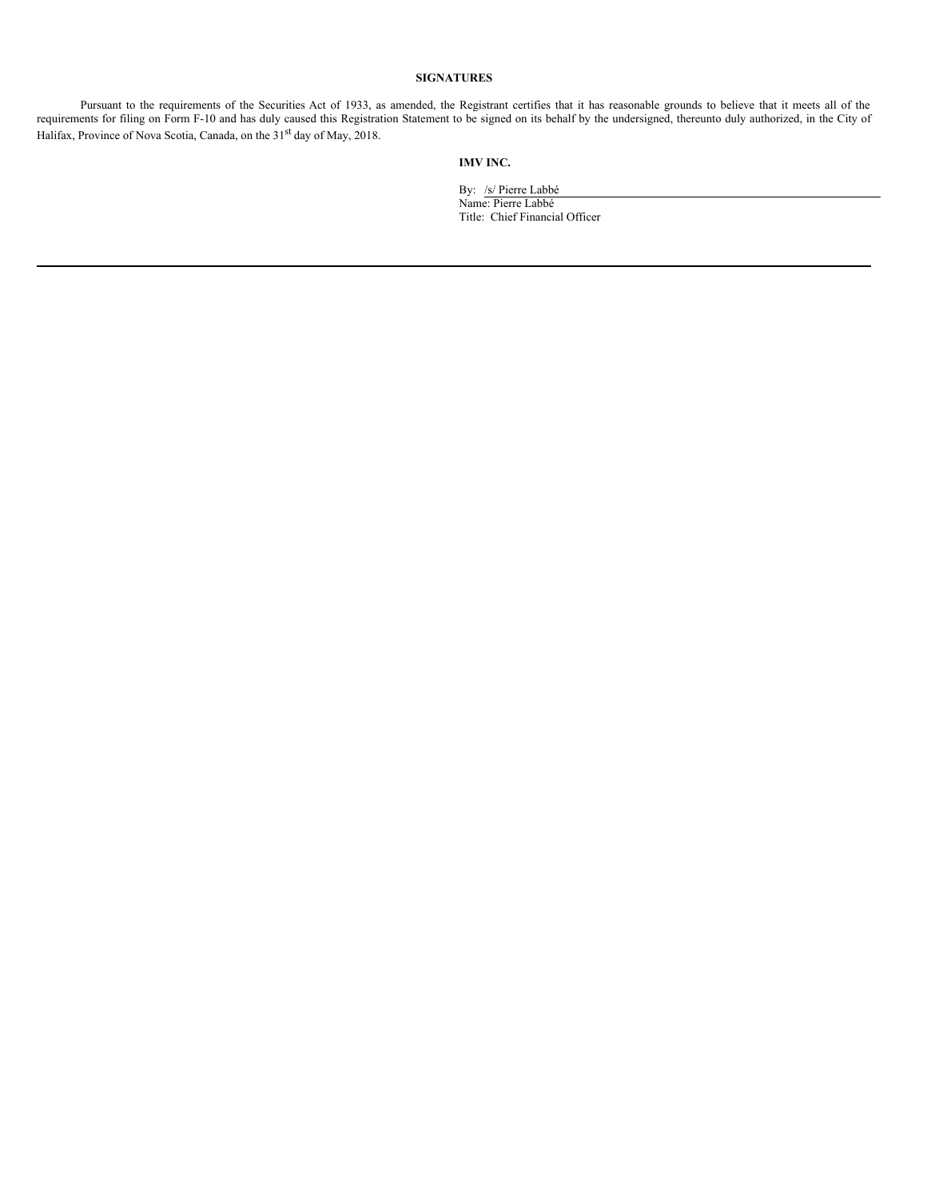# **SIGNATURES**

Pursuant to the requirements of the Securities Act of 1933, as amended, the Registrant certifies that it has reasonable grounds to believe that it meets all of the requirements for filing on Form F-10 and has duly caused this Registration Statement to be signed on its behalf by the undersigned, thereunto duly authorized, in the City of Halifax, Province of Nova Scotia, Canada, on the 31<sup>st</sup> day of May, 2018.

## **IMV INC.**

By: /s/ Pierre Labbé Name: Pierre Labbé Title: Chief Financial Officer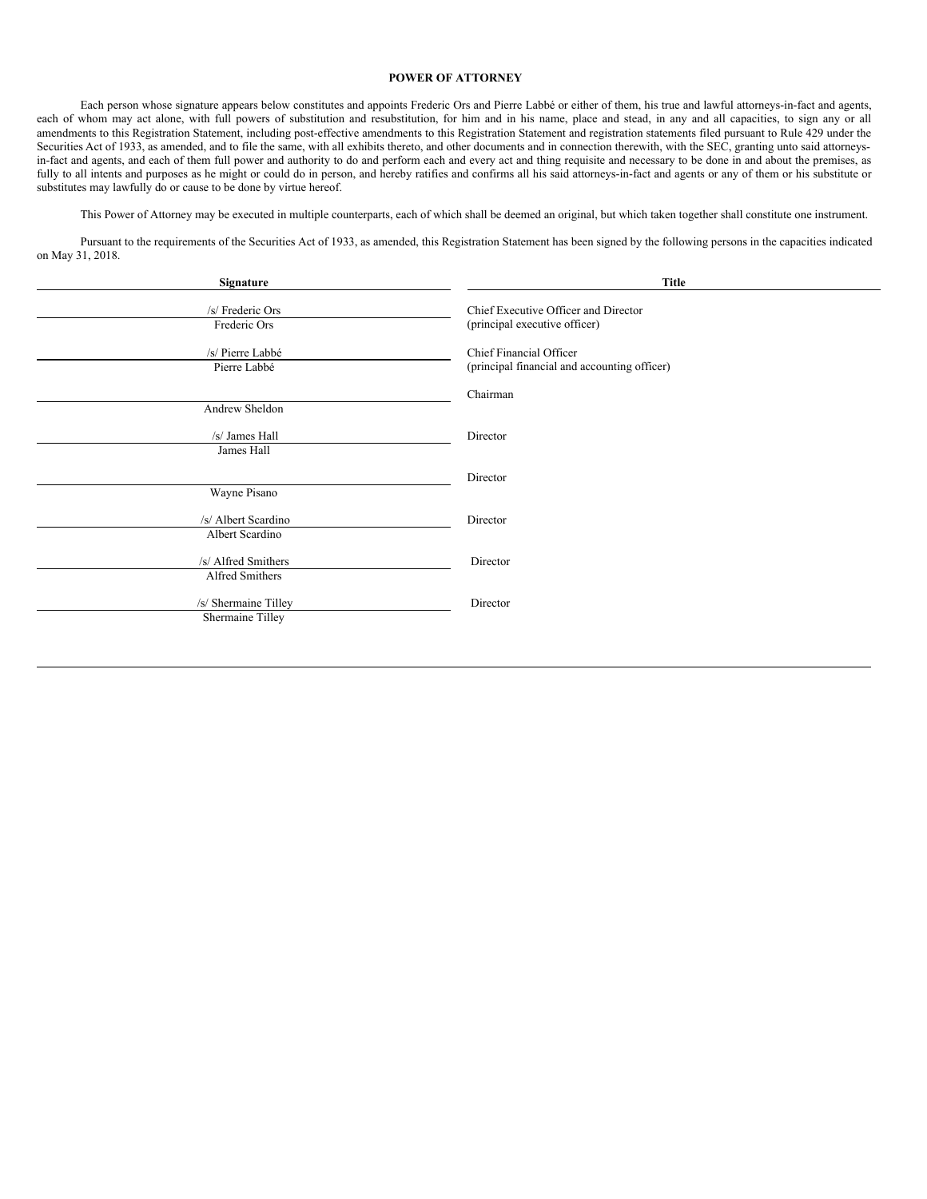#### <span id="page-36-0"></span>**POWER OF ATTORNEY**

Each person whose signature appears below constitutes and appoints Frederic Ors and Pierre Labbé or either of them, his true and lawful attorneys-in-fact and agents, each of whom may act alone, with full powers of substitution and resubstitution, for him and in his name, place and stead, in any and all capacities, to sign any or all amendments to this Registration Statement, including post-effective amendments to this Registration Statement and registration statements filed pursuant to Rule 429 under the Securities Act of 1933, as amended, and to file the same, with all exhibits thereto, and other documents and in connection therewith, with the SEC, granting unto said attorneysin-fact and agents, and each of them full power and authority to do and perform each and every act and thing requisite and necessary to be done in and about the premises, as fully to all intents and purposes as he might or could do in person, and hereby ratifies and confirms all his said attorneys-in-fact and agents or any of them or his substitute or substitutes may lawfully do or cause to be done by virtue hereof.

This Power of Attorney may be executed in multiple counterparts, each of which shall be deemed an original, but which taken together shall constitute one instrument.

Pursuant to the requirements of the Securities Act of 1933, as amended, this Registration Statement has been signed by the following persons in the capacities indicated on May 31, 2018.

| Signature                                | <b>Title</b>                                                            |
|------------------------------------------|-------------------------------------------------------------------------|
| /s/ Frederic Ors<br>Frederic Ors         | Chief Executive Officer and Director<br>(principal executive officer)   |
| /s/ Pierre Labbé<br>Pierre Labbé         | Chief Financial Officer<br>(principal financial and accounting officer) |
| Andrew Sheldon                           | Chairman                                                                |
| /s/ James Hall<br>James Hall             | Director                                                                |
| Wayne Pisano                             | Director                                                                |
| /s/ Albert Scardino<br>Albert Scardino   | Director                                                                |
| /s/ Alfred Smithers<br>Alfred Smithers   | Director                                                                |
| /s/ Shermaine Tilley<br>Shermaine Tilley | Director                                                                |
|                                          |                                                                         |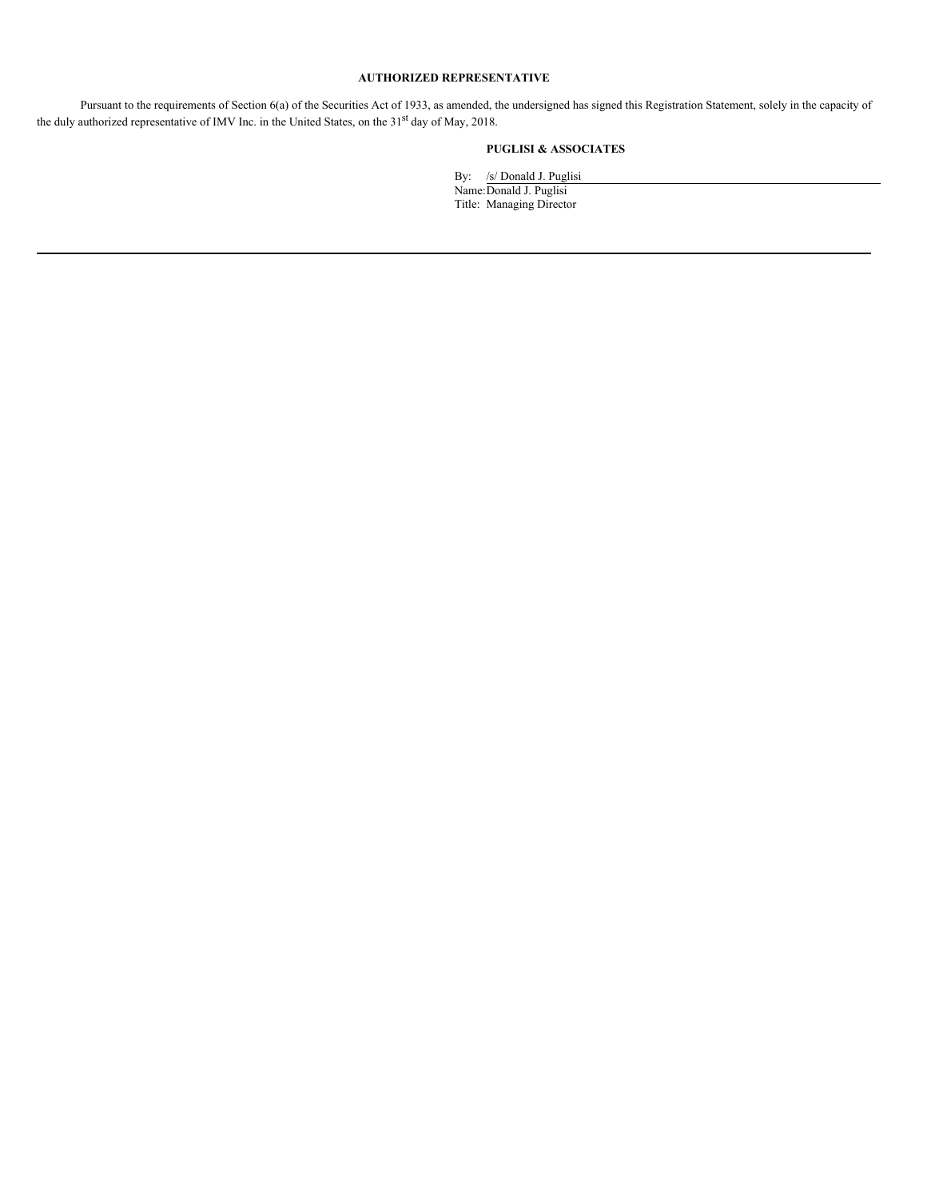# **AUTHORIZED REPRESENTATIVE**

Pursuant to the requirements of Section 6(a) of the Securities Act of 1933, as amended, the undersigned has signed this Registration Statement, solely in the capacity of the duly authorized representative of IMV Inc. in the United States, on the 31<sup>st</sup> day of May, 2018.

# **PUGLISI & ASSOCIATES**

By: /s/ Donald J. Puglisi Name:Donald J. Puglisi Title: Managing Director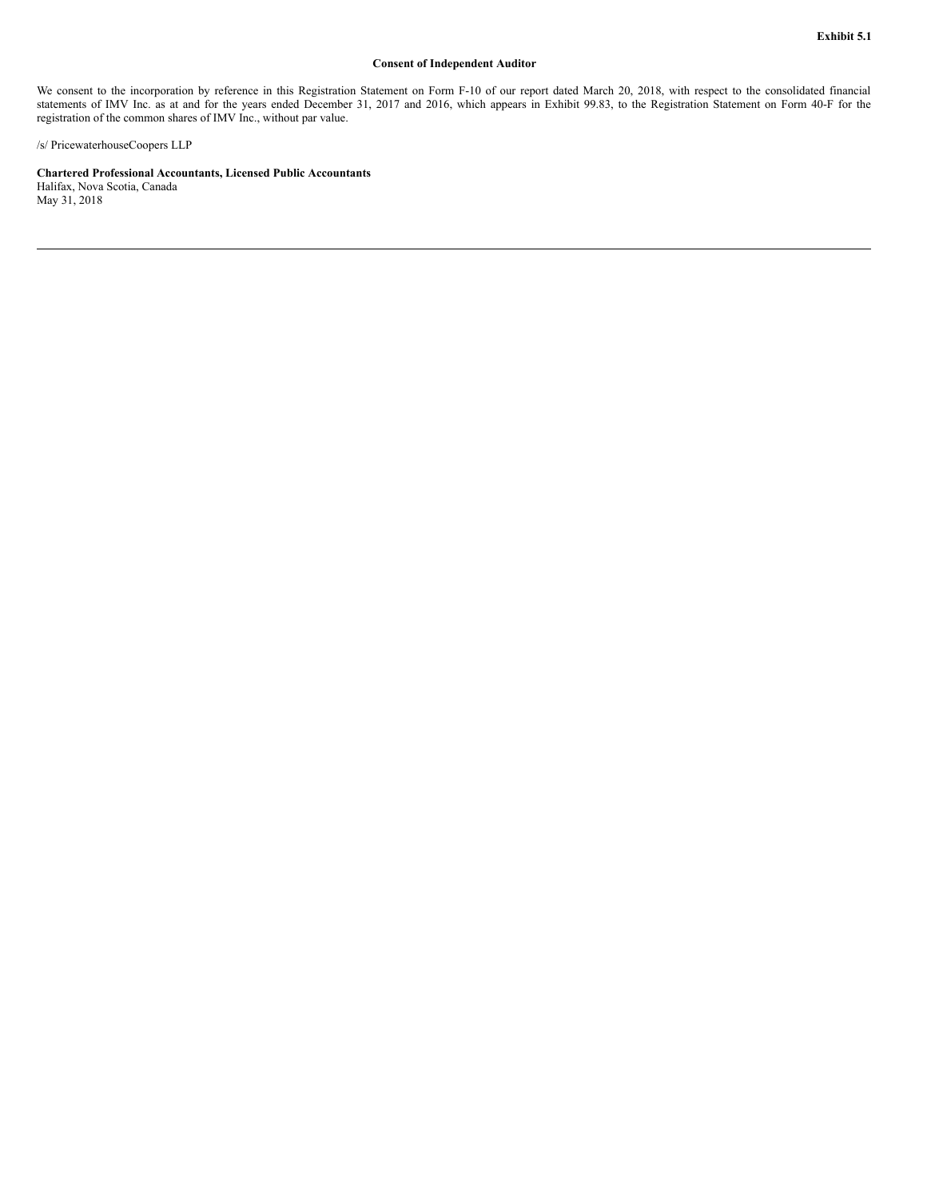#### **Consent of Independent Auditor**

<span id="page-38-0"></span>We consent to the incorporation by reference in this Registration Statement on Form F-10 of our report dated March 20, 2018, with respect to the consolidated financial statements of IMV Inc. as at and for the years ended December 31, 2017 and 2016, which appears in Exhibit 99.83, to the Registration Statement on Form 40-F for the registration of the common shares of IMV Inc., without par value.

/s/ PricewaterhouseCoopers LLP

**Chartered Professional Accountants, Licensed Public Accountants**

Halifax, Nova Scotia, Canada May 31, 2018